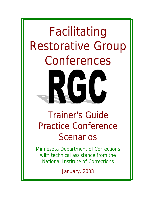# Facilitating Restorative Group Conferences  $\sqrt{2}$

# Trainer's Guide Practice Conference **Scenarios**

Minnesota Department of Corrections with technical assistance from the National Institute of Corrections

January, 2003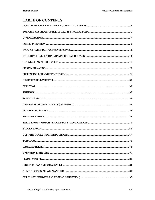# **TABLE OF CONTENTS**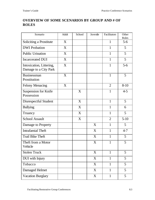# **OVERVIEW OF SOME SCENARIOS BY GROUP AND # OF ROLES**

| Scenario                                          | Adult | School | Juvenile | Facilitators   | Other          |
|---------------------------------------------------|-------|--------|----------|----------------|----------------|
| Soliciting a Prostitute                           | X     |        |          | $\mathbf{1}$   | Roles<br>$5-6$ |
| <b>DWI</b> Probation                              | X     |        |          | $\mathbf{1}$   | 5              |
| <b>Public Urination</b>                           | X     |        |          | $\mathbf{1}$   | 5              |
| <b>Incarcerated DUI</b>                           | X     |        |          | $\mathbf{1}$   | 5              |
| Intoxication, Littering,<br>Damage to a City Park | X     |        |          | $\mathbf{1}$   | $5-6$          |
| Businessman<br>Prostitution                       | X     |        |          | $\mathbf{1}$   | 5              |
| <b>Felony Menacing</b>                            | X     |        |          | $\overline{2}$ | $8 - 10$       |
| Suspension for Knife<br>Possession                |       | X      |          | $\mathbf{1}$   | $4 - 5$        |
| Disrespectful Student                             |       | X      |          | $\mathbf{1}$   | 5              |
| <b>Bullying</b>                                   |       | X      |          | 1              | 6              |
| Truancy                                           |       | X      |          | $\mathbf{1}$   | 5              |
| <b>School Assault</b>                             |       | X      |          | $\overline{2}$ | $5-10$         |
| Damage to Property                                |       |        | X        | 1              | 5              |
| <b>Intrafamial Theft</b>                          |       |        | X        | $\mathbf{1}$   | $4 - 7$        |
| <b>Trail Bike Theft</b>                           |       |        | X        | $\mathbf{1}$   | 5              |
| Theft from a Motor<br>Vehicle                     |       |        | X        | $\mathbf{1}$   | 5              |
| <b>Stolen Truck</b>                               |       |        | X        | $\mathbf{1}$   | 5              |
| DUI with Injury                                   |       |        | X        | $\mathbf{1}$   | 5              |
| Tobacco                                           |       |        | X        | $\mathbf{1}$   | 5              |
| Damaged Helmet                                    |       |        | X        | $\mathbf{1}$   | 5              |
| <b>Vacation Burglary</b>                          |       |        | X        | $\mathbf{1}$   | 5              |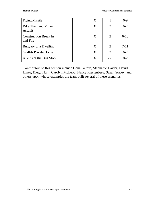| <b>Flying Missile</b>                         | X |                             | $6-9$   |
|-----------------------------------------------|---|-----------------------------|---------|
| <b>Bike Theft and Minor</b><br><b>Assault</b> | X | $\mathcal{D}_{\mathcal{L}}$ | $6 - 7$ |
| <b>Construction Break In</b><br>and Fire      | X | $\mathcal{D}_{\mathcal{L}}$ | $6-10$  |
| Burglary of a Dwelling                        | X | $\mathcal{D}_{\mathcal{L}}$ | $7-11$  |
| Graffiti Private Home                         | X | $\mathcal{D}$               | $6 - 7$ |
| ABC's at the Bus Stop                         | X | $2-6$                       | 18-20   |

Contributors to this section include Gena Gerard, Stephanie Haider, David Hines, Diego Hunt, Carolyn McLeod, Nancy Riestenberg, Susan Stacey, and others upon whose examples the team built several of these scenarios.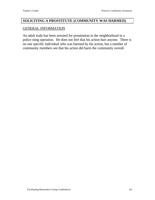#### **SOLICITING A PROSTITUTE (COMMUNITY WAS HARMED)**

#### GENERAL INFORMATION

An adult male has been arrested for prostitution in the neighborhood in a police sting operation. He does not feel that his action hurt anyone. There is no one specific individual who was harmed by his action, but a number of community members see that his action did harm the community overall.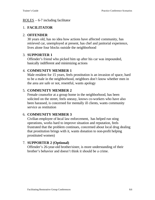#### $ROLES - 6-7$  including facilitator

# 1. **FACILITATOR**

#### 2. **OFFENDER**

30 years old, has no idea how actions have affected community, has retrieved car, unemployed at present, has chef and janitorial experience, lives alone four blocks outside the neighborhood

#### 3. **SUPPORTER 1**

Offender's friend who picked him up after his car was impounded, basically indifferent and minimizing actions

# 4. **COMMUNITY MEMBER 1**

Male resident for 15 years, feels prostitution is an invasion of space, hard to be a male in the neighborhood, neighbors don't know whether men in the area are safe or not, resentful, wants apology

# 5. **COMMUNITY MEMBER 2**

Female counselor at a group home in the neighborhood, has been solicited on the street, feels uneasy, knows co-workers who have also been harassed, is concerned for mentally ill clients, wants community service as restitution

# 6. **COMMUNITY MEMBER 3**

Civilian employee of local law enforcement, has helped run sting operations, works hard to improve situation and reputation, feels frustrated that the problem continues, concerned about local drug dealing that prostitution brings with it, wants donation to non-profit helping prostituted women)

# 7. **SUPPORTER 2 (Optional)**

Offender's 26-year-old brother/sister, is more understanding of their brother's behavior and doesn't think it should be a crime.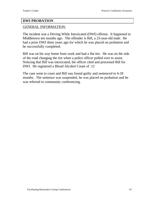#### **DWI PROBATION**

#### GENERAL INFORMATION:

The incident was a Driving While Intoxicated (DWI) offense. It happened in Middletown ten months ago. The offender is Bill, a 23-year-old male. He had a prior DWI three years ago for which he was placed on probation and he successfully completed.

Bill was on his way home from work and had a flat tire. He was on the side of the road changing the tire when a police officer pulled over to assist. Noticing that Bill was intoxicated, the officer cited and processed Bill for DWI. He registered a Blood Alcohol Count of .12

The case went to court and Bill was found guilty and sentenced to 6-18 months. The sentence was suspended, he was placed on probation and he was referred to community conferencing.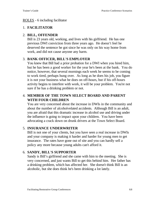#### ROLES - 6 including facilitator

# 1. **FACILITATOR**

# 2. **BILL, OFFENDER**

Bill is 23 years old, working, and lives with his girlfriend. He has one previous DWI conviction from three years ago. He doesn't feel he deserved the sentence he got since he was only on his way home from work, and did not cause anyone any harm.

# 3. **BANK OFFICER, BILL'S EMPLOYER**

You knew that Bill had a prior probation for a DWI when you hired him, but he has been a good worker for the year he's been at the bank. You do notice, however, that several mornings each week he seems to be coming to work tired, perhaps hung over. As long as he does his job, you figure it is not your business what he does on off-hours, but if his off-hours activity begins to interfere with work, it will be your problem. You're not sure if he has a drinking problem or not.

# 4. **MEMBER OF THE TOWN SELECT BOARD AND PARENT WITH FOUR CHILDREN**

You are very concerned about the increase in DWIs in the community and about the number of alcohol-related accidents. Although Bill is an adult, you are afraid that this dramatic increase in alcohol use and driving under the influence is going to impact upon your children. You have been advocating a crack down on drunk drivers at the Town Select Board.

# 5. **INSURANCE UNDERWRITER**

Bill is not one of your clients, but you have seen a real increase in DWIs and your company is making it harder and harder for young men to get insurance. The rates have gone out of site and you can hardly sell a policy any more because young adults can't afford it.

# 6. **SANDY, BILL'S SUPPORTER**

Sandy is Bill's girlfriend and she came with him to the meeting. She is very concerned, and just wants Bill to get this behind him. Her father has a drinking problem, which has affected her. She doesn't think Bill is an alcoholic, but she does think he's been drinking a lot lately.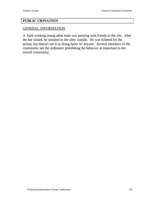#### **PUBLIC URINATION**

#### GENERAL INFORMATION

A hard working young adult male was partying with friends in the city. After the bar closed, he urinated in the alley outside. He was ticketed for the action, but doesn't see it as doing harm 'to' anyone. Several members of the community see the ordinance prohibiting the behavior as important to the overall community.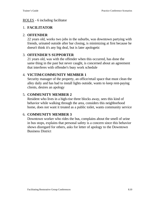#### ROLES - 6 including facilitator

# 1. **FACILITATOR**

# 2. **OFFENDER**

22 years old, works two jobs in the suburbs, was downtown partying with friends, urinated outside after bar closing, is minimizing at first because he doesn't think it's any big deal, but is later apologetic

# 3. **OFFENDER'S SUPPORTER**

21 years old, was with the offender when this occurred, has done the same thing in the past but never caught, is concerned about an agreement that interferes with offender's busy work schedule

# 4. **VICTIM/COMMUNITY MEMBER 1**

Security manager of the property, an office/retail space that must clean the alley daily and has had to install lights outside, wants to keep rent-paying clients, desires an apology

# 5. **COMMUNITY MEMBER 2**

Resident who lives in a high-rise three blocks away, sees this kind of behavior while walking through the area, considers this neighborhood home, does not want it treated as a public toilet, wants community service

# 6. **COMMUNITY MEMBER 3**

Downtown worker who rides the bus, complains about the smell of urine in bus stops, explains that personal safety is a concern since this behavior shows disregard for others, asks for letter of apology to the Downtown Business District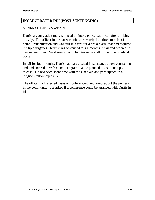#### **INCARCERATED DUI (POST SENTENCING)**

#### GENERAL INFORMATION

Kurtis, a young adult man, ran head on into a police patrol car after drinking heavily. The officer in the car was injured severely, had three months of painful rehabilitation and was still in a cast for a broken arm that had required multiple surgeries. Kurtis was sentenced to six months in jail and ordered to pay several fines. Workmen's comp had taken care all of the other medical costs

In jail for four months, Kurtis had participated in substance abuse counseling and had entered a twelve-step program that he planned to continue upon release. He had been spent time with the Chaplain and participated in a religious fellowship as well.

The officer had referred cases to conferencing and knew about the process in the community. He asked if a conference could be arranged with Kurtis in jail.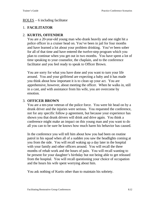#### ROLES – 6 including facilitator

# 1. **FACILITATOR**

# 2. **KURTIS, OFFENDER**

You are a 20-year-old young man who drank heavily and one night hit a police officer in a cruiser head on. You've been in jail for four months and have learned a lot about your problem drinking. You've been sober for all of that time and have entered the twelve-step program which you plan to continue when you get out in two months. You have spent a lot of time speaking to your counselor, the chaplain, and to the conference facilitator and you feel ready to speak to Officer Brown.

You are sorry for what you have done and you want to turn your life around. You and your girlfriend are expecting a baby and it has made you think about how important it is to clean up your act. You are apprehensive, however, about meeting the officer. When he walks in, still in a cast, and with assistance from his wife, you are overcome by emotion.

# 3. **OFFICER BROWN**

You are a ten-year veteran of the police force. You were hit head on by a drunk driver and the injuries were serious. You requested the conference, not for any specific follow p agreement, but because your experience has shown you that drunk drivers will drink and drive again. You think a conference might make an impact on this young man and you want to do all you can to be sure he knows how much harm his behavior has caused.

In the conference you will tell him about how you had been on routine patrol in his squad when all of a sudden you saw the headlights coming at you from the side. You will recall waking up a day later in the hospital with your family and other officers around. You will recall the three months of rehab work and the hours of pain. You will recall wanting to be present for your daughter's birthday but not being able to get released from the hospital. You will recall questioning your choice of occupation and the hours his wife spent worrying about him.

You ask nothing of Kurtis other than to maintain his sobriety.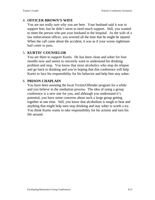# 4. **OFFICER BROWN'S WIFE**

You are not really sure why you are here. Your husband said it was to support him, but he didn't seem to need much support. Still, you wanted to meet the person who put your husband in the hospital. As the wife of a law enforcement officer, you worried all the time that he might be injured. When the call came about the accident, it was as if your worse nightmare had come to pass.

# 5. **KURTIS' COUNSELOR**

You are there to support Kurtis. He has been clean and sober for four months now and seems to sincerely want to understand his drinking problem and stop. You know that most alcoholics who stop do relapse and go back to drinking and you're hoping that this conference will help Kurtis to face his responsibility for his behavior and help him stay sober.

# 6. **PRISON CHAPLAIN**

You have been assisting the local Victim/Offender program for a while and you believe in the mediation process. The idea of using a group conference is a new one for you, and although you understand it's potential, you have some concerns about such a large group getting together at one time. Still, you know that alcoholism is tough to beat and anything that might help men stop drinking and stay sober is worth a try. You think Kurtis wants to take responsibility for his actions and turn his life around.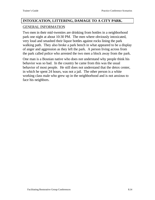# **INTOXICATION, LITTERING, DAMAGE TO A CITY PARK.** GENERAL INFORMATION

Two men in their mid-twenties are drinking from bottles in a neighborhood park one night at about 10:30 PM. The men where obviously intoxicated, very loud and smashed their liquor bottles against rocks lining the park walking path. They also broke a park bench in what appeared to be a display of anger and aggression as they left the park. A person living across from the park called police who arrested the two men a block away from the park.

One man is a Bosnian native who does not understand why people think his behavior was so bad. In the country he came from this was the usual behavior of most people. He still does not understand that the detox center, in which he spent 24 hours, was not a jail. The other person is a white working class male who grew up in the neighborhood and is not anxious to face his neighbors.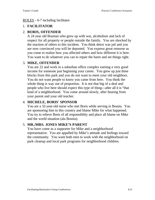#### ROLES - 6-7 including facilitator

# 1. **FACILITATOR**

# 2. **BORIS, OFFENDER**

A 24 year old Bosnian who grew up with war, alcoholism and lack of respect for all property or people outside the family. You are shocked by the reaction of others to this incident. You think detox was jail and you are now convinced you will be deported. You express great remorse as you come to realize how you affected others and how different it is here. You want to do whatever you can to repair the harm and set things right.

# 3. **MIKE, OFFENDER**

You are 22 and work in a suburban office complex earning a very good income for someone just beginning your career. You grew up just three blocks from this park and you do not want to meet your old neighbors. You do not want people to know you came from here. You think the whole thing is way out of proportion. It is not that big of a deal and people who live here should expect this type of thing---after all it is "that kind of a neighborhood. You come around slowly, after hearing from your parent and your old teacher.

# 4. **MICHELE, BORIS' SPONSOR**

You are a 32-year-old nurse who met Boris while serving in Bosnia. You are sponsoring him in this country and blame Mike for what happened. You try to relieve Boris of all responsibility and place all blame on Mike and the world situation (ala Bosnia).

# 5. **MR./MRS. JONES MIKE'S PARENT**

You have come as a supporter for Mike and a neighborhood representative. You are appalled by Mike's attitude and feelings toward the community. You want both men to work with the neighborhood on park cleanup and local park programs for neighborhood children.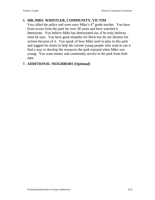# 6. **MR./MRS. WHISTLER, COMMUNITY, VICTIM**

You called the police and were once Mike's  $4<sup>th</sup>$  grade teacher. You have lived across from the park for over 30 years and have watched it deteriorate. You believe Mike has deteriorated too, if he truly believes what he says. You have great empathy for Boris but do not dismiss his actions because of it. You speak of how Mike used to play in this park and suggest he return to help the current young people who want to use it find a way to develop the resources the park enjoyed when Mike was young. You want money and community service in the park from both men.

# **7. ADDITIONAL NEIGHBORS (Optional)**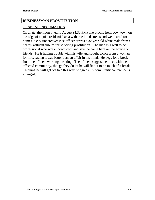#### **BUSINESSMAN PROSTITUTION**

#### GENERAL INFORMATION

On a late afternoon in early August (4:30 PM) two blocks from downtown on the edge of a quiet residential area with tree lined streets and well cared for homes, a city undercover vice officer arrests a 32 year old white male from a nearby affluent suburb for soliciting prostitution. The man is a well to do professional who works downtown and says he came here on the advice of friends. He is having trouble with his wife and sought solace from a woman for hire, saying it was better than an affair in his mind. He begs for a break from the officers working the sting. The officers suggest he meet with the affected community, though they doubt he will find it to be much of a break. Thinking he will get off free this way he agrees. A community conference is arranged.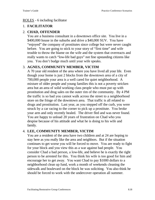#### ROLES - 6 including facilitator

# 1. **FACILITATOR**

# 2. **CHAD, OFFENDER**

You are a business consultant in a downtown office site. You live in a \$400,000 house in the suburbs and drive a \$40,000 SUV. You have "enjoyed" the company of prostitutes since college but were never caught before. You are going to stick to your story of "first time" and wife trouble to throw the blame on the wife and the system that overreacts and really wants to catch "low-life bad guys" not fine upstanding citizens like you. You don't budge much until your wife speaks.

# 3. **AGNES, COMMUNITY MEMBER, VICTIM**

A 70 year old resident of the area where you have lived all your life. Even though your home is just 2 blocks from the downtown area of a city of 700,000 people your area is a well cared for quiet neighborhood. A mixture of older people and young families this is not a poverty stricken area but an area of solid working class people who must put up with prostitution and drug sales on the outer rim of the community. By 4 PM the traffic is so bad you cannot walk across the street to a neighborhood store on the fringe of the downtown area. That traffic is all related to drugs and prostitution. Last year, as you stepped off the curb, you were struck by a car racing to the corner to pick up a prostitute. You broke your arm and only recently healed. The driver fled and was never found. You are happy to unload 20 years of frustration on Chad who you despise because of his attitude and what he is doing to his wife and family.

# 4. **LEE, COMMUNITY MEMBER, VICTIM**

You are a resident of the area have two children and at 24 are hoping to stay here as you really like the area and neighbors. But if the situation continues to get worse you will be forced to move. You are ready to fight for your block and you view this as a war against bad people. You consider Chad a bad person, a low-life, and believe he is exactly the right person to be arrested for this. You think his wife is too good for him and encourage her to get away. You want Chad to pay \$1000 dollars to a neighborhood clean up fund, work a month of weekends cleaning the sidewalk and boulevard on the block he was soliciting. You also think he should be forced to work with the undercover operation all summer.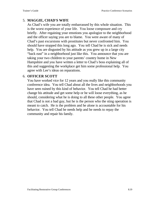# 5. **MAGGIE, CHAD'S WIFE**

As Chad's wife you are totally embarrassed by this whole situation. This is the worst experience of your life. You loose composure and cry briefly. After regaining your emotions you apologize to the neighborhood and the officer saying you are to blame. You were aware of many of Chad's past excursions with prostitutes but never confronted him. You should have stopped this long ago. You tell Chad he is sick and needs help. You are disgusted by his attitude as you grew up in a large city "back east" in a neighborhood just like this. You announce that you are taking your two children to your parents' country home in New Hampshire and you have written a letter to Chad's boss explaining all of this and suggesting the workplace get him some professional help. You agree with Lee's ideas on reparations.

#### 6. **OFFICER SCOTT**

You have worked vice for 12 years and you really like this community conference idea. You tell Chad about all the lives and neighborhoods you have seen ruined by this kind of behavior. You tell Chad he had better change his attitude and get some help or he will loose everything, as he should, considering what he is doing to all these other people. You agree that Chad is not a bad guy, but he is the person who the sting operation is meant to catch. He is the problem and he alone is accountable for his behavior. You tell Chad he needs help and he needs to repay the community and repair his family.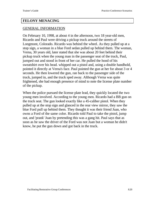#### **FELONY MENACING**

#### GENERAL INFORMATION

On February 10, 1998, at about 4 in the afternoon, two 18 year-old men, Ricardo and Paul were driving a pickup truck around the streets of Longmont, Colorado. Ricardo was behind the wheel. As they pulled up at a stop sign, a woman in a blue Ford sedan pulled up behind them. The woman, Verna, 30 years old, later stated that she was about 20 feet behind their pickup truck when the young man in the passenger seat of the truck, Paul, jumped out and stood in front of her car. He pulled the hood of his sweatshirt over his head. whipped out a pistol and, using a double handhold, pointed it directly at Verna's face. Paul pointed the gun at her for about 3 or 4 seconds. He then lowered the gun, ran back to the passenger side of the truck, jumped in, and the truck sped away. Although Verna was quite frightened, she had enough presence of mind to note the license plate number of the pickup.

When the police pursued the license plate lead, they quickly located the two young men involved. According to the young men. Ricardo had a BB gun on the truck seat. The gun looked exactly like a 45-caliber pistol. When they pulled up at the stop sign and glanced in the rear view mirror, they saw the blue Ford pull up behind them. They thought it was their friend Juan, who owns a Ford of the same color. Ricardo told Paul to take the pistol, jump out, and 'prank' Juan by pretending this was a gang hit. Paul says that as soon as he saw the driver of the Ford was not Juan but a woman he didn't know, he put the gun down and got back in the truck.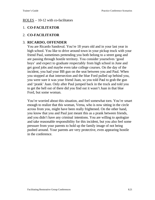#### ROLES – 10-12 with co-facilitators

# 1. **CO-FACILITATOR**

# 2. **CO-FACILITATOR**

#### 3. **RICARDO, OFFENDER**

You are Ricardo Sandoval. You're 18 years old and in your last year in high school. You like to drive around town in your pickup truck with your friend Paul, sometimes pretending you both belong to a street gang and are passing through hostile territory. You consider yourselves 'good boys' and expect to graduate respectably from high school in June and get good jobs and maybe even take college courses. On the day of the incident, you had your BB gun on the seat between you and Paul. When you stopped at that intersection and the blue Ford pulled up behind you, you were sure it was your friend Juan, so you told Paul to grab the gun and 'prank' Juan. Only after Paul jumped back in the truck and told you to get the hell out of there did you find out it wasn't Juan in that blue Ford, but some woman.

You're worried about this situation, and feel somewhat torn. You're smart enough to realize that this woman, Verna, who is now sitting in the circle across from you, might have been really frightened. On the other hand, you know that you and Paul just meant this as a prank between friends, and you didn't have any criminal intentions. You are willing to apologize and take reasonable responsibility for this incident, but you also feel some pressure from your parents to hold up the family image of not being pushed around. Your parents are very protective, even appearing hostile in the conference.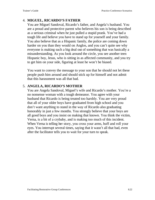# 4. **MIGUEL, RICARDO'S FATHER**

You are Miguel Sandoval, Ricardo's father, and Angela's husband. You are a proud and protective parent who believes his son is being described as a serious criminal when he just pulled a stupid prank. You've had a tough life and believe you have to stand up for yourself and your family. You also believe that as a Hispanic family, the police are coming down harder on you than they would on Anglos, and you can't quite see why everyone is making such a big deal out of something that was basically a misunderstanding. As you look around the circle, you see another teen Hispanic boy, Jesus, who is sitting in as affected community, and you try to get him on your side, figuring at least he won't be biased.

You want to convey the message to your son that he should not let these people push him around and should stick up for himself and not admit that this harassment was all that bad.

# 5. **ANGELA, RICARDO'S MOTHER**

You are Angela Sandoval, Miguel's wife and Ricardo's mother. You're a no nonsense woman with a tough demeanor. You agree with your husband that Ricardo is being treated too harshly. You are very proud that all of your older boys have graduated from high school and you don't want anything to stand in the way of Ricardo also graduating honorably in just a few months. You strongly believe that your boys are all good boys and you insist on making that known. You think the victim, Verna, is a bit of a crybaby, and is making too much of this incident. When Verna is telling her story, you cross your arms, huff and roll your eyes. You interrupt several times, saying that it wasn't all that bad, even after the facilitator tells you to wait for your turn to speak.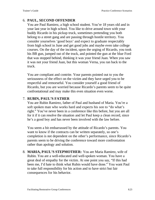# 6. **PAUL, SECOND OFFENDER**

You are Paul Ramirez, a high school student. You're 18 years old and in your last year in high school. You like to drive around town with your buddy Ricardo in his pickup truck, sometimes pretending you both belong to a street gang and are passing through hostile territory. You consider yourselves 'good boys' and expect to graduate respectably from high school in June and get good jobs and maybe even take college courses. On the day of the incident, upon the urging of Ricardo, you took his BB gun, jumped out of the truck, and pointed the gun at the blue Ford that was stopped behind, thinking it was your friend Juan. When you saw it was not your friend Juan, but this woman Verna, you ran back to the truck.

You are compliant and contrite. Your parents pointed out to you the seriousness of the effect on the victim and they have urged you to be respectful and remorseful. You consider yourself a good friend of Ricardo, but you are worried because Ricardo's parents seem to be quite confrontational and may make this even situation even worse.

#### 7. **RUBIN, PAUL'S FATHER**

You are Rubin Ramirez, father of Paul and husband of Maria. You're a soft spoken man who works hard and expects his son to "do what's right." You've never been in a conference like this before, but you are all for it if it can resolve the situation and let Paul keep a clean record, since he's a good boy and has never been involved with the law before.

You seem a bit embarrassed by the attitude of Ricardo's parents. You want to know if the contracts can be written separately, so one's completion is not dependent on the other's performance, since Ricardo's parents seem to be driving the conference toward more confrontation rather than apology and solution.

8. **MARIA, PAUL'S STEPMOTHER:** You are Maria Ramirez, wife of Rubin. You are a well-educated and well-spoken woman. You have a great deal of empathy for the victim. At one point you say, "If this had been me, I'd hate to think what Rubin would have done." You want Paul to take full responsibility for his action and to have strict but fair consequences for his behavior.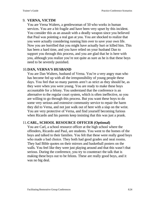# 9. **VERNA, VICTIM**

You are Verna Walters, a gentlewoman of 50 who works in human services. You are a bit fragile and have been very upset by this incident. You consider this as an assault with a deadly weapon since you believed that Paul was pointing a real gun at you. You are shocked to realize that you were actually considering running him over to save your own life. Now you are horrified that you might have actually hurt or killed him. This has been a hard time, and you have relied on your husband Dan to support you through this process, and you are glad that he is here with you, although you realize you're not quite as sure as he is that these boys need to be severely punished.

#### 10.**DAN, VERNA'S HUSBAND**

You are Dan Walters, husband of Verna. You're a very angry man who has become fed up with all the irresponsibility of young people these days. You feel that so many parents aren't as strict as they should be, as they were when you were young. You are ready to make these boys accountable for a felony. You understand that the conference is an alternative to the regular court system, which is often ineffective, so you are willing to go through this process. But you want these boys to do some very serious and extensive community service to repair the harm they did to Verna, and not just walk out of here with a slap on the wrist. You are very protective of Verna, and find yourself becoming furious when Ricardo and his parents keep insisting that this was just a prank.

#### 11.**CARL, SCHOOL RESOURCE OFFICER (Optional)**

You are Carl, a school resource officer at the high school where the offenders, Ricardo and Paul, are students. You went to the homes of the boys and talked to their families. You felt that these were really good boys who made a bad choice. They both had good grades and neat rooms. They had Bible quotes on their mirrors and basketball posters on the walls. You feel like they were just playing around and that this wasn't that serious. During the conference, you try to counteract the talk that is making these boys out to be felons. These are really good boys, and it was no big deal.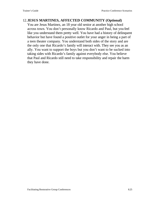#### 12.**JESUS MARTINES, AFFECTED COMMUNITY (Optional)**

You are Jesus Martinez, an 18 year old senior at another high school across town. You don't personally know Ricardo and Paul, but you feel like you understand them pretty well. You have had a history of delinquent behavior but have found a positive outlet for your anger in being a part of a teen theater company. You understand both sides of the story and are the only one that Ricardo's family will interact with. They see you as an ally. You want to support the boys but you don't want to be sucked into taking sides with Ricardo's family against everybody else. You believe that Paul and Ricardo still need to take responsibility and repair the harm they have done.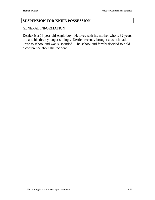#### **SUSPENSION FOR KNIFE POSSESSION**

#### GENERAL INFORMATION

Derrick is a 16-year-old Anglo boy. He lives with his mother who is 32 years old and his three younger siblings. Derrick recently brought a switchblade knife to school and was suspended. The school and family decided to hold a conference about the incident.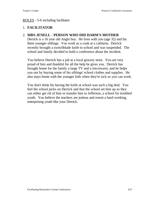#### ROLES - 5-6 including facilitator

# 1. **FACILITATOR**

# 2. **MRS JENELL - PERSON WHO DID HARM'S MOTHER**

Derrick is a 16 year old Anglo boy. He lives with you (age 32) and his three younger siblings. You work as a cook at a cafeteria. Derrick recently brought a switchblade knife to school and was suspended. The school and family decided to hold a conference about the incident.

You believe Derrick has a job at a local grocery store. You are very proud of him and thankful for all the help he gives you. Derrick has brought home for the family a large TV and a microwave, and he helps you out by buying some of his siblings' school clothes and supplies. He also stays home with the younger kids when they're sick so you can work.

You don't think his having the knife at school was such a big deal. You feel the school picks on Derrick and that the school set him up so they can either get rid of him or transfer him to Jefferson, a school for troubled youth. You believe the teachers are jealous and resent a hard-working, enterprising youth like your Derrick.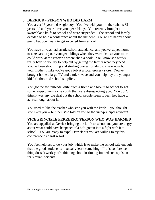# 3. **DERRICK - PERSON WHO DID HARM**

You are a 16-year-old Anglo boy. You live with your mother who is 32 years old and your three younger siblings. You recently brought a switchblade knife to school and were suspended. The school and family decided to hold a conference about the incident. You're not happy about going but don't want to get expelled from school.

You have always had erratic school attendance, and you've stayed home to take care of your younger siblings when they were sick so your mom could work at the cafeteria where she's a cook. You know she works really hard so you try to help out by getting the family what they need. You've been shoplifting and stealing purses for almost a year now but your mother thinks you've got a job at a local grocery store. You've brought home a large TV and a microwave and you help buy the younger kids' clothes and school supplies.

You got the switchblade knife from a friend and took it to school to get some respect from some youth that were disrespecting you. You don't think it was any big deal but the school people seem to feel they have to act real tough about it.

You used to like the teacher who saw you with the knife -- you thought s/he liked you -- but then s/he told on you to the vice-principal anyway!

4. **VICE PRINCIPLE FERRERRO/PERSON WHO WAS HARMED** You are appalled at Derrick bringing the knife to school and you are angry about what could have happened if a he'd gotten into a fight with it at school! You are ready to expel Derrick but you are willing to try this conference as a last resort.

You feel helpless to do your job, which is to make the school safe enough that the good students can actually learn something! If this conference thing doesn't work you're thinking about instituting immediate expulsion for similar incidents.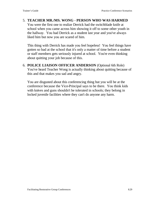# 5. **TEACHER MR./MS. WONG - PERSON WHO WAS HARMED**

You were the first one to realize Derrick had the switchblade knife at school when you came across him showing it off to some other youth in the hallway. You had Derrick as a student last year and you've always liked him but now you are scared of him.

This thing with Derrick has made you feel hopeless! You feel things have gotten so bad at the school that it's only a matter of time before a student or staff members gets seriously injured at school. You're even thinking about quitting your job because of this.

6. **POLICE LIAISON OFFICER ANDERSON** (Optional 6th Role) You've heard Teacher Wong is actually thinking about quitting because of this and that makes you sad and angry.

You are disgusted about this conferencing thing but you will be at the conference because the Vice-Principal says to be there. You think kids with knives and guns shouldn't be tolerated in schools; they belong in locked juvenile facilities where they can't do anyone any harm.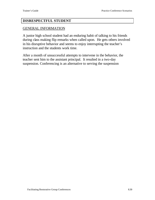#### **DISRESPECTFUL STUDENT**

#### GENERAL INFORMATION

A junior high school student had an enduring habit of talking to his friends during class making flip remarks when called upon. He gets others involved in his disruptive behavior and seems to enjoy interrupting the teacher's instruction and the students work time.

After a month of unsuccessful attempts to intervene in the behavior, the teacher sent him to the assistant principal. It resulted in a two-day suspension. Conferencing is an alternative to serving the suspension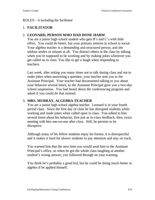#### ROLES – 6 including the facilitator

# 1. **FACILITATOR**

# 2. **LEONARD, PERSON WHO HAD DONE HARM**

You are a junior high school student who gets B's and C's with little effort. You could do better, but your primary interest in school is social. Your algebra teacher is a demanding and structured person, and she seldom smiles or relaxes at all. You distract others in the class by talking when you're supposed to be working and by making jokes whenever you get called on in class. You like to get a laugh when responding to teachers.

Last week, after asking you many times not to talk during class and not to make jokes when answering a question, your teacher sent you to the Assistant Principal. Your teacher had documented talking to you about your behavior several times, so the Assistant Principal gave you a two-day school suspension. You had heard about the conferencing program and asked if you could do that instead.

# 3. **MRS. MURRAY, ALGEBRA TEACHER**

You are a junior high school algebra teacher. Leonard is in your fourth period class. Since the first day of class he has disrupted students while working and made jokes when called upon in class. You talked to him several times about his behavior, first just as in-class feedback, then, twice meeting with him one-on-one after class. Still, he persists to be disruptive.

Although many of his fellow students enjoy his humor, it is disrespectful and it makes it hard for slower students to pay attention and stay on track.

You warned him that the next time you would send him to the Assistant Principal's office, so when he got the whole class laughing at another student's wrong answer, you followed through on your warning.

You think he's probably a good kid, but he could be doing much better in algebra if he applied himself.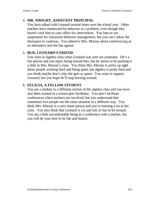# 4. **MR. WRIGHT, ASSISTANT PRINCIPAL**

You have talked with Leonard several times over the school year. Other teachers have mentioned his behavior as a problem, even though they haven't sent him to your office for intervention. You hate to use suspension for classroom behavior management, but you can't allow the disrespect to continue. You talked to Mrs. Murray about conferencing as an alternative and she has agreed.

# 5. **BUD, LEONARD'S FRIEND**

You were in algebra class when Leonard was sent out yesterday. He's a fun person and you enjoy being around him, but he seems to be pushing it a little in Mrs. Murray's class. You think Mrs. Murray is pretty up-tight about people working hard and being quiet, but algebra is pretty hard and you think maybe that's why she gets so upset. You want to support Leonard, but you hope he'll stop horsing around.

# 6. **FELICIA, A FELLOW STUDENT**

You are a student in a different section of the algebra class and you have also been trained as a school peer facilitator. You don't facilitate conferences when teachers are involved, but you understand that sometimes two people see the same situation in a different way. You think Mrs. Murray is a very smart person and you're learning a lot in her class. You also think that Leonard is cut and lots of fun to be around. You are a little uncomfortable being in a conference with a teacher, but you will do your best to be fair and honest.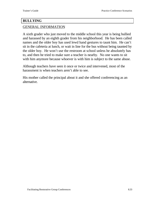#### **BULLYING**

#### GENERAL INFORMATION

A sixth grader who just moved to the middle school this year is being bullied and harassed by an eighth grader from his neighborhood. He has been called names and the older boy has used lewd hand gestures to taunt him. He can't sit in the cafeteria at lunch, or wait in line for the bus without being taunted by the older boy. He won't use the restroom at school unless he absolutely has to, and then he tried to make sure a teacher is nearby. No one wants to sit with him anymore because whoever is with him is subject to the same abuse.

Although teachers have seen it once or twice and intervened, most of the harassment is when teachers aren't able to see.

His mother called the principal about it and she offered conferencing as an alternative.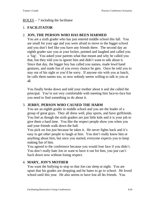#### ROLES  $-7$  including the facilitator

# 1. **FACILITATOR**

# 2. **JON, THE PERSON WHO HAS BEEN HARMED**

You are a sixth grader who has just entered middle school this fall. You are small for your age and you were afraid to move to the bigger school and you don't feel like you have any friends there. The second day an eighth grader saw you at your locker, pointed and laughed and called you a 'fag'. You asked your parents what that meant and why he called you that, but they told you to ignore him and didn't want to talk about it. Since that day, the bigger boy has called you names, made lewd hand gestures, and made fun of you every chance he gets. Once he told you to stay out of his sight or you'd be sorry. If anyone sits with you at lunch, he calls them names too, so now nobody seems willing to talk to you at all.

You finally broke down and told your mother about it and she called the principal. You're not very comfortable with meeting him face-to-face but you need to find something to do about it.

# 3. **JERRY, PERSON WHO CAUSED THE HARM**

You are an eighth grader in middle school and you are the leader of a group of great guys. They all dress well, play sports, and have girlfriends. You feel as though the sixth graders are just little kids and it is your job to give them a hard time. You like the respect people show you when you and your friends walk down the hall.

You pick on Jon just because he takes it. He never fights back and it's easy to get other people to laugh at him. You don't really know him or anything about him, but once you started, everyone expects you to keep making fun of him.

You agreed to the conference because you would lose face if you didn't. You don't really hate Jon or want to have it out for him, you just can't back down now without losing respect.

# 4. **MARY, JON'S MOTHER**

You want the bullying to stop so that Jon can sleep at night. You are upset that his grades are dropping and he hates to go to school. He loved school until this year. He also seems to have lost all his friends. You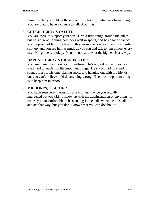think this Jerry should be thrown out of school for what he's been doing. You are glad to have a chance to talk about this.

# 5. **CHUCK, JERRY'S FATHER**

You are there to support your son. He's a little rough around the edges but he's a good looking boy, does well in sports, and has a lot of friends. You're proud of him. He lives with your mother since you and your wife split up, and you see him as much as you can and talk to him almost every day. His grades are okay. You are not sure what the big deal is anyway.

# 6. **DAPHNE, JERRY'S GRANDMOTER**

You are there to support your grandson. He's a good boy and you've tried hard to teach him the important things. He's a big kid now and spends most of his time playing sports and hanging out with his friends, but you can't believe he'd do anything wrong. The most important thing is to keep him in school.

# 7. **MR. JONES, TEACHER**

You have seen Jerry harass Jon a few times. Twice you actually intervened but you didn't follow up with the administration or anything. It makes you uncomfortable to be standing in the halls when the kids talk and act that way, but you don't know what you can do about it.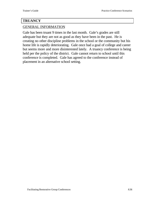# **TRUANCY**

## GENERAL INFORMATION

Gale has been truant 9 times in the last month. Gale's grades are still adequate but they are not as good as they have been in the past. He is creating no other discipline problems in the school or the community but his home life is rapidly deteriorating. Gale once had a goal of college and career but seems more and more disinterested lately. A truancy conference is being held per the policy of the district. Gale cannot return to school until this conference is completed. Gale has agreed to the conference instead of placement in an alternative school setting.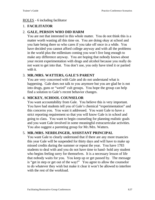### ROLES - 6 including facilitator

# 1. **FACILITATOR**

# 2. **GALE, PERSON WHO DID HARM**

You are not that interested in this whole matter. You do not think this is a matter worth wasting all this time on. You are doing okay at school and you hate being there so who cares if you take off once in a while. You have decided you cannot afford college anyway and with all the problems in the world plus the millenium coming you won't live long enough to make any difference anyway. You are hoping that nobody knows about your recent experimentation with drugs and alcohol because you really do not want to get into that. You don't use, you only have tried it or partied with it.

# 3. **MR./MRS. WATTERS, GALE'S PARENT**

You are very concerned with Gale and do not understand what is happening. Gale does not talk to you anymore but you are glad he is not into drugs, guns or "weird" cult groups. You hope the group can help find a solution to Gale's recent behavior changes.

# 4. **MICKEY, SCHOOL COUNSELOR**

You want accountability from Gale. You believe this is very important. You have had students tell you of Gale's chemical "experimentation" and this concerns you. You want it addressed. You want Gale to have a strict reporting requirement so that you will know Gale is in school and going to class. You want to begin counseling for planning realistic goals and you want Gale involved in some meaningful extracurricular activities. You also suggest a parenting group for Mr./Mrs. Watters.

# 5. **MR./MRS. NERDLINGER, ASSISTANT PRINCIPAL**

You want Gale to clearly understand that if there are any more truancies this year Gale will be suspended for thirty days and will have to make up missed credits during the summer or repeat the year. You have 1783 students to deal with and you do not have time to hand- hold any student who begins feeling sorry for themselves. It is a necessary lesson of life that nobody waits for you. You keep up or get passed by. The message is "get in step or get out of the way!" You agree to allow the counselor to do whatever they wish but make it clear it won't be allowed to interfere with the rest of the workload.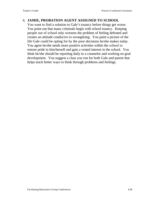## 6. **JAMIE, PROBATION AGENT ASSIGNED TO SCHOOL**

You want to find a solution to Gale's truancy before things get worse. You point out that many criminals begin with school truancy. Keeping people out of school only worsens the problem of feeling defeated and creates an attitude conducive to wrongdoing. You paint a picture of the life Gale could be opting for by the poor decisions he/she makes today. You agree he/she needs more positive activities within the school to restore pride in him/herself and gain a vested interest in the school. You think he/she should be reporting daily to a counselor and working on goal development. You suggest a class you run for both Gale and parent that helps teach better ways to think through problems and feelings.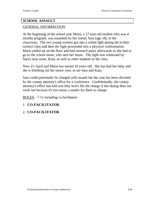# **SCHOOL ASSAULT**

## GENERAL INFORMATION

At the beginning of the school year Maria, a 17-year-old student who was 4 months pregnant, was assaulted by her friend, Sara (age 18), in the classroom. The two young women got into a verbal fight during lab in their science class and then the fight proceeded into a physical confrontation. Maria ended up on the floor and had stomach pains afterwards so she had to go to the school nurse, who sent her home. The fight was witnessed by Sara's twin sister, Kaia, as well as other students in the class.

Now it's April and Maria has turned 18 years old. She has had her baby and she is finishing out her senior year, as are Sara and Kaia.

Sara could potentially be charged with assault but the case has been diverted by the county attorney's office for a conference. Confidentially, the county attorney's office has told you they won't file the charge if this dialog does not work out because it's too minor a matter for them to charge.

ROLES - 7-12 including co-facilitators

# 1. **CO-FACILITATOR**

# 2. **CO-FACILITATOR**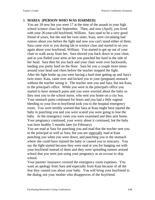# 3. **MARIA (PERSON WHO WAS HARMED)**

You are 18 now but you were 17 at the time of the assault in your high school science class last September. Then, and now (April), you lived with your 26-year-old boyfriend, William. Sara used to be a very good friend of yours, but she and her twin sister, Kaia, were circulating bad rumors about you before the fight and now you can't stand either of them. Sara came over to you during lab in science class and started in on you again about your boyfriend, William. You started to get up out of your chair to walk away from her. Sara shoved you back down in your chair, and as you flailed your arms at her you punched her hard in the side of her head. Sara then hit you back and your chair went over backwards, landing you pretty hard on the floor. Sara hit you a couple more times around your head and chest before the teacher stopped the fight. After the fight broke up you were having a hard time getting up and Sara's twin sister, Kaia, came over and kicked you in your (pregnant) stomach without the teacher seeing it. The teacher sent you and Sara, but not Kaia, to the principal's office. While you were in the principal's office you started to have stomach pains and you were worried about the baby so they sent you to the school nurse, who sent you home on a city bus. Your stomach pains continued for hours and you had a little vaginal bleeding so your live-in boyfriend took you to the hospital emergency room. You were terribly worried that Sara or Kaia might have injured the baby in punching you and you were scared you were going to lose the baby. At the emergency room you were examined and then sent home. Your pregnancy continued, your worry about it continued, but the baby was born healthy 5 months later (in February).

You are mad at Sara for punching you and mad that the teacher sent you to the principal as well as Sara, but you are especially mad at Kaia punching you when you were down, and punching you in the stomach where she could have injured the baby or caused you to miscarry. You say the fight started because they were mad at you for hanging out with your boyfriend instead of them and they were spreading rumors around school that you were just using your pregnancy as an excuse to skip school.

Your parents' insurance covered the emergency room expenses. You want an apology from Sara and especially from Kaia because of all the fear they caused you about your baby. You will bring your boyfriend to the dialog, not your mother who disapproves of the boyfriend.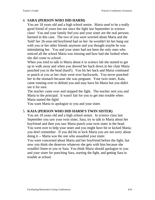# 4. **SARA (PERSON WHO DID HARM)**

You are 18 years old and a high school senior. Maria used to be a really good friend of yours but not since the fight last September in science class! You and your family feel you and your sister are the real persons harmed in this case. The two of you were worried about Maria and the 'hold' her 26-year-old boyfriend had on her: he wouldn't let her hang out with you or her other friends anymore and you thought maybe he was intimidating her. You and your sister had not been the only ones who noticed all the school Maria was missing and how bad she looked when she did come to school.

When you tried to talk to Maria about it in science lab she started to get up to walk away and when you shoved her back down in her chair Maria punched you in the head (hard!). You hit her back and Maria continued to punch at you as her chair went over backwards. You never punched her in the stomach because she was pregnant. Your twin sister, Kaia, came running over to defend you and may have hit Maria but you didn't see it for sure.

The teacher came over and stopped the fight. The teacher sent you and Maria to the principal. It wasn't fair for you to get into trouble when Maria started the fight!

You want Maria to apologize to you and your sister.

## 5. **KAIA (PERSON WHO DID HARM'S TWIN SISTER)**

You are 18 years old and a high school senior. In science class last September you saw your twin sister, Sara, try to talk to Maria about her boyfriend and then you saw Maria punch your twin sister in the head. You went over to help your sister and you might have hit or kicked Maria; you don't remember. If you did hit or kick Maria you are not sorry about doing it -- Maria was the one who assaulted your sister.

You were concerned about Maria and her boyfriend before the fight, but now you think she deserves whatever she gets with him because she wouldn't listen to you or Sara. You think Maria should apologize to you and your sister for punching Sara, starting the fight, and getting Sara in trouble at school.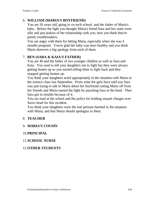### 6. **WILLIAM (MARIA'S BOYFRIEND)**

You are 26 years old, going to vo-tech school, and the father of Maria's baby. Before the fight you thought Maria's friend Sara and her sister were silly and just jealous of her relationship with you; now you think they're purely troublemakers.

You are angry with them for hitting Maria, especially when she was 4 months pregnant. You're glad the baby was born healthy and you think Maria deserves a big apology from each of them.

#### 7. **BEN (SARA & KAIA'S FATHER)**

You are 40 and the father of two younger children as well as Sara and Kaia. You used to tell your daughters not to fight but they were always getting beaten up so you started telling them to fight back and they stopped getting beaten up.

You think your daughters acted appropriately in the situation with Maria in the science class last September. From what the girls have told you Sara was just trying to talk to Maria about her boyfriend cutting Maria off from her friends and Maria started the fight by punching Sara in the head. Then Sara got in trouble because of it.

You are mad at the school and the police for holding assault charges over Sara's head for this incident.

You think your daughters were the real persons harmed in the situation with Maria, and that Maria should apologize to them.

#### 8. **TEACHER**

#### 9. **MARIA'S COUSIN**

#### 10.**PRINCIPAL**

#### 11.**SCHOOL NURSE**

#### 12.**OTHER STUDENTS**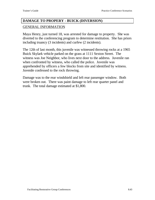# **DAMAGE TO PROPERY - BUICK (DIVERSION)**

## GENERAL INFORMATION

Maya Henry, just turned 18, was arrested for damage to property. She was diverted to the conferencing program to determine restitution. She has priors including truancy (3 incidents) and curfew (2 incidents).

The 12th of last month, this juvenile was witnessed throwing rocks at a 1965 Buick Skylark vehicle parked on the grass at 1111 Sexton Street. The witness was Joe Neighbor, who lives next door to the address. Juvenile ran when confronted by witness, who called the police. Juvenile was apprehended by officers a few blocks from site and identified by witness. Juvenile confessed to the rock throwing.

Damage was to the rear windshield and left rear passenger window. Both were broken out. There was paint damage to left rear quarter panel and trunk. The total damage estimated at \$1,800.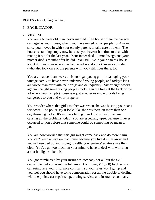#### ROLES - 6 including facilitator

# 1. **FACILITATOR**

## 2. **VICTIM**

You are a 68 year old man, never married. The house where the car was damaged is your house, which you have rented out to people for 4 years, since you moved in with your elderly parents to take care of them. The house is standing empty now because you haven't had time to deal with renting it out for the last year. Your father died 14 months ago and your mother died 3 months after he did. You still live in your parents' house - about 4 miles from where this happened -- and your 65-year-old sister (who also took care of the parents with you) still lives there, too.

You are madder than heck at this hooligan young girl for damaging your vintage car! You have never understood young people, and today's kids are worse than ever with their drugs and delinquency. Six or eight weeks ago you caught some young people smoking in the trees at the back of the lot where your (empty) house is  $-$  just another example of kids being dangerous to you and your property!

You wonder where that girl's mother was when she was busting your car's windows. The police say it looks like she was there on more than one day throwing rocks. It's mothers letting their kids run wild that are causing all the problems today! You are especially upset because it never occurred to you before that someone could do something so mean to you.

You are now worried that this girl might come back and do more harm. You can't keep an eye on that house because you live 4 miles away and you've been tied up with trying to settle your parents' estates since they died. You've got too much on your mind to have to deal with worrying about hooligans like this!

You got reimbursed by your insurance company for all but the \$250 deductible, but you want the full amount of money (\$1,800) back so you can reimburse your insurance company so your rates won't go up and you feel you should have some compensation for all the trouble of dealing with the police, car repair shop, towing service, and insurance company.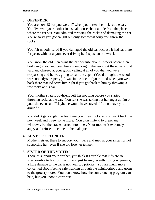# 3. **OFFENDER**

You are now 18 but you were 17 when you threw the rocks at the car. You live with your mother in a small house about a mile from the place where the car sits. You admitted throwing the rocks and damaging the car. You're sorry you got caught but only somewhat sorry you threw the rocks.

You felt nobody cared if you damaged the old car because it had sat there for years without anyone ever driving it. It's just an old wreck.

You know the old man owns the car because about 6 weeks before then he'd caught you and your friends smoking in the woods at the edge of that yard and charged at your group yelling at all of you that you were trespassing and he was going to call the cops. (You'd thought the woods were nobody's property.) It was in the back of your mind when you went back there that it'd serve him right if you got back at him by throwing a few rocks at his car.

Your mother's latest boyfriend left her not long before you started throwing rocks at the car. You felt she was taking out her anger at him on you; she even said "Maybe he would have stayed if I didn't have you around."

You didn't get caught the first time you threw rocks, so you went back the next week and threw some more. You didn't intend to break any windows, but the cracks turned into holes. Your mother is extremely angry and refused to come to the dialogue.

# 4. **AUNT OF OFFENDER**

Mother's sister, there to support your niece and mad at your sister for not supporting her, even if she did lose her temper.

# 5. **SISTER OF THE VICTIM**

There to support your brother, you think it's terrible that kids are so irresponsible today. Still, at 65 and just having recently lost your parents, a little damage to the car is not your top priority. You are much more concerned about feeling safe walking through the neighborhood and going to the grocery store. You don't know how the conferencing program can help, but you know it can't hurt.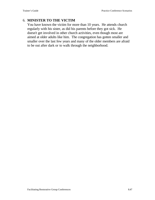# 6. **MINISTER TO THE VICTIM**

You have known the victim for more than 10 years. He attends church regularly with his sister, as did his parents before they got sick. He doesn't get involved in other church activities, even though most are aimed at older adults like him. The congregation has gotten smaller and smaller over the last few years and many of the older members are afraid to be out after dark or to walk through the neighborhood.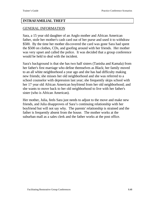### **INTRAFAMILIAL THEFT**

#### GENERAL INFORMATION

Sara, a 15 year old daughter of an Anglo mother and African American father, stole her mother's cash card out of her purse and used it to withdraw \$500. By the time her mother discovered the card was gone Sara had spent the \$500 on clothes, CDs, and goofing around with her friends. Her mother was very upset and called the police. It was decided that a group conference would be held to deal with the incident.

Sara's background is that she has two half sisters (Tanisha and Kamala) from her father's first marriage who define themselves as Black; her family moved to an all white neighborhood a year ago and she has had difficulty making new friends; she misses her old neighborhood and she was referred to a school counselor with depression last year; she frequently skips school with her 17 year old African American boyfriend from her old neighborhood; and she wants to move back to her old neighborhood to live with her father's sister (who is African American).

Her mother, Julia, feels Sara just needs to adjust to the move and make new friends, and Julia disapproves of Sara's continuing relationship with her boyfriend but will not say why. The parents' relationship is strained and the father is frequently absent from the house. The mother works at the suburban mall as a sales clerk and the father works at the post office.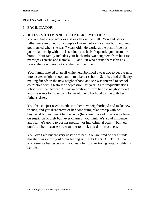### ROLES - 5-8 including facilitator

# 1. **FACILITATOR**

## 2. **JULIA - VICTIM AND OFFENDER'S MOTHER**

You are Anglo and work as a sales clerk at the mall. You and Sara's father were involved for a couple of years before Sara was born and you got married when she was 7 years old. He works at the post office but your relationship with him is strained and he is frequently gone from the home. Your family includes your husband's two daughters from his first marriage (Tanisha and Kamala - 18 and 19) who define themselves as Black; they say Sara picks on them all the time.

Your family moved to an all white neighborhood a year ago to get the girls into a safer neighborhood and into a better school. Sara has had difficulty making friends in the new neighborhood and she was referred to school counselors with a history of depression last year. Sara frequently skips school with her African American boyfriend from her old neighborhood and she wants to move back to her old neighborhood to live with her father's sister.

You feel she just needs to adjust to her new neighborhood and make new friends, and you disapprove of her continuing relationship with her boyfriend but you won't tell her why (he's been picked up a couple times on suspicion of theft but never charged; you think he's a bad influence and fear he's going to get her pregnant or into criminal activity but you don't tell her because you want her to think you don't trust her).

You love Sara but are very upset with her. You are tired of her attitude; this theft was it for you! Your feeling is: THIS HAS TO STOP NOW! You deserve her respect and you want her to start taking responsibility for her life.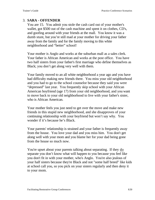# 3. **SARA - OFFENDER**

You are 15. You admit you stole the cash card out of your mother's wallet, got \$500 out of the cash machine and spent it on clothes, CD's, and goofing around with your friends at the mall. You know it was a dumb stunt, but you're still mad at your mother for driving your father away from the family and for the family moving to this white neighborhood and "better" school!

Your mother is Anglo and works at the suburban mall as a sales clerk. Your father is African American and works at the post office. You have two half sisters from your father's first marriage who define themselves as Black; you don't get along very well with them.

Your family moved to an all white neighborhood a year ago and you have had difficulty making new friends there. You miss your old neighborhood and you had to go to the school counselor because they said you were "depressed" last year. You frequently skip school with your African American boyfriend (age 17) from your old neighborhood, and you want to move back to your old neighborhood to live with your father's sister, who is African American.

Your mother feels you just need to get over the move and make new friends in this stupid new neighborhood, and she disapproves of your continuing relationship with your boyfriend but won't say why. You wonder if it's because he's Black.

Your parents' relationship is strained and your father is frequently away from the house. You love your dad and you miss him. You don't get along well with your mom and you blame her for your dad being gone from the house so much now.

You're upset about your parents talking about separating. If they do separate you don't know what will happen to you because you feel like you don't fit in with your mother, who's Anglo. You're also jealous of your half sisters because they're Black and not "some half breed" like kids at school call you, so you pick on your sisters regularly and then deny it to your mom.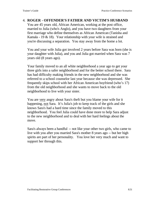### 4. **ROGER - OFFENDER'S FATHER AND VICTIM'S HUSBAND**

You are 45 years old, African American, working at the post office, married to Julia (who's Anglo), and you have two daughters from your first marriage who define themselves as African American (Tanisha and Kamala - 19  $\&$  18). Your relationship with your wife is strained and you're discussing a separation. You stay away from the home a lot.

You and your wife Julia got involved 2 years before Sara was born (she is your daughter with Julia), and you and Julia got married when Sara was 7 years old (8 years ago).

Your family moved to an all white neighborhood a year ago to get your three girls into a safer neighborhood and for the better school there. Sara has had difficulty making friends in the new neighborhood and she was referred to a school counselor last year because she was depressed. She frequently skips school with her African American boyfriend (who's 17) from the old neighborhood and she wants to move back to the old neighborhood to live with your sister.

You are very angry about Sara's theft but you blame your wife for it happening, not Sara. It's Julia's job to keep track of the girls and she knows Sara's had a hard time since the family moved to this neighborhood. You feel Julia could have done more to help Sara adjust to the new neighborhood and to deal with her hard feelings about the move.

Sara's always been a handful -- not like your other two girls, who came to live with you after you married Sara's mother 8 years ago -- but her high spirits are part of her personality. You love her very much and want to support her through this.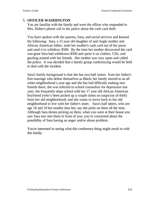#### 5. **OFFICER WASHINGTON**

You are familiar with the family and were the officer who responded to Mrs. Huber's phone call to the police about the cash card theft.

You have spoken with the parents, Sara, and social services and learned the following: Sara, a 15 year old daughter of and Anglo mother and African American father, stole her mother's cash card out of her purse and used it to withdraw \$500. By the time her mother discovered the card was gone Sara had withdrawn \$500 and spent it on clothes, CDs, and goofing around with her friends. Her mother was very upset and called the police. It was decided that a family group conferencing would be held to deal with the incident.

Sara's family background is that she has two half sisters from her father's first marriage who define themselves as Black; her family moved to an all white neighborhood a year ago and she has had difficulty making new friends there; she was referred to school counselors for depression last year; she frequently skips school with her 17 year old African American boyfriend (who's been picked up a couple times on suspicion of theft) from her old neighborhood; and she wants to move back to her old neighborhood to live with her father's sister. Sara's half sisters, who are age 18 and 19 but smaller than her, say she picks on them all the time. Although Sara denies picking on them, when you were at their house you saw Sara tear into them in front of you; you're concerned about the possibility of Sara having an anger and/or abuse problem.

You're interested in seeing what this conference thing might result in with this family.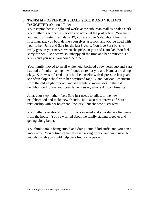# 6. **TANISHA - OFFENDER'S HALF SISTER AND VICTIM'S DAUGHTER** (Optional Role)

Your stepmother is Anglo and works at the suburban mall as a sales clerk. Your father is African American and works at the post office. You are 18 and your full sister, Kamala, is 19; you are Roger's daughters from his first marriage, you both define yourselves as Black, and you've lived with your father, Julia and Sara for the last 8 years. You love Sara but she really gets on your nerves when she picks on you and Kamala! You feel sorry for her -- she seems so unhappy all the time and her boyfriend's a jerk -- and you wish you could help her.

Your family moved to an all white neighborhood a few years ago and Sara has had difficulty making new friends there but you and Kamala are doing okay. Sara was referred to a school counselor with depression last year, she often skips school with her boyfriend (age 17 and African American) from the old neighborhood, and she wants to move back to the old neighborhood to live with your father's sister, who is African American.

Julia, your stepmother, feels Sara just needs to adjust to the new neighborhood and make new friends. Julia also disapproves of Sara's relationship with her boyfriend (the jerk!) but she won't say why.

Your father's relationship with Julia is strained and your dad is often gone from the house. You're worried about the family staying together and getting along better.

You think Sara is being stupid and doing "stupid kid stuff" and you don't know why. You're tired of her always picking on you and your sister but you also wish you could help Sara find some peace.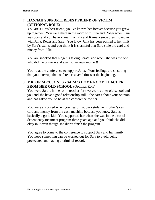# 7. **HANNAH SUPPORTER/BEST FRIEND OF VICTIM (OPTIONAL ROLE)**

You are Julia's best friend; you've known her forever because you grew up together. You were there in the room with Julia and Roger when Sara was born and you have known Tanisha and Kamala since they moved in with Julia, Roger and Sara. You know Julia has been pushed to her limit by Sara's stunts and you think it is shameful that Sara stole the card and money from Julia.

You are shocked that Roger is taking Sara's side when she was the one who did the crime -- and against her own mother!!

You're at the conference to support Julia. Your feelings are so strong that you interrupt the conference several times at the beginning.

# 8. **MR. OR MRS. JONES - SARA'S HOME ROOM TEACHER FROM HER OLD SCHOOL** (Optional Role)

You were Sara's home room teacher for two years at her old school and you and she have a good relationship still. She cares about your opinion and has asked you to be at the conference for her.

You were surprised when you heard that Sara stole her mother's cash card and money from the cash machine because you know Sara is basically a good kid. You supported her when she was in the alcohol dependency treatment program three years ago and you think she did okay in it even though she didn't finish the program.

You agree to come to the conference to support Sara and her family. You hope something can be worked out for Sara to avoid being prosecuted and having a criminal record.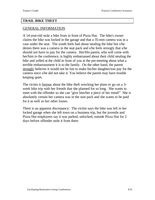### **TRAIL BIKE THEFT**

#### GENERAL INFORMATION

A 14-year-old stole a bike from in front of Pizza Hut. The bike's owner claims the bike was locked in the garage and that a 35-mm camera was in a case under the seat. The youth feels bad about stealing the bike but s/he denies there was a camera in the seat pack and s/he feels strongly that s/he should not have to pay for the camera. Her/His parent, who will come with her/him to the conference, is highly embarrassed about their child stealing the bike and yelled at the child in front of you at the pre-meeting about what a terrible embarrassment it is to the family. On the other hand, the parent strongly believes it would not be fair to make his/her daughter/son pay for the camera since s/he did not take it. You believe the parent may have trouble keeping quiet.

The victim is furious about the bike theft wrecking her plans to go on a 3 week bike trip with her friends that she planned for so long. She wants to meet with the offender so she can "give him/her a piece of her mind!" She is absolutely certain her camera was in the seat pack and she wants to be paid for it as well as her other losses.

There is an apparent discrepancy: The victim says the bike was left in her locked garage when she left town on a business trip, but the juvenile and Pizza Hut employees say it was parked, unlocked, outside Pizza Hut for 2 days before offender stole it from there.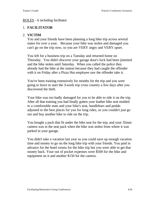#### ROLES - 6 including facilitator

## 1. **FACILITATOR**

## 2. **VICTIM**

You and your friends have been planning a long bike trip across several states for over a year. Because your bike was stolen and damaged you can't go on the trip now, so you are VERY angry and VERY upset.

You left for a business trip on a Tuesday and returned home on Thursday. You didn't discover your garage door's lock had been jimmied and the bike stolen until Saturday. When you called the police they already had the bike at the station because they had caught the offender with it on Friday after a Pizza Hut employee saw the offender take it.

You've been training extensively for months for the trip and you were going to leave to start the 3-week trip cross country a few days after you discovered the theft.

Your bike was too badly damaged for you to be able to ride it on the trip. After all that training you had finally gotten your leather bike seat molded to a comfortable state and your bike's seat, handlebars and pedals adjusted to the best places for you for long rides, so you couldn't just go out and buy another bike to ride on the trip.

You bought a pack that fit under the bike seat for the trip, and your 35mm camera was in the seat pack when the bike was stolen from where it was parked in your garage.

You didn't take a vacation last year so you could save up enough vacation time and money to go on the long bike trip with your friends. You paid in advance for the hotel rooms for the bike trip but you were able to get that money back. Your out of pocket expenses were \$500 for the bike and equipment on it and another \$150 for the camera.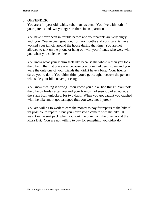## 3. **OFFENDER**

You are a 14 year old, white, suburban resident. You live with both of your parents and two younger brothers in an apartment.

You have never been in trouble before and your parents are very angry with you. You've been grounded for two months and your parents have worked your tail off around the house during that time. You are not allowed to talk on the phone or hang out with your friends who were with you when you stole the bike.

You know what your victim feels like because the whole reason you took the bike in the first place was because your bike had been stolen and you were the only one of your friends that didn't have a bike. Your friends dared you to do it. You didn't think you'd get caught because the person who stole your bike never got caught.

You know stealing is wrong. You know you did a "bad thing". You took the bike on Friday after you and your friends had seen it parked outside the Pizza Hut, unlocked, for two days. When you got caught you crashed with the bike and it got damaged (but you were not injured).

You are willing to work to earn the money to pay for repairs to the bike if it's possible to repair it, but you never saw a camera with the bike. It wasn't in the seat pack when you took the bike from the bike rack at the Pizza Hut. You are not willing to pay for something you didn't do.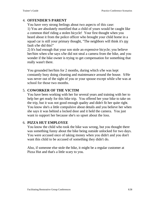# 4. **OFFENDER'S PARENT**

You have very strong feelings about two aspects of this case: 1) You are absolutely mortified that a child of yours would be caught like a common thief riding a stolen bicycle! Your first thought when you heard about it from the police officer who brought your child home in a squad car is still your primary thought, "The neighbors will think it's my fault s/he did this!"

2) It's bad enough that your son stole an expensive bicycle; you believe her/him when s/he says s/he did not steal a camera from the bike, and you wonder if the bike owner is trying to get compensation for something that really wasn't there.

You grounded her/him for 2 months, during which s/he was kept constantly busy doing cleaning and maintenance around the house. S/He was never out of the sight of you or your spouse except while s/he was at school for those two months.

## 5. **COWORKER OF THE VICTIM**

You have been working with her for several years and training with her to help her get ready for this bike trip. You offered her your bike to take on the trip, but it was not good enough quality and didn't fit her quite right. You know she's a little compulsive about details and you believe her when she says it was behind a locked door and it held the camera. You just want to support her because she's so upset about the loss.

# 6. **PIZZA HUT EMPLOYEE**

You know the child who took the bike was wrong, but you thought there was something funny about the bike being outside unlocked for two days. You were accused once of taking money when you didn't and you don't want this child to be accused of something they didn't do.

Also, if someone else stole the bike, it might be a regular customer at Pizza Hut and that's a little scary to you.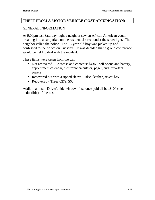#### **THEFT FROM A MOTOR VEHICLE (POST ADJUDICATION)**

#### GENERAL INFORMATION

At 9:00pm last Saturday night a neighbor saw an African American youth breaking into a car parked on the residential street under the street light. The neighbor called the police. The 15-year-old boy was picked up and confessed to the police on Tuesday. It was decided that a group conference would be held to deal with the incident.

These items were taken from the car:

- Not recovered Briefcase and contents: \$436 cell phone and battery, appointment calendar, electronic calculator, pager, and important papers
- Recovered but with a ripped sleeve Black leather jacket: \$350.
- Recovered Three CD's: \$60

Additional loss - Driver's side window: Insurance paid all but \$100 (the deductible) of the cost.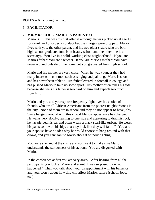### ROLES – 6 including facilitator

## 1. **FACILITATOR**

## 2. **MR/MRS COLE, MARIO'S PARENT #1**

Mario is 15; this was his first offense although he was picked up at age 12 for drunk and disorderly conduct but the charges were dropped. Mario lives with you, the other parent, and his two older sisters who are both high school graduates (one is in beauty school and the other one is a secretary). You live in a solid, working class neighborhood. If you are Mario's father: You are a teacher. If you are Mario's mother: You have never worked outside of the home but you graduated from high school.

Mario and his mother are very close. When he was younger they had many interests in common such as singing and painting. Mario is short and has never been athletic. His father lettered in football in college and has pushed Mario to take up some sport. His mother often takes his side because she feels his father is too hard on him and expects too much from him.

Mario and you and your spouse frequently fight over his choice of friends, who are all African Americans from the poorest neighborhoods in the city. None of them are in school and they do not appear to have jobs. Since hanging around with this crowd Mario's appearance has changed. He walks very slowly, leaning to one side and appearing to drag his foot, he has pierced his ear and often wears a black scarf-like turban. He wears his pants so low on his hips that they look like they will fall off. You and your spouse have no idea why he would choose to hang around with that crowd, and you can't talk to Mario about it without fighting.

You were shocked at the crime and you want to make sure Mario understands the seriousness of his actions. You are disgusted with Mario.

In the conference at first you are very angry. After hearing from all the participants you look at Mario and admit "I was surprised by what happened." Then you talk about your disappointment with his behavior and your worry about how this will affect Mario's future (school, jobs, etc.).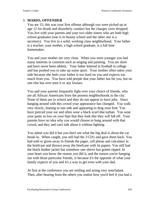# 3. **MARIO, OFFENDER**

You are 15; this was your first offense although you were picked up at age 12 for drunk and disorderly conduct but the charges were dropped. You live with your parents and your two older sisters who are both high school graduates (one is in beauty school and the other one is a secretary). You live in a solid, working class neighborhood. Your father is a teacher; your mother, a high school graduate, is a full time homemaker.

You and your mother are very close. When you were younger you had many interests in common such as singing and painting. You are short and have never been athletic. Your father lettered in football in college and has pushed you to take up some sport. Your mother often takes your side because she feels your father is too hard on you and expects too much from you. You have told people that your father has hit you, but no one else has ever seen it or any bruises.

You and your parents frequently fight over your choice of friends, who are all African Americans from the poorest neighborhoods in the city. None of them are in school and they do not appear to have jobs. Since hanging around with this crowd your appearance has changed. You walk very slowly, leaning to one side and appearing to drag your foot. You have pierced your ear and often wear a black scarf-like turban. You wear your pants so low on your hips that they look like they will fall off. Your parents have no idea why you would choose to hang around with that crowd, and they and can't talk about it without fighting.

You admit you did it but you don't see what the big deal is about the car break-in. When caught, you still had the 3 CD's and gave them back. You had sold or given away to friends the pager, cell phone and calculator in the briefcase and thrown away the briefcase with its papers. You still had the black leather jacket but somehow one sleeve has gotten ripped. In your heart you know the reason you did it, and the reason you're hanging out with those particular friends, is because it's the opposite of what your family expects of you and it's a way to get even with your dad.

At first at the conference you are smiling and acting very nonchalant. Then, after hearing from the others you realize how you'd feel if you had a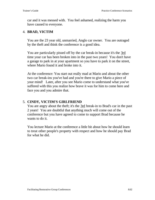car and it was messed with. You feel ashamed, realizing the harm you have caused to everyone.

#### 4. **BRAD, VICTIM**

You are the 23 year old, unmarried, Anglo car owner. You are outraged by the theft and think the conference is a good idea.

You are particularly pissed off by the car break-in because it's the 3rd time your car has been broken into in the past two years! You don't have a garage to park in at your apartment so you have to park it on the street, where Mario found it and broke into it.

At the conference: You start out really mad at Mario and about the other two car break-ins you've had and you're there to give Mario a piece of your mind! Later, after you see Mario come to understand what you've suffered with this you realize how brave it was for him to come here and face you and you admire that.

### 5. **CINDY, VICTIM'S GIRLFRIEND**

You are angry about the theft; it's the 3rd break-in to Brad's car in the past 2 years! You are doubtful that anything much will come out of the conference but you have agreed to come to support Brad because he wants to do it.

You lecture Mario at the conference a little bit about how he should learn to treat other people's property with respect and how he should pay Brad for what he did.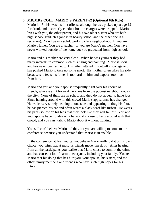### 6. **MR/MRS COLE, MARIO'S PARENT #2 (Optional 6th Role)** Mario is 15; this was his first offense although he was picked up at age 12 for drunk and disorderly conduct but the charges were dropped. Mario lives with you, the other parent, and his two older sisters who are both high school graduates (one is in beauty school and the other one is a secretary). You live in a solid, working class neighborhood. If you are Mario's father: You are a teacher. If you are Mario's mother: You have

never worked outside of the home but you graduated from high school.

Mario and his mother are very close. When he was younger they had many interests in common such as singing and painting. Mario is short and has never been athletic. His father lettered in football in college and has pushed Mario to take up some sport. His mother often takes his side because she feels his father is too hard on him and expects too much from him.

Mario and you and your spouse frequently fight over his choice of friends, who are all African Americans from the poorest neighborhoods in the city. None of them are in school and they do not appear to have jobs. Since hanging around with this crowd Mario's appearance has changed. He walks very slowly, leaning to one side and appearing to drag his foot, he has pierced his ear and often wears a black scarf-like turban. He wears his pants so low on his hips that they look like they will fall off. You and your spouse have no idea why he would choose to hang around with that crowd, and you can't talk to Mario about it without fighting.

You still can't believe Mario did this, but you are willing to come to the conference because you understand that Mario is in trouble.

In the conference, at first you cannot believe Mario really did it of his own choice; you think that at most his friends made him do it. After hearing from all the participants you realize that Mario chose to commit the crime and has caused a lot of harm to everyone, including your family. You tell Mario that his doing that has hurt you, your spouse, his sisters, and the other family members and friends who have such high hopes for his future.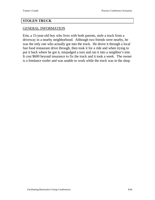#### **STOLEN TRUCK**

#### GENERAL INFORMATION

Erin, a 15-year-old boy who lives with both parents, stole a truck from a driveway in a nearby neighborhood. Although two friends were nearby, he was the only one who actually got into the truck. He drove it through a local fast food restaurant drive through, then took it for a ride and when trying to put it back where he got it, misjudged a turn and ran it into a neighbor's tree. It cost \$600 beyond insurance to fix the truck and it took a week. The owner is a freelance roofer and was unable to work while the truck was in the shop.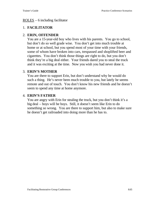### ROLES – 6 including facilitator

## 1. **FACILITATOR**

## 2. **ERIN, OFFENDER**

You are a 15-year-old boy who lives with his parents. You go to school, but don't do so well grade wise. You don't get into much trouble at home or at school, but you spend most of your time with your friends, some of whom have broken into cars, trespassed and shoplifted beer and cigarettes. You don't think those things are right to do, but you don't think they're a big deal either. Your friends dared you to steal the truck and it was exciting at the time. Now you wish you had never done it.

## 3. **ERIN'S MOTHER**

You are there to support Erin, but don't understand why he would do such a thing. He's never been much trouble to you, but lately he seems remote and out of touch. You don't know his new friends and he doesn't seem to spend any time at home anymore.

## 4. **ERIN'S FATHER**

You are angry with Erin for stealing the truck, but you don't think it's a big deal – boys will be boys. Still, it doesn't seem like Erin to do something so wrong. You are there to support him, but also to make sure he doesn't get railroaded into doing more than he has to.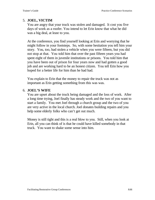# 5. **JOEL, VICTIM**

You are angry that your truck was stolen and damaged. It cost you five days of work as a roofer. You intend to let Erin know that what he did was a big deal, at least to you.

At the conference, you find yourself looking at Erin and worrying that he might follow in your footsteps. So, with some hesitation you tell him your story. You, too, had stolen a vehicle when you were fifteen, but you did not stop at that. You told him that over the past fifteen years you had spent eight of them in juvenile institutions or prisons. You told him that you have been out of prison for four years now and had gotten a good job and are working hard to be an honest citizen. You tell Erin how you hoped for a better life for him than he had had.

You explain to Erin that the money to repair the truck was not as important as Erin getting something from this was was.

## 6. **JOEL'S WIFE**

You are upset about the truck being damaged and the loss of work. After a long time trying, Joel finally has steady work and the two of you want to start a family. You met Joel through a church group and the two of you are very active in the local church. Joel donates building repairs and you help some elderly folks who can't get out much.

Money is still tight and this is a real blow to you. Still, when you look at Erin, all you can think of is that he could have killed somebody in that truck. You want to shake some sense into him.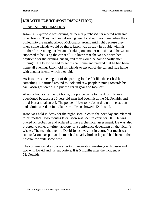# **DUI WITH INJURY (POST DISPOSITION)** GENERAL INFORMATION

Jason, a 17-year-old was driving his newly purchased car around with two other friends. They had been drinking beer for about two hours when they pulled into the neighborhood McDonalds around midnight because they knew some friends would be there. Jason was already in trouble with his mother for breaking curfew and drinking on another occasion and he wasn't supposed to be using the car at all. He knew that she was out with her boyfriend for the evening but figured they would be home shortly after midnight. He knew he had to get his car home and pretend that he had been home all evening. Jason told his friends to get out of the car and ride home with another friend, which they did.

As Jason was backing out of the parking lot, he felt like the car had hit something. He turned around to look and saw people running towards his car. Jason got scared. He put the car in gear and took off.

About 2 hours after he got home, the police came to the door. He was questioned because a 25-year-old man had been hit at the McDonald's and the driver and taken off. The police officer took Jason down to the station and administered an intoxilator test. Jason showed .12 alcohol.

Jason was held in detox for the night, seen in court the next day and released to his mother. Two months later Jason was seen in court for DUI He was placed on probation and ordered to have a chemical assessment. He was also ordered to either a written apology or a conference depending on the victim's wishes. The man that he hit, David Jones, was not in court. Not much was said to Jason except that the man had a badly broken leg and had been in the hospital for quite some time.

The conference takes place after two preparation meetings with Jason and two with David and his supporters. It is 5 months after the incident at McDonalds.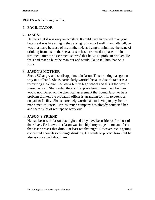### ROLES – 6 including facilitator

# 1. **FACILITATOR**

### 2. **JASON**:

He feels that it was only an accident. It could have happened to anyone because it was late at night, the parking lot was not well lit and after all, he was in a hurry because of his mother. He is trying to minimize the issue of drinking from his mother because she has threatened to place him in treatment after the assessment showed that he was a problem drinker, He feels bad that he hurt the man but and would like to tell him that he is sorry,

## 3. **JASON'S MOTHER**

She is SO angry and so disappointed in Jason. This drinking has gotten way out of hand. She is particularly worried because Jason's father is a recovering alcoholic. She knew him in high school and this is the way he started as well. She wanted the court to place him in treatment but they would not. Based on the chemical assessment that found Jason to be a problem drinker, the probation officer is arranging for him to attend an outpatient facility. She is extremely worried about having to pay for the man's medical costs. Her insurance company has already contacted her and there is lot of red tape to work out.

## 4. **JASON'S FRIEND**

He had been with Jason that night and they have been friends for most of their lives. He knows that Jason was in a big hurry to get home and feels that Jason wasn't that drunk- at least not that night. However, hie is getting concerned about Jason's binge drinking, He wants to protect Jason but he also is concerned about him.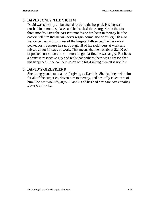# 5. **DAVID JONES, THE VICTIM**

David was taken by ambulance directly to the hospital. His leg was crushed in numerous places and he has had three surgeries in the first three months. Over the past two months he has been in therapy but the doctors tell him that he will never regain normal use of his leg. His auto insurance has paid for most of the hospital bills except he has out-of pocket costs because he ran through all of his sick hours at work and missed about 30 days of work. That means that he has about \$2000 outof pocket cost so far and still more to go. At first he was angry. But he is a pretty introspective guy and feels that perhaps there was a reason that this happened. If he can help Jason with his drinking then all is not lost.

### 6. **DAVID'S GIRLFRIEND**

She is angry and not at all as forgiving as David is, She has been with him for all of the surgeries, driven him to therapy, and basically taken care of him. She has two kids, ages - 2 and 5 and has had day care costs totaling about \$500 so far.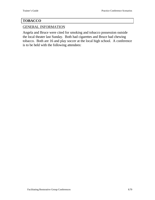# **TOBACCO**

## GENERAL INFORMATION

Angela and Bruce were cited for smoking and tobacco possession outside the local theater last Sunday. Both had cigarettes and Bruce had chewing tobacco. Both are 16 and play soccer at the local high school. A conference is to be held with the following attendees: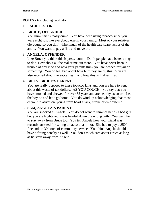### ROLES - 6 including facilitator

# 1. **FACILITATOR**

# 2. **BRUCE, OFFENDER**

You think this is really dumb. You have been using tobacco since you were eight just like everybody else in your family. Most of your relatives die young so you don't think much of the health care scare tactics of the anti's. You want to pay a fine and move on.

# 3. **ANGELA, OFFENDER**

Like Bruce you think this is pretty dumb. Don't people have better things to do? How about all the real crime out there? You have never been in trouble of any kind and now your parents think you are headed for jail or something. You do feel bad about how hurt they are by this. You are also worried about the soccer team and how this will affect that.

## 4. **BILLY, BRUCE'S PARENT**

You are really opposed to these tobacco laws and you are here to vent about this waste of tax dollars. AS YOU COUGH—you say that you have smoked and chewed for over 35 years and are healthy as an ox. Let the boy be and let's go home. You do wind up acknowledging that most of your relatives die young from heart attack, stroke or emphysema.

# 5. **SAM, ANGELA'S PARENT**

You are shocked at Angela. You do not want to think of her as a bad girl but you are frightened she is headed down the wrong path. You want her to stay away from Bruce too. You tell Angela how your friend was recently arrested for selling tobacco to a minor. She had to pay a \$500 fine and do 30 hours of community service. You think Angela should have a fitting penalty as well. You don't much care about Bruce as long as he stays away from Angela.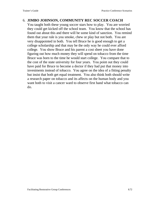# 6. **JIMBO JOHNSON, COMMUNITY REC SOCCER COACH**

You taught both these young soccer stars how to play. You are worried they could get kicked off the school team. You know that the school has found out about this and there will be some kind of sanction. You remind them that your rule is you smoke, chew or play but not both. You are very disappointed in both. You tell Bruce he is good enough to get a college scholarship and that may be the only way he could ever afford college. You show Bruce and his parent a cost sheet you have done figuring out how much money they will spend on tobacco from the time Bruce was born to the time he would start college. You compare that to the cost of the state university for four years. You point out they could have paid for Bruce to become a doctor if they had put that money into investments instead of tobacco. You agree on the idea of a fitting penalty but insist that both get equal treatment. You also think both should write a research paper on tobacco and its affects on the human body and you want both to visit a cancer ward to observe first hand what tobacco can do.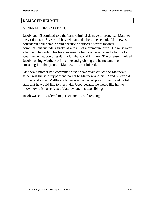#### **DAMAGED HELMET**

#### GENERAL INFORMATION:

Jacob, age 15 admitted to a theft and criminal damage to property. Matthew, the victim, is a 13-year-old boy who attends the same school. Matthew is considered a vulnerable child because he suffered severe medical complications include a stroke as a result of a premature birth. He must wear a helmet when riding his bike because he has poor balance and a failure to wear the helmet could result in a fall that could kill him. The offense involved Jacob pushing Matthew off his bike and grabbing the helmet and then smashing it to the ground. Matthew was not injured.

Matthew's mother had committed suicide two years earlier and Matthew's father was the sole support and parent to Matthew and his 12 and 8 year old brother and sister. Matthew's father was contacted prior to court and he told staff that he would like to meet with Jacob because he would like him to know how this has effected Matthew and his two siblings.

Jacob was court ordered to participate in conferencing.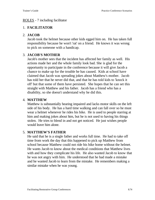#### ROLES - 7 including facilitator

# 1. **FACILITATOR**

# 2. **JACOB**

Jacob took the helmet because other kids egged him on. He has taken full responsibility because he won't 'rat' on a friend. He knows it was wrong to pick on someone with a handicap.

### 3. **JACOB'S MOTHER**

Jacob's mother sees that the incident has affected her family as well. His actions made her and the whole family look bad. She is glad for the opportunity to participate in the conference because it will give Jacob a chance to make up for the trouble he has caused. Kids at school have claimed that Jacob was spreading jokes about Matthew's mother. Jacob has told her that he never did that, and that he has told kids to 'knock it off' but that some of them have persisted. She hopes that he can set this straight with Matthew and his father. Jacob has a friend who has a disability, so she doesn't understand why he did this.

#### 4. **MATTHEW**

Matthew is substantially hearing impaired and lacks motor skills on the left side of his body. He has a hard time walking and can fall over so he must wear a helmet whenever he rides his bike. He is used to people starring at him and making jokes about him, but he is not used to having his things stolen. He tries to blend in and not get noticed. He just wishes people would leave him alone.

# 5. **MATTHEW'S FATHER**

He said that he is a single father and works full time. He had to take off time from work the day that this happened to pick up Matthew from school because Matthew could not ride his bike home without the helmet. He wants Jacob to know about the medical conditions that Matthew lives with and how they complicate his life. He also wanted Jacob to know that he was not angry with him. He understood that he had made a mistake and he wanted Jacob to learn from the mistake. He remembers making a similar mistake when he was young.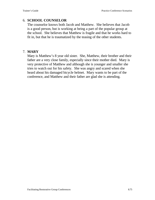# 6. **SCHOOL COUNSELOR**

The counselor knows both Jacob and Matthew. She believes that Jacob is a good person, but is working at being a part of the popular group at the school. She believes that Matthew is fragile and that he works hard to fit in, but that he is traumatized by the teasing of the other students.

# 7. **MARY**

Mary is Matthew's 8 year old sister. She, Matthew, their brother and their father are a very close family, especially since their mother died. Mary is very protective of Matthew and although she is younger and smaller she tries to watch out for his safety. She was angry and scared when she heard about his damaged bicycle helmet. Mary wants to be part of the conference, and Matthew and their father are glad she is attending.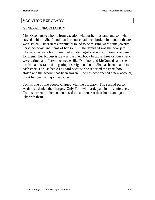#### **VACATION BURGLARY**

#### GENERAL INFORMATION

Mrs. Olson arrived home from vacation without her husband and son who stayed behind. She found that her house had been broken into and both cars were stolen. Other items eventually found to be missing were some jewelry, her checkbook, and items of her son's. Also damaged was the door jam. The vehicles were both found but not damaged and no restitution is required for them. Her biggest issue was the checkbook because three or four checks were written at different businesses like Dominos and McDonalds and she has had a miserable time getting it straightened out. She has been unable to cash checks or use her ATM card because she reported the checkbook stolen and the account has been frozen. She has now opened a new account, but it has been a major headache.

Tom is one of two people charged with the burglary. The second person, Andy, has denied the charges. Only Tom will participate in the conference. Tom is a friend of her son and used to eat dinner at their house and go the lake with them.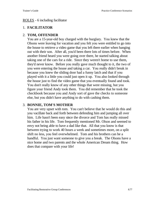#### ROLES - 6 including facilitator

# 1. **FACILITATOR**

# 2. **TOM, OFFENDER**

You are a 15-year-old boy charged with the burglary. You knew that the Olsons were leaving for vacation and you felt you were entitled to go into the house to retrieve a video game that you left there earlier when hanging out with their son. After all, you'd been there lots of times before. When another friend heard you were going over there, he started talking about taking one of the cars for a ride. Since they weren't home to use them, they'd never know. Before you really gave much thought to it, the two of you were entering the house and taking a car. You really didn't break in because you knew the sliding door had a funny latch and that if you played with it a little you could just open it up. You also looked through the house just to find the video game that you eventually found and took. You don't really know of any other things that were missing, but you figure your friend Andy took them. You did remember that he took the checkbook because you and Andy sort of gave the checks to someone else, but you didn't have anything to do with cashing them.

### 3. **BONNIE, TOM'S MOTHER**

You are very upset with tom. You can't believe that he would do this and you vacillate back and forth between defending him and jumping all over him. Life hasn't been easy since the divorce and Tom has really missed his father in his life. Tom frequently mentioned Mr. Olson and seemed to envy not being able to have a dad like that. All that you know is that between trying to work 40 hours a week and sometimes more, on a split shift no less, you feel overwhelmed. Tom and his brothers can be a handful. You just want someone to give you a break. The Olsons have a nice home and two parents and the whole American Dream thing. How does that compare with your life!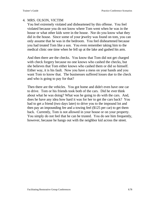#### 4. MRS. OLSON, VICTIM

You feel extremely violated and disheartened by this offense. You feel violated because you do not know where Tom went when he was in the house or what other kids were in the house. Nor do you know what they did in the house. Since some of your jewelry was found on tom, you can only assume that he was in the bedroom. You feel disheartened because you had treated Tom like a son. You even remember taking him to the medical clinic one time when he fell up at the lake and gashed his arm.

And then there are the checks. You know that Tom did not get charged with check forgery because no one knows who cashed the checks, but she believes that Tom either knows who cashed them or did so himself. Either way, it is his fault. Now you have a mess on your hands and you want Tom to know that. The businesses suffered losses due to the check and who is going to pay for that?

Then there are the vehicles. You got home and didn't even have one car to drive. Tom or his friends took both of the cars. Did he ever think about what he was doing? What was he going to do with the cars. And, does he have any idea how hard it was for her to get the cars back? You had to get a friend (two days later) to drive you to the impound lot and then pay an impounding fee and a towing feel (\$125 per car) to get them back. Currently, Tom is not allowed in your house or on your property. You simply do not feel that he can be trusted. You do see him frequently, however, because he hangs out with the neighbor kid across the street.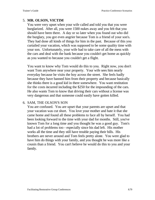# 5. **MR. OLSON, VICTIM**

You were very upset when your wife called and told you that you were burglarized. After all, you were 1500 nukes away and you felt that you should have been there. A day or so later when you found out who did the burglary, you got even angrier because Tom is a friend of your son's. They had done all kinds of things for him in the past. Because of this you curtailed your vacation, which was supposed to be some quality time with your son. Unfortunately, your wife had to take care of all the mess with the cars and deal with the bank because you couldn't get home as quickly as you wanted to because you couldn't get a flight.

You want to know why Tom would do this to you. Right now, you don't want Tom anywhere near your property. Your wife sees him nearly everyday because he visits the boy across the street. She feels badly because they have banned him from their property and because basically she thinks there is a good kid in there somewhere. You want restitution for the costs incurred including the \$250 for the impounding of the cars. He also wants Tom to know that driving their cars without a license was very dangerous and that someone could easily have gotten killed.

#### 6. SAM, THE OLSON'S SON

You are confused. You are upset that your parents are upset and that your vacation was cut short. You love your mother and hate it that she came home and found all these problems to face all by herself. You had been looking forward to the time with your dad for months. Still, you've known Tom for a long time and you thought he was a good guy. Tom's had a lot of problems too - especially since his dad left. His mother works all the time and they still have trouble paying their bills. His brothers are never around and Tom feels pretty alone. You were glad to have him do things with your family, and you thought he was more like a cousin than a friend. You can't believe he would do this to you and your family.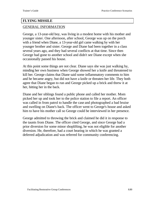### **FLYING MISSILE**

### GENERAL INFORMATION

George, a 13-year-old boy, was living in a modest home with his mother and younger sister. One afternoon, after school, George was up on the porch with a friend when Diane, a 13-year-old girl came walking by with her younger brother and sister. George and Diane had been together in a class several years ago, and they had several conflicts at that time. Since then George had gone to another school and didn't see Diane except when she occasionally passed his house.

At this point some things are not clear. Diane says she was just walking by, minding her own business when George showed her a knife and threatened to kill her. George claims that Diane said some inflammatory comments to him and he became angry, but did not have a knife or threaten her life. They both agree that Diane began to run and George picked up a brick and threw it at her, hitting her in the back.

Diane and her siblings found a public phone and called her mother. Mom picked her up and took her to the police station to file a report. An officer was called in from patrol to handle the case and photographed a bad bruise and swelling on Diane's back. The officer went to George's house and asked him to have his mother call so George could be interviewed in her presence.

George admitted to throwing the brick and claimed he did it in response to the taunts from Diane. The officer cited George, and since George had a prior diversion for some minor shoplifting, he was not eligible for another diversion. He, therefore, had a court hearing in which he was granted a deferred adjudication and was referred for community conferencing.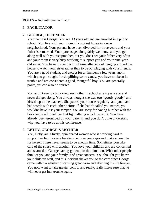#### $\frac{ROLES}{P}$  – 6-9 with one facilitator

# 1. **FACILITATOR**

# 2. **GEORGE, OFFENDER**

Your name is George. You are 13 years old and are enrolled in a public school. You live with your mom in a modest house in a nice neighborhood. Your parents have been divorced for three years and your father is remarried. Your parents get along fairly well now, and you get along well with your stepmother, but you don't see your father very often and your mom is very busy working to support you and your nine-yearold sister. You have to spend a lot of time after school hanging around the house to watch your sister rather than to be out playing with your friends. You are a good student, and except for an incident a few years ago in which you got caught for shoplifting some candy, you have not been in trouble and are considered a good, thoughtful boy. You are generally polite, yet can also be spirited.

You and Diane (victim) knew each other in school a few years ago and never did get along. You always thought she was too "goody-goody" and kissed-up to the teachers. She passes your house regularly, and you have had words with each other before. If she hadn't called you names, you wouldn't have lost your temper. You are sorry for having hurt her with the brick and tried to tell her that fight after you had thrown it. You have already been grounded by your parents, and you don't quite understand why you have to be at this conference.

### 3. **BETTY, GEORGE'S MOTHER**

You, Betty, are a lively, opinionated woman who is working hard to support her family since her divorce three years ago and make a new life for herself There never seems to be enough time. Sometimes you take care of the stress with alcohol. You love your children and are concerned and shamed at George having gotten into this situation. What other people think of you and your family is of great concern. You thought you knew your children well, and this incident shakes you to the core since George came within a whisker of causing great harm and affecting his life forever. You now want to take greater control and really, really make sure that he will never get into trouble again.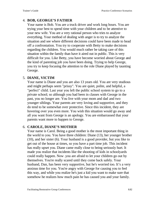# 4. **BOB, GEORGE'S FATHER**

Your name is Bob. You are a truck driver and work long hours. You are trying your best to spend time with your children and to be attentive to your new wife. You are a very rational person who tries to analyze everything. Your method of dealing with anger is to try to analyze the situation and see where different decisions could have been made to head off a confrontation. You try to cooperate with Betty to make decisions regarding the children. You would much rather be taking care of this situation within the family than have it aired out in public. This is very difficult for you. Like Betty, you have become worried about George and the kind of parenting job you have been doing. Trying to help George, you try to keep focusing the attention to the role Diane played by taunting George.

#### 5. **DIANE, VICTIM**

Your name is Diane and you are also 13 years old. You are very studious and might perhaps seem "prissy". You are quiet, polite, and helpful, a "perfect" child. Last year you left the public school system to go to a private school; so although you had been in classes with George in the past, you no longer are. You live with your mom and dad and two younger siblings. Your parents are very loving and supportive, and they do tend to be somewhat over protective. Since this incident, they are hovering over you even more. You wish this situation would go away and all you want from George is an apology. You are embarrassed that your parents want more to happen to George.

### 6. **CAROLE, DIANE'S MOTHER**

Your name is Carol. Being a good mother is the most important thing in the world to you. You have three children: Diane (13), her younger brother (10), and her sister (6). Your husband is a good provider, but you like to get out of the house at times, so you have a part time job. This incident has really upset you. Diane came really close to being seriously hurt. It made you realize that incidents like the shooting of kids in schoolyards could really happen. Now .you are afraid to let your children go out by themselves. You're really scared until they come back safely. Your husband, Dan, has been very supportive, but he's worried too. It's a very anxious time for you. You're angry with George for causing you to feel this way, and while you realize he's just a kid you want to make sure that somehow he realizes how much pain he has caused you and your family.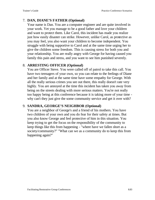# 7. **DAN, DIANE'S FATHER (Optional)**

Your name is Dan. You are a computer engineer and are quite involved in your work. Yet you manage to be a good father and love your children and want to protect them. Like Carol, this incident has made you realize just how easily disaster can strike. However, unlike Carol, as protective as you may feel, you also want your children to become independent. You struggle with being supportive to Carol and at the same time urging her to give the children some freedom. This is causing stress for both you and your relationship. You are really angry with George for having caused you family this pain and stress, and you want to see him punished severely.

#### 8. **ARRESTING OFFICER (Optional)**

You are Officer Steve. You were called off of patrol to take this call. You have two teenagers of your own, so you can relate to the feelings of Diane and her family and at the same time have some empathy for George. With all the really serious crimes you see out there, this really doesn't rate very highly. You are annoyed at the time this incident has taken you away from being on the streets dealing with more serious matters. You're not really too happy being at this conference because it is taking more of your time why can't they just give the some community service and get it over with?

### 9. **SANDRA, GEORGE'S NEIGHBOR (Optional)**

You are a neighbor of George's and a friend of his mothers. You have two children of your own and you do fear for their safety at times. But you also know George and feel protective of him in this situation. You keep trying to get the focus on the responsibility of the community to keep things like this from happening - "where have we fallen short as a society/community?" "What can we as a community do to keep this from happening again?"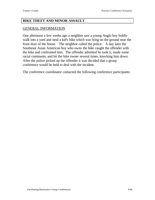#### **BIKE THEFT AND MINOR ASSAULT**

#### GENERAL INFORMATION

One afternoon a few weeks ago a neighbor saw a young Anglo boy boldly walk into a yard and steal a kid's bike which was lying on the ground near the front door of the house. The neighbor called the police. A day later the Southeast Asian American boy who owns the bike caught the offender with the bike and confronted him. The offender admitted he took it, made some racial comments, and hit the bike owner several times, knocking him down. After the police picked up the offender it was decided that a group conference would be held to deal with the incident.

The conference coordinator contacted the following conference participants: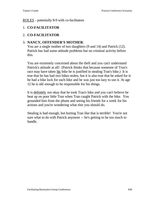ROLES - potentially 8-9 with co-facilitators

# 1. **CO-FACILITATOR**

# 2. **CO-FACILITATOR**

### 3. **NANCY, OFFENDER'S MOTHER**:

You are a single mother of two daughters (9 and 14) and Patrick (12). Patrick has had some attitude problems but no criminal activity before this.

You are extremely concerned about the theft and you can't understand Patrick's attitude at all! (Patrick thinks that because someone of Tran's race may have taken his bike he is justified in stealing Tran's bike.) It is true that he has had two bikes stolen, but it is also true that he asked for it: he had a bike lock for each bike and he was just too lazy to use it. At age 12 he is old enough to be responsible for his things.

It is definitely not okay that he took Tran's bike and you can't believe he beat up on poor little Tran when Tran caught Patrick with the bike. You grounded him from the phone and seeing his friends for a week for his actions and you're wondering what else you should do.

Stealing is bad enough, but hurting Tran like that is terrible! You're not sure what to do with Patrick anymore -- he's getting to be too much to handle.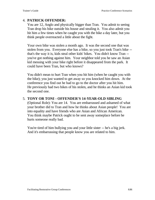### 4. **PATRICK OFFENDER:**

You are 12, Anglo and physically bigger than Tran. You admit to seeing Tran drop his bike outside his house and stealing it. You also admit you hit him a few times when he caught you with the bike a day later, but you think people overreacted a little about the fight.

Your own bike was stolen a month ago. It was the second one that was stolen from you. Everyone else has a bike, so you just took Tran's bike - that's the way it is, kids steal other kids' bikes. You didn't know Tran - you've got nothing against him. Your neighbor told you he saw an Asian kid messing with your bike right before it disappeared from the park. It could have been Tran, but who knows?

You didn't mean to hurt Tran when you hit him (when he caught you with the bike); you just wanted to get away so you knocked him down. At the conference you find out he had to go to the doctor after you hit him. He previously had two bikes of his stolen, and he thinks an Asian kid took the second one.

### 5. **TONY OR TONI - OFFENDER'S 14-YEAR-OLD SIBLING**

(Optional Role): You are 14. You are embarrassed and ashamed of what your brother did to Tran and how he thinks about Asian people! You are into equality and have friends who are Asian and African American. You think maybe Patrick ought to be sent away someplace before he hurts someone really bad.

You're tired of him bullying you and your little sister -- he's a big jerk. And it's embarrassing that people know you are related to him.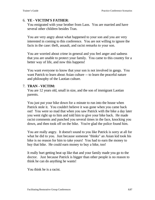### 6. **YE - VICTIM'S FATHER**:

You emigrated with your brother from Laos. You are married and have several other children besides Tran.

You are very angry about what happened to your son and you are very interested in coming to this conference. You are not willing to ignore the facts in the case: theft, assault, and racist remarks to your son.

You are worried about crime in general and you feel anger and sadness that you are unable to protect your family. You came to this country for a better way of life, and now this happens!

You want everyone to know that your son is not involved in gangs. You want Patrick to learn about Asian culture -- to learn the peaceful nature and philosophy of the Laotian culture.

### 7. **TRAN - VICTIM:**

You are 12 years old, small in size, and the son of immigrant Laotian parents.

You just put your bike down for a minute to run into the house when Patrick stole it. You couldn't believe it was gone when you came back out! You were so mad that when you saw Patrick with the bike a day later you went right up to him and told him to give your bike back. He made racist comments and punched you several times in the face, knocking you down, and then took off on the bike. You're glad the police found him.

You are really angry. It doesn't sound to you like Patrick is sorry at all for what he did to you. Just because someone "thinks" an Asian kid took his bike is no reason for him to take yours! You had to earn the money to buy that bike. He could earn money to buy a bike, too!

It really hurt getting beat up like that and your family made you go to the doctor. Just because Patrick is bigger than other people is no reason to think he can do anything he wants!

You think he is a racist.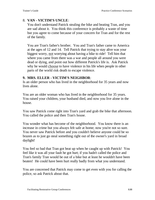# 8. **VAN - VICTIM'S UNCLE**:

You don't understand Patrick stealing the bike and beating Tran, and you are sad about it. You think this conference is probably a waste of time but you agree to come because of your concern for Tran and for the rest of the family.

You are Tran's father's brother. You and Tran's father came to America at the ages of 12 and 14. Tell Patrick that trying to stay alive was your biggest worry, not worrying about having a bike to ride! Tell him that where you came from there was a war and people all around you were dead or dying, and point out how different Patrick's life is. Ask Patrick why he would choose to have violence in his life when people in other parts of the world risk death to escape violence.

#### **9. MRS. ELLER - VICTIM'S NEIGHBOR**:

Is an older person who has lived in the neighborhood for 35 years and now lives alone.

You are an older woman who has lived in the neighborhood for 35 years. You raised your children, your husband died, and now you live alone in the house.

You saw Patrick come right into Tran's yard and grab the bike that afternoon. You called the police and then Tran's house.

You wonder what has become of the neighborhood. You know there is an increase in crime but you always felt safe at home; now you're not so sure. You never saw Patrick before and you couldn't believe anyone could be so brazen as to just go steal something right out of the owner's yard in broad daylight!

You feel so bad that Tran got beat up when he caught up with Patrick! You feel like it was all your fault he got hurt; if you hadn't called the police and Tran's family Tran would be out of a bike but at least he wouldn't have been beaten! He could have been hurt really badly from what you understand.

You are concerned that Patrick may come to get even with you for calling the police, so ask Patrick about that.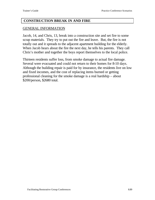#### **CONSTRUCTION BREAK IN AND FIRE**

#### GENERAL INFORMATION

Jacob, 14, and Chris, 13, break into a construction site and set fire to some scrap materials. They try to put out the fire and leave. But, the fire is not totally out and it spreads to the adjacent apartment building for the elderly. When Jacob hears about the fire the next day, he tells his parents. They call Chris's mother and together the boys report themselves to the local police.

Thirteen residents suffer loss, from smoke damage to actual fire damage. Several were evacuated and could not return to their homes for 8-10 days. Although the building repair is paid for by insurance, the residents live on low and fixed incomes, and the cost of replacing items burned or getting professional cleaning for the smoke damage is a real hardship – about \$200/person, \$2680 total.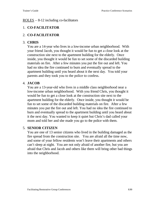#### ROLES – 8-12 including co-facilitators

# 1. **CO-FACILITATOR**

# 2. **CO-FACILITATOR**

# 3. **CHRIS**

You are a 14-year who lives in a low-income urban neighborhood. With your friend Jacob, you thought it would be fun to get a close look at the construction site next to the apartment building for the elderly. Once inside, you thought it would be fun to set some of the discarded building materials on fire. After a few minutes you put the fire out and left. You had no idea the fire continued to burn and eventually spread to the apartment building until you heard about it the next day. You told your parents and they took you to the police to confess.

# 4. **JACOB**

You are a 13-year-old who lives in a middle class neighborhood near a low-income urban neighborhood. With you friend Chris, you thought it would be fun to get a close look at the construction site next to the apartment building for the elderly. Once inside, you thought it would be fun to set some of the discarded building materials on fire. After a few minutes you put the fire out and left. You had no idea the fire continued to burn and eventually spread to the apartment building until you heard about it the next day. You wanted to keep it quiet but Chris's dad called your mom and told her and she made you go to the police with them.

### 5. **SENIOR CITIZEN**

You are one of 13 senior citizens who lived in the building damaged as the fire spread from the construction site. You are afraid all the time now, and some of your fellow residents won't leave their apartments and others can't sleep at night. You are not only afraid of another fire, but you are afraid that Chris and Jacob and others like them will bring other bad things into the neighborhood.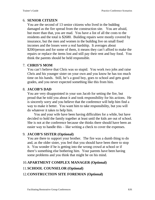# 6. **SENIOR CITIZEN**

You are the second of 13 senior citizens who lived in the building damaged as the fire spread from the construction site. You are afraid, but more than that, you are mad. You have a list of all the costs to the residents and the total is \$2680. Building repairs were mostly covered by insurance, but the men and women in the building live on small fixed incomes and the losses were a real hardship. It averages about \$200/person and for some of them, it means they can't afford to make the repairs or replace the items lost and still pay their rent and buy food. You think the parents should be held responsible.

# 7. **CHRIS'S MOM**

You can't believe that Chris was so stupid. You work two jobs and raise Chris and his younger sister on your own and you know he has too much time on his hands. Still, he's a good boy, goes to school and gets good grades, and you never expected something like this from him.

# 8. **JACOB'S DAD**

You are very disappointed in your son Jacob for setting the fire, but proud that he told you about it and took responsibility for his actions. He is sincerely sorry and you believe that the conference will help him find a way to make it better. You want him to take responsibility, but you will do whatever it takes to help him.

 You and your wife have been having difficulties for a while, but have decided to hold the family together at least until the kids are out of school. She is not at the conference because she thinks there should have been an easier way to handle this – like writing a check to cover the expenses.

### 9. **JACOB'S SISTER (Optional)**

You are there to support your brother. The fire was a dumb thing to do and, as the older sister, you feel that you should have been there to stop it. You wonder if he is getting into the wrong crowd at school or if there's something else bothering him. Your parents have been having some problems and you think that might be on his mind.

# 10.**APARTMENT COMPLEX MANAGER (Optional)**

# 11.**SCHOOL COUNSELOR (Optional)**

# 12.**CONSTRUCTION SITE FOREMAN (Optional)**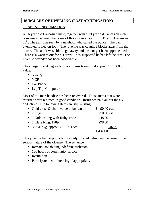# **BURGLARY OF DWELLING (POST ADJUDICATION)** GENERAL INFORMATION

A 16 year old Caucasian male, together with a 19 year old Caucasian male companion, entered the home of this victim at approx. 2:15 a.m. December  $28<sup>th</sup>$ . The pair was seen by a neighbor who called the police. The pair attempted to flee on foot. The juvenile was caught 2 blocks away from the house. The adult was able to get away and has not yet been apprehended. There is a warrant out for his arrest. It is suspected he has left the area. The juvenile offender has been cooperative.

The charge is 2nd degree burglary. Items taken total approx. \$12,300.00 value:

- Jewelry
- VCR
- Car Phone
- Lap Top Computer

Most of the merchandise has been recovered. Those items that were returned were returned in good condition. Insurance paid all but the \$500 deductible. The following items are still missing:

| • Gold cross $\&$ chain value unknown | $$90.00$ est. |
|---------------------------------------|---------------|
| $\bullet$ 2 rings                     | 250.00 est.   |
| • 1 Gold setting with Ruby stone      | 448.00        |
| $\bullet$ 1 Class Ring, 1989          | 298.00        |
| • 35 CD's $@$ approx. \$11.00 each    | 346.00        |
|                                       | 1,432.00      |

This juvenile has no priors but was adjudicated delinquent because of the serious nature of the offense. The sentence:

- Remain law abiding/indefinite probation.
- 100 hours of community service.
- Restitution.
- Participate in conferencing if appropriate.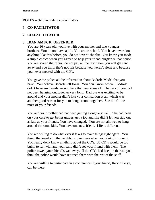#### ROLES – 9-13 including co-facilitators

### 1. **CO-FACILITATOR**

### 2. **CO-FACILITATOR**

#### 3. **IRAN AMUCK, OFFENDER**

You are 16 years old, you live with your mother and two younger brothers. You do not have a job. You are in school. You have never done anything like this before, you do not "even" shoplift. You know you made a stupid choice when you agreed to help your friend burglarize that house. You are scared that if you do not pay all the restitution you will get sent away and you think that's not fair because you weren't alone and because you never messed with the CD's.

You gave the police all the information about Badrole Model that you have. You believe Badrole left town. You don't know where. Badrole didn't have any family around here that you know of. The two of you had not been hanging out together very long. Badrole was exciting to be around and your mother didn't like your companion at all, which was another good reason for you to hang around together. She didn't like most of your friends.

You and your mother had not been getting along very well. She had been on your case to get better grades, get a job and she didn't let you stay out as late as your friends. You have changed. You are not allowed to hang around the same kids. You have one new friend. Life is different.

You are willing to do what ever it takes to make things right again. You threw the jewelry in the neighbor's pine trees when you took off running. You really don't know anything about the CD's. 35 CD's would be too bulky to run with and you really didn't see your friend with them. The police towed your friend's van away. If the CD's had been in the van you think the police would have returned them with the rest of the stuff.

You are willing to participate in a conference if your friend, Rootin Ferya, can be there.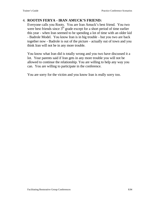# 4. **ROOTIN FERYA - IRAN AMUCK'S FRIEND:**

Everyone calls you Rooty. You are Iran Amuck's best friend. You two were best friends since  $3<sup>rd</sup>$  grade except for a short period of time earlier this year - when Iran seemed to be spending a lot of time with an older kid - Badrole Model. You know Iran is in big trouble - but you two are back together now - Badrole is out of the picture - actually out of town and you think Iran will not be in any more trouble.

You know what Iran did is totally wrong and you two have discussed it a lot. Your parents said if Iran gets in any more trouble you will not be allowed to continue the relationship. You are willing to help any way you can. You are willing to participate in the conference.

You are sorry for the victim and you know Iran is really sorry too.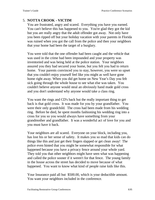# 5. **NOTTA CROOK - VICTIM**

You are frustrated, angry and scared. Everything you have you earned. You can't believe this has happened to you. You're glad they got the kid but you are really angry that the adult offender got away. Not only have you been ripped off but your holiday vacation with your parents in Florida was ruined when you got the call from the police and then your neighbors that your home had been the target of a burglary.

You were told that the one offender had been caught and the vehicle that was used in the crime had been impounded and your property was inventoried and was being held at the police station. Your neighbors assured you they had secured your home, but you felt you had to return home. Your parents convinced you to stay, however, you were so upset that you couldn't enjoy yourself feel like you might as well have gone home right away. When you did get home on New Year's Day you felt sick going through the whole house to see what else was taken. You couldn't believe anyone would steal an obviously hand made gold cross and you don't understand why anyone would take a class ring.

You want the rings and CD's back but the really important thing to get back is that gold cross. It was made for you by your grandfather. You were their only grandchild. The cross had been made from his wedding ring. Before he died, he spent months fashioning his wedding ring into a cross for you so you would always have something from your grandmother and grandfather. It was a wonderful act of love for you and you must have it back.

Your neighbors are all scared. Everyone on your block, including you, has lost his or her sense of safety. It makes you so mad that kids can do things like this and just get their fingers slapped or get clean away! The police even hinted that you might be somewhat responsible for what happened because you have a privacy fence around your whole yard. They told you that other neighbors might have seen what was happening and called the police sooner if it weren't for that fence. The young family in the house across the street has decided to move because of what happened. You want to know what kind of people raise kids like this.

Your Insurance paid all but \$500.00, which is your deductible amount. You want your neighbors included in the conference.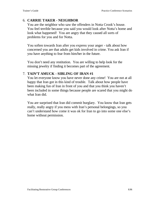# 6. **CARRIE TAKER - NEIGHBOR**

You are the neighbor who saw the offenders in Notta Crook's house. You feel terrible because you said you would look after Notta's home and look what happened! You are angry that they caused all sorts of problems for you and for Notta.

You soften towards Iran after you express your anger - talk about how concerned you are that adults get kids involved in crime. You ask Iran if you have anything to fear from him/her in the future.

You don't need any restitution. You are willing to help look for the missing jewelry if finding it becomes part of the agreement.

# 7. **TAIN'T AMUCK - SIBLING OF IRAN #1**

You let everyone know you have never done any crime! You are not at all happy that Iran got in this kind of trouble. Talk about how people have been making fun of Iran in front of you and that you think you haven't been included in some things because people are scared that you might do what Iran did.

You are surprised that Iran did commit burglary. You know that Iran gets really, really angry if you mess with Iran's personal belongings, so you can't understand how come it was ok for Iran to go into some one else's home without permission.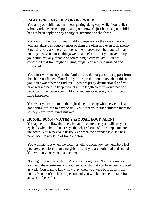# 8. **IM AMUCK – MOTHER OF OFFENDER**

You and your child have not been getting along very well. Your child's schoolwork has been slipping and you know it's just because your child has not been applying any energy or attention to schoolwork.

You do not like most of your child's companions - they were the kind who are always in trouble - most of them are older and even look sneaky. Since this burglary there has been some improvement but, you still have not regained your trust - things were bad before -- but you never thought your child actually capable of committing a criminal act. You are concerned that Iran might be using drugs. You are embarrassed and frustrated.

You must work to support the family - you do not get child support from the children's father. Your family of origin does not know about this and you don't want them to find out. They are pretty dysfunctional and you have worked hard to keep them at arm's length so they would not be a negative influence on your children - you are wondering how this could have happened.

You want your child to do the right thing - meeting with the victim is a good thing for Iran to have to do. You want your other children there too so they learn from Iran's mistakes!

### 9. **HUNNIE BUNN - VICTIM'S SPOUSAL EQUIVALENT**

You agreed to follow the rules, but at the conference you will roll your eyeballs when the offender says the whereabouts of the companion are unknown. You also give a heavy sigh when the offender says she has never been in any kind of trouble before.

You will interrupt when the victim is telling about how the neighbors feel you are even closer than a neighbor is and you are both mad and scared. You will only interrupt this one time.

Nothing of yours was taken. And even though it is Notta's house - you are living there part-time and you feel strongly that you have been violated as well. You want to know how they knew you were both away from home. You aren't a difficult person and you will be inclined to take Iran's answer at face value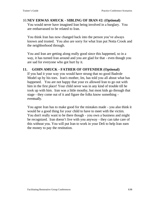#### 10.**NEV ERWAS AMUCK - SIBLING OF IRAN #2: (Optional)** You would never have imagined Iran being involved in a burglary. You are embarrassed to be related to Iran.

You think Iran has now changed back into the person you've always known and trusted. You also are sorry for what Iran put Notta Crook and the neighborhood through.

You and Iran are getting along really good since this happened, so in a way, it has turned Iran around and you are glad for that - even though you are sad for everyone who got hurt by it.

# **11. GOHN AMUCK - FATHER OF OFFENDER (Optional)**

If you had it your way you would have strung that no good Badrole Model up by his toes. Iran's mother, Im, has told you all about what has happened. You are not happy that your ex allowed Iran to go out with him in the first place! Your child never was in any kind of trouble till he took up with him. Iran was a little mouthy, but most kids go through that stage - they come out of it and figure the folks know something eventually.

You agree Iran has to make good for the mistakes made - you also think it would be a good thing for your child to have to meet with the victim. You don't really want to be there though - you own a business and might be recognized. Iran doesn't live with you anyway - they can take care of this without you. You will put Iran to work in your Deli to help Iran earn the money to pay the restitution.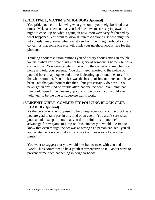# 12.**NTA ITALL, VICTIM'S NEIGHBOR (Optional)**

You pride yourself on knowing what goes on in your neighborhood at all times. Make a statement that you feel like have to start staying awake all night to check up on what's going on now. You were very frightened by what happened. You want to know if Iran told anyone else who might be into burglarizing homes what was stolen from their neighborhood - your concern is that some one else will think your neighborhood is ripe for the pickings!

Thinking about restitution reminds you of a story about getting in trouble yourself when you were a kid - not burglary of someone's home - but of a corner store. You were caught in the act by the owner who marched you home and told your parents. You didn't get reported to the police but you did have to apologize and to work cleaning up around the store for the whole summer. You think it was the best punishment there could have been - not that you thought that then - but you certainly do now. You never got in any kind of trouble after that one incident! You think that Iran could spend time cleaning up your whole block. You would even volunteer to be the one to supervise Iran's work.

# 13.**LIKENIT QUIET -COMMUNITY POLICING BLOCK CLUB LEADER (Optional)**

As the person who is supposed to help keep everybody on the block safe you are glad to take part in this kind of an event. You aren't sure what you can add except to note that you don't think it is to anyone's advantage for everyone to jump on Iran. Rather you would like Iran to know that even though the act was as wrong as a person can get - you all appreciate the courage it takes to come sit with everyone to face the music!

You want to suggest that you would like Iran to meet with you and the Block Clubs committee to be a youth representative to talk about ways to prevent crime from happening in neighborhoods.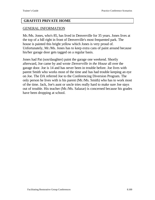#### **GRAFFITI PRIVATE HOME**

#### GENERAL INFORMATION

Mr./Ms. Jones, who's 85, has lived in Denverville for 35 years. Jones lives at the top of a hill right in front of Denverville's most frequented park. The house is painted this bright yellow which Jones is very proud of. Unfortunately, Mr./Ms. Jones has to keep extra cans of paint around because his/her garage door gets tagged on a regular basis.

Jones had Pat (son/daughter) paint the garage one weekend. Shortly afterward, Joe came by and wrote *Denverville in the House* all over the garage door. Joe is 14 and has never been in trouble before. Joe lives with parent Smith who works most of the time and has had trouble keeping an eye on Joe. The DA referred Joe to the Conferencing Diversion Program. The only person he lives with is his parent (Mr./Ms. Smith) who has to work most of the time. Jack, Joe's aunt or uncle tries really hard to make sure Joe stays out of trouble. His teacher (Mr./Ms. Salazar) is concerned because his grades have been dropping at school.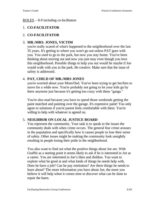#### ROLES – 8-9 including co-facilitators

#### 1. **CO-FACILITATOR**

#### 2. **CO-FACILITATOR**

#### 3. **MR./MRS. JONES, VICTIM**

you're really scared of what's happened to the neighborhood over the last 35 years. It's getting to where you won't go out unless PAT goes with you. You used to go to the park, but now you stay home. You've been thinking about moving out and now you just may even though you love this neighborhood. Possible things to help you out would be maybe if Joe would walk with you in the park. Be creative. Make sure that the issue of safety is addressed.

#### 4. **PAT, CHILD OF MR./MRS JONES**

you're worried about your Mom/Dad. You've been trying to get her/him to move for a while now. You're probably not going to let your kids go by there anymore just because it's getting too crazy with these "gangs."

You're also mad because you have to spend those weekends getting the paint matched and painting over the garage. It's expensive paint! You only agree to solutions if you're parent feels comfortable with them. You're willing to help with whatever is agreed on.

### 5. **NEIGHBOR ON LOCAL JUSTICE BOARD**

You represent the community. Your task is to speak to the issues the community deals with when crime occurs. The general fear crime arouses in the population and specifically how it causes people to lose their sense of safety. Other issues might be making the community look unsightly resulting in people losing their pride in the neighborhood.

You also want to find out what the positive things about Joe are. With Graffiti as a starting point it seems likely to ask if he is interested in Art as a career. You are interested in Joe's likes and dislikes. You want to explore what he good at and what kinds of things he needs help with. Does he have a job? Can he pay restitution? Are there things he needs to learn about? The more information you have about Joe, the more you believe it will help when it comes time to discover what can be done to repair the harm.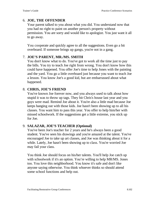# 6. **JOE, THE OFFENDER**

Your parent talked to you about what you did. You understand now that you had no right to paint on another person's property without permission. You are sorry and would like to apologize. You just want it all to go away.

You cooperate and quickly agree to all the suggestions. Even go a bit overboard. If someone brings up gangs, you're not in a gang.

### 7. **JOE'S PARENT, MR./MS. SMITH**

You don't know what to do. You've got to work all the time just to pay the bills. You try to teach Joe right from wrong. You don't know how this could have happened. You offer Joe's time to help Jones with the painting and the yard. You go a little overboard just because you want to teach Joe a lesson. You know Joe's a good kid, but are embarrassed about what happened.

# 8. **CHRIS, JOE'S FRIEND**

You've known Joe forever now, and you always used to talk about how stupid it was to throw up tags. They hit Chris's house last year and you guys were mad. Remind Joe about it. You're also a little mad because Joe keeps hanging out with those kids. Joe hasn't been showing up to all his classes. You want him to pass this year. You offer to help him/her with missed schoolwork. If the suggestions get a little extreme, you stick up for Joe.

### 9. **SALAZAR, JOE'S TEACHER (Optional)**

You've been Joe's teacher for 2 years and he's always been a good student. You've seen his drawings and you're amazed at the talent. You've encouraged Joe to take up art classes, and Joe was thinking about it for a while. Lately, Joe hasn't been showing up to class. You're worried Joe may fail your class.

You think Joe should focus on his/her talents. You'll help Joe catch up with schoolwork if it's an option. You're willing to help MR/MS. Jones too. You love this neighborhood. You know it's safe and don't like anyone saying otherwise. You think whoever thinks so should attend some school functions and help out.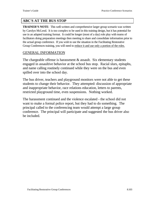# **ABC'S AT THE BUS STOP**

**TRAINER'S NOTE**: This well-written and comprehensive larger group scenario was written by Carolyn McLeod. It is too complex to be used in this training design, but it has potential for use in an adapted training format. It could be longer (most of a day) role play with teams of facilitators doing preparation meetings then meeting to share and consolidate information prior to the actual group conference. If you wish to use the situation in the Facilitating Restorative Group Conferences training, you will need to reduce it and use only a portion of the roles.

### GENERAL INFORMATION

The chargeable offense is harassment & assault. Six elementary students engaged in assaultive behavior at the school bus stop. Racial slurs, epitaphs, and name calling routinely continued while they were on the bus and even spilled over into the school day.

The bus driver, teachers and playground monitors were not able to get these students to change their behavior. They attempted: discussion of appropriate and inappropriate behavior, race relations education, letters to parents, restricted playground time, even suspensions. Nothing worked.

The harassment continued and the violence escalated - the school did not want to make a formal police report, but they had to do something. The principal called to the conferencing team would attempt a large group conference. The principal will participate and suggested the bus driver also be included.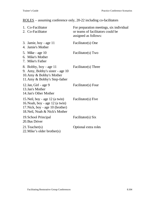# ROLES – assuming conference only, 20-22 including co-facilitators

| 1. Co-Facilitator<br>2. Co-Facilitator                                                                                                   | For preparation meetings, six individual<br>or teams of facilitators could be<br>assigned as follows: |
|------------------------------------------------------------------------------------------------------------------------------------------|-------------------------------------------------------------------------------------------------------|
| 3. Jamie, boy - age $11$<br>4. Jamie's Mother                                                                                            | Facilitator(s) One                                                                                    |
| 5. Mike - age 10<br>6. Mike's Mother<br>7. Mike's Father                                                                                 | Facilitator(s) Two                                                                                    |
| 8. Bobby, boy - age 11<br>9. Amy, Bobby's sister - age 10<br>10. Amy & Bobby's Mother<br>11. Amy & Bobby's Step-father                   | Facilitator(s) Three                                                                                  |
| 12. Jan, Girl - age 9<br>13. Jan's Mother<br>14. Jan's Other Mother                                                                      | Facilitator(s) Four                                                                                   |
| 15. Neil, boy - age 12 (a twin)<br>16. Noah, boy - age 12 (a twin)<br>17. Nick, boy - age 10 (brother)<br>18. Neil, Noah & Nick's Mother | Facilitator(s) Five                                                                                   |
| 19. School Principal<br>20. Bus Driver                                                                                                   | Facilitator(s) Six                                                                                    |
| 21. Teacher(s)<br>$22$ . Mike's older brother(s)                                                                                         | Optional extra roles                                                                                  |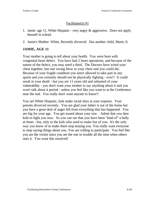### Facilitator(s) #1

- 1. Jamie: age 11, White Hispanic very angry & aggressive. Does not apply himself in school.
- 2. Jamie's Mother: White, Recently divorced. Has another child, Marie, 8.

# **JAMIE, AGE 11**

Your mother is going to tell about your health. You were born with congenital heart defect. You have had 2 heart operations, and because of the nature of the defect, you may need a third. The Doctors have wired your chest together, but one wrong blow to your chest and you could die. Because of your fragile condition you aren't allowed to take part in any sports and you certainly should not be physically fighting - ever!! It could result in your death - but you are 11 years old and ashamed of your vulnerability - you don't want your mother to say anything about it and you won't talk about it period - unless you feel like you want to at the Conference near the end. You really don't want anyone to know!!

You are White Hispanic, kids make racial slurs at your expense. Your parents divorced recently. You are glad your father is out of the home but you have a great deal of anger left from everything that has happened. You are big for your age. You get teased about your size. Admit that you dare kids to fight you now. So you can see that you have been "kind of" a bully at times - but, only to the kids who used to make fun of you. It's the only way you know of to make them stop teasing you. You really want everyone to stop saying things about you. You are willing to participate. You feel like you are the victim since you are the one in trouble all the time when others start it. You want this resolved!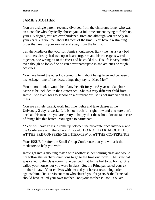# **JAMIE'S MOTHER**

You are a single parent, recently divorced from the children's father who was an alcoholic who physically abused you, a full time student trying to finish up your BA degree, you are over burdened, tired and although you are only in your early 30's you feel about 80 most of the time. You have a restraining order that keep's your ex-husband away from the family.

Tell the Mediator that your son Jamie should never fight - he has a very bad heart, he's already had two open heart surgeries and his rib cage is wired together, one wrong hit to the chest and he could die. His life is very limited even though he looks fine he can never participate in and athletics or rough activities.

You have heard the other kids taunting him about being large and because of his heritage - one of the nicest things they say is "Max-Mex".

You do not think it would be of any benefit for your 8 year old daughter, Marie to be included in the Conference. She is a very different child from Jamie. She even goes to school on a different bus, so is not involved in this mess.

You are a single parent, work full time nights and take classes at the University 2 days a week. Life is not much fun right now and you sure don't need all this trouble - you are pretty unhappy that the school doesn't take care of things like this better. You agree to participate!

\*\*You will have an issue come up between the pre-conference interview and the Conference with the school Principal. DO NOT TALK ABOUT THIS AT THE PRE-CONFERENCE INTERVIEW or AT THE CONFERENCE.

Your ISSUE for after the Small Group Conference that you will ask the mediators to help you with:

Jamie got into a shouting match with another student during class and would not follow the teacher's directions to go to the time out room. The Principal was called to the class room. She decided that Jamie had to go home. She called your house, but you were in class. So, the Principal called your exmother-in-law. Your ex lives with her and you have a restraining order against him. He is a violent man who abused you for years & the Principal should have called your own mother - not your mother-in-law! You are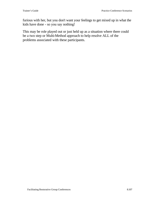furious with her, but you don't want your feelings to get mixed up in what the kids have done - so you say nothing!

This may be role played out or just held up as a situation where there could be a two step or Multi-Method approach to help resolve ALL of the problems associated with these participants.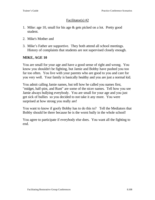### Facilitator(s) #2

- 1. Mike: age 10, small for his age & gets picked on a lot. Pretty good student.
- 2. Mike's Mother and
- 3. Mike's Father are supportive. They both attend all school meetings. History of complaints that students are not supervised closely enough.

### **MIKE, AGE 10**

You are small for your age and have a good sense of right and wrong. You know you shouldn't be fighting, but Jamie and Bobby have pushed you too far too often. You live with your parents who are good to you and care for you very well. Your family is basically healthy and you are just a normal kid.

You admit calling Jamie names, but tell how he called you names first, "midget, half-pint, and Runt" are some of the nicer names. Tell how you see Jamie always bullying everybody. You are small for your age and you just get sick of bullies so you decided to not take it any more. You were surprised at how strong you really are!

You want to know if goofy Bobby has to do this to? Tell the Mediators that Bobby should be there because he is the worst bully in the whole school!

You agree to participate if everybody else does. You want all the fighting to end.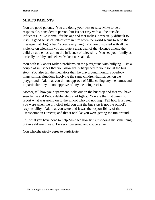## **MIKE'S PARENTS**

You are good parents. You are doing your best to raise Mike to be a responsible, considerate person, but it's not easy with all the outside influences. Mike is small for his age and that makes it especially difficult to instill a good sense of self-esteem in him when the world seems to send the message that "big is best" about everything. You are disgusted with all the violence on television you attribute a great deal of the violence among the children at the bus stop to the influence of television. You see your family as basically healthy and believe Mike a normal kid.

You both talk about Mike's problems on the playground with bullying. Cite a couple of injustices that you know really happened to your son at the bus stop. You also tell the mediators that the playground monitors overlook many similar situations involving the same children that happen on the playground. Add that you do not approve of Mike calling anyone names and in particular they do not approve of anyone being racist.

Mother, tell how your apartment looks out on the bus stop and that you have seen Jamie and Bobby deliberately start fights. You are the first parent to report what was going on to the school who did nothing. Tell how frustrated you were when the principal told you that the bus stop is not the school's responsibility. Add that you were told it was the responsibility of the Transportation Director, and that it felt like you were getting the run-around.

Tell what you have done to help Mike see how he is just doing the same thing but in a different way. Be very concerned and cooperative.

You wholeheartedly agree to participate.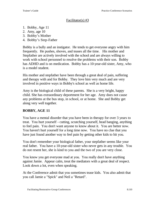#### Facilitator(s) #3

- 1. Bobby, Age 11
- 2. Amy, age 10
- 3. Bobby's Mother
- 4. Bobby's Step-Father

Bobby is a bully and an instigator. He tends to get everyone angry with him frequently. He pushes, shoves, and teases all the time. His mother and Stepfather are actively involved with the school and are always willing to work with school personnel to resolve the problems with their son. Bobby has ADHD and is on medication. Bobby has a 10-year-old sister, Amy, who is a model student.

His mother and stepfather have been through a great deal of pain, suffering and therapy with and for Bobby. They love him very much and are very involved in positive ways in Bobby's school as well as home life.

Amy is the biological child of these parents. She is a very bright, happy child. She has extraordinary deportment for her age. Amy does not cause any problems at the bus stop, in school, or at home. She and Bobby get along very well together.

## **BOBBY, AGE 11**

You have a mental disorder that you have been in therapy for over 3 years to treat. You hurt yourself - cutting, scratching yourself, head banging, anything to feel pain. You don't want anyone to know about it. You are better now. You haven't hurt yourself for a long time now. You have no clue that you have just found another way to feel pain by getting other kids to hit you.

You don't remember your biological father, your stepfather seems like your real father. You have a 10-year-old sister who never gets in any trouble. You do not resent her, she is kind to you and the two of you are very close.

You know you get everyone mad at you. You really don't have anything against Jamie. Appear calm, treat the mediators with a great deal of respect. Look down a lot, even when speaking.

At the Conference admit that you sometimes tease kids. You also admit that you call Jamie a "Spick" and Neil a "Retard".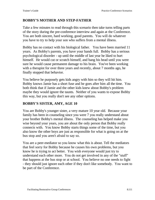## **BOBBY'S MOTHER AND STEP-FATHER**

Take a few minutes to read through this scenario then take turns telling parts of the story during the pre-conference interview and again at the Conference. You are both sincere, hard working, good parents. You will do whatever you have to try to help your son who suffers from a mental illness.

Bobby has no contact with his biological father. You have been married 11 years. As Bobby's parents, you have your hands full. Bobby has a serious psychological disorder - up until the middle of last year he liked to hurt himself. He would cut or scratch himself, and bang his head until you were sure he would cause permanent damage to his brain. You've been working with a therapist for over three years and recently, about 7 months ago, he finally stopped that behavior.

You believe he purposely gets kids angry with him so they will hit him. Bobby knows Jamie has a short fuse and he goes after him all the time. You both think that if Jamie and the other kids knew about Bobby's problem maybe they would ignore the taunts. Neither of you wants to expose Bobby this way, but you really don't see any other options.

## **BOBBY'S SISTER, AMY, AGE 10**

You are Bobby's younger sister, a very mature 10 year old. Because your family has been in counseling since you were 7 you really understand about your brother Bobby's mental illness. The counseling has helped make you wise beyond your years, you are about the only person that Bobby really connects with. You know Bobby starts things some of the time, but you also know the other boys are just as responsible for what is going on at the bus stop and you aren't afraid to say so.

You are a peer-mediator so you know what this is about. Tell the mediators that feel sorry for Bobby because he causes his own problems, but you know he is trying to act better. You wish everyone would just try to understand each other more. You do not get involved in any of the "stuff" that happens at the bus stop or at school. You believe no one needs to fight - they should just ignore each other if they don't like somebody. You want to be part of the Conference.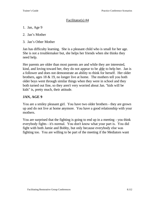### Facilitator(s) #4

- 1. Jan, Age 9
- 2. Jan's Mother
- 3. Jan's Other Mother

Jan has difficulty learning. She is a pleasant child who is small for her age. She is not a troublemaker but, she helps her friends when she thinks they need help.

Her parents are older than most parents are and while they are interested, kind, and loving toward her, they do not appear to be able to help her. Jan is a follower and does not demonstrate an ability to think for herself. Her older brothers, ages 18 & 19, no longer live at home. The mothers tell you both older boys went through similar things when they were in school and they both turned out fine, so they aren't very worried about Jan. "kids will be kids" is, pretty much, their attitude.

# **JAN, AGE 9**

You are a smiley pleasant girl. You have two older brothers - they are grown up and do not live at home anymore. You have a good relationship with your mothers.

You are surprised that the fighting is going to end up in a meeting - you think everybody fights - it's normal. You don't know what your part is. You did fight with both Jamie and Bobby, but only because everybody else was fighting too. You are willing to be part of the meeting if the Mediators want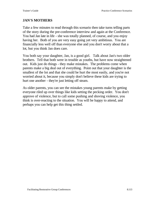## **JAN'S MOTHERS**

Take a few minutes to read through this scenario then take turns telling parts of the story during the pre-conference interview and again at the Conference. You had Jan late in life - she was totally planned, of course, and you enjoy having her. Both of you are very easy going yet very ambitious. You are financially less well off than everyone else and you don't worry about that a lot, but you think Jan does care.

You both say your daughter, Jan, is a good girl. Talk about Jan's two older brothers. Tell that both were in trouble as youths, but have now straightened out. Kids just do things - they make mistakes. The problems come when parents make a big deal out of everything. Point out that your daughter is the smallest of the lot and that she could be hurt the most easily, and you're not worried about it, because you simply don't believe these kids are trying to hurt one another - they're just letting off steam.

As older parents, you can see the mistakes young parents make by getting everyone riled up over things like kids setting the pecking order. You don't approve of violence, but to call some pushing and shoving violence, you think is over-reacting to the situation. You will be happy to attend, and perhaps you can help get this thing settled.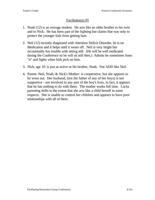#### Facilitator(s) #5

- 1. Noah (12) is an average student. He acts like an older brother to his twin and to Nick. He has been part of the fighting but claims that was only to protect the younger kids from getting hurt.
- 2. Neil (12) recently diagnosed with Attention Deficit Disorder, he is on Medication and it helps until it wears off. Neil is very bright but occasionally has trouble with sitting still. (He will be well medicated during the Conference so he will sit still then.) Admits he sometimes loses "it" and fights when kids pick on him.
- 3. Nick, age 10: is just as active as his brother, Noah. Not ADD like Neil.
- 4. Parent: Neil, Noah, & Nick's Mother: is cooperative, but she appears to be worn out. Her husband, (not the father of any of her boys) is not supportive - not involved in any part of the boy's lives, in fact, it appears that he has nothing to do with them. The mother works full time. Lacks parenting skills to the extent that she acts like a child herself in some respects. She is unable to control her children and appears to have poor relationships with all of them.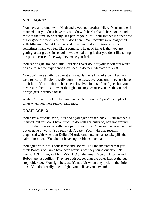# **NEIL, AGE 12**

You have a fraternal twin, Noah and a younger brother, Nick. Your mother is married, but you don't have much to do with her husband, he's not around most of the time so he really isn't part of your life. Your mother is either tired out or gone at work. You really don't care. You recently were diagnosed with Attention Deficit Disorder and now they make you take pills that sometimes make you feel like a zombie. The good thing is that you are getting better grades in school now, the bad thing is that you don't like taking the pills because of the way they make you feel.

You can wiggle around a little - but don't over do it or your mediators won't be able to get the experience they need to do their Mediator tasks!!!

You don't have anything against anyone. Jamie is kind of a pain, but he's easy to scare. Bobby is really dumb - he teases everyone until they just have to hit him. You admit you have been involved in lots of the fights, but you never start them. You want the fights to stop because you are the one who always gets in trouble for it.

At the Conference admit that you have called Jamie a "Spick" a couple of times when you were really, really mad.

## **NOAH, AGE 12**

You have a fraternal twin, Neil and a younger brother, Nick. Your mother is married, but you don't have much to do with her husband, he's not around most of the time so he really isn't part of your life. Your mother is either tired out or gone at work. You really don't care. Your twin was recently diagnosed with Attention Deficit Disorder and now he has to take pills that calm him down. You do not have any problems like that.

You agree with Neil about Jamie and Bobby. Tell the mediators that you think Bobby and Jamie have been worse since they found out about Neil having ADD. They call him PSYCHO all the time. You think Jamie and Bobby are just bullies. They are both bigger than the other kids at the bus stop, older too. You fight because it's not fair when they pick on the littler kids. You don't really like to fight, you believe you have to!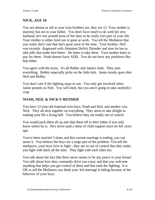# **NICK, AGE 10**

You are almost as tall as your twin brothers are, they are 12. Your mother is married, but not to your father. You don't have much to do with her new husband, he's not around most of the time so he really isn't part of your life. Your mother is either tired out or gone at work. You tell the Mediators that you really don't care that she's gone most of the time. Your brother, Neil was recently diagnosed with Attention Deficit Disorder and now he has to take pills that make him better. He hates to take them. Your mother hates to pay for them. Noah doesn't have ADD. You do not have any problems like that either.

You agree with the twins. It's all Bobby and Jamie's fault. They start everything. Bobby especially picks on the little kids. Jamie mostly goes after Neil and Bobby.

You don't care if the fighting stops or not. You only get involved when Jamie pounds on Neil. You will meet, but you aren't going to take anybody's crap.

## **NOAH, NEIL & NICK'S MOTHER**

You have 12-year-old fraternal twin boys, Noah and Neil, and another son, Nick. They all stick together on everything. They seem to take delight in making your life a living hell. You believe they are totally out of control.

You would pack them all up and ship them off to their father if you only knew where he is. He's never paid a dime of child support since he left years ago.

You've been married 3 times and this current marriage is ending, you can sense it. You believe the boys are a large part of the problem. You tell the mediators, your boys love to fight - they are so out of control that they make you fight with them all the time. They fight with each other too.

You talk about the fact that there never seems to be any peace in your house! You talk about how they constantly drive you crazy and that you welcome anything that helps you get control of them and that ends the fighting. It is OK to tell the Mediators you think your 3rd marriage is failing because of the behavior of your boys.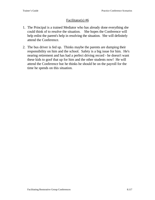### Facilitator(s) #6

- 1. The Principal is a trained Mediator who has already done everything she could think of to resolve the situation. She hopes the Conference will help enlist the parent's help in resolving the situation. She will definitely attend the Conference.
- 2. The bus driver is fed up. Thinks maybe the parents are dumping their responsibility on him and the school. Safety is a big issue for him. He's nearing retirement and has had a perfect driving record - he doesn't want these kids to goof that up for him and the other students now! He will attend the Conference but he thinks he should be on the payroll for the time he spends on this situation.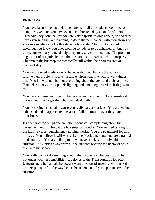# **PRINCIPAL**

You have been in contact with the parents of all the students identified as being involved and you have even been threatened by a couple of them. They said they don't believe you are very capable of doing your job and they have even said they are planning to go to the newspapers with their stories of your incompetence. One threatened a law suite. She is not afraid of anything, you know you have nothing to hide or to be ashamed of, but you do recognize that you need help to try to resolve the situation. The problem begins out of her jurisdiction - the bus stop is not part of school property. Children at the bus stop are technically still within their parents area of responsibility.

You are a trained mediator who believes that people have the ability to resolve their problems if given a safe environment in which to work things out. You know a lot - but not everything about the boys and their families. You believe they can stop their fighting and harassing behaviors if they want to.

You have an issue with one of the parents and you would like to resolve it, but not until this larger thing has been dealt with.

You like being principal because you really care about kids. You are feeling exhausted and unappreciated because of all the trouble over these boys at their bus stop.

It's been nothing but phone call after phone call complaining about the harassment and fighting at the bus stop for months. You've tried talking to the kids, rewards, punishment - nothing works. You are so grateful for this process. You believe it will work. Let the Mediators know you are a trained mediator also. You are willing to do whatever it takes to resolve this situation. It is taking away from all the students because the behavior spills over into the school.

You really cannot do anything about what happens at the bus stop. That is not under your responsibilities. It belongs to the Transportation Director. Unfortunately he has said he doesn't want any part of meeting with the kids or their parents after the way he has been spoken to by the parents over this situation.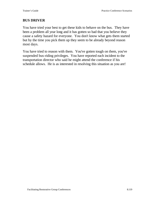## **BUS DRIVER**

You have tried your best to get these kids to behave on the bus. They have been a problem all year long and it has gotten so bad that you believe they cause a safety hazard for everyone. You don't know what gets them started but by the time you pick them up they seem to be already beyond reason most days.

You have tried to reason with them. You've gotten tough on them, you've suspended bus-riding privileges. You have reported each incident to the transportation director who said he might attend the conference if his schedule allows. He is as interested in resolving this situation as you are!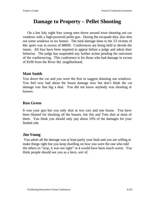# **Damage to Property – Pellet Shooting**

On a hot July night four young men drove around town shooting out car windows with a high-powered pellet gun. During the escapade they also shot out some windows in six homes. The total damage done to the 23 victims of this spree was in excess of \$8000. Conferences are being held to decide the issues. All four have been required to appear before a judge and admit their behavior. The judge has suspended any further action pending the outcomes of the conferencing. This conference is for those who had damage in excess of \$100 from the River Rd. neighborhood.

# **Matt Smith**

You drove the car and you were the first to suggest shooting out windows. You feel very bad about the house damage now but don't think the car damage was that big a deal. You did not know anybody was shooting at houses.

# **Ron Green**

It was your gun but you only shot at two cars and one house. You have been blamed for shooting all the houses, but Jim and Tom shot at most of them. You think you should only pay about 10% of the damages for your limited role.

## **Jim Young**

 You admit all the damage was at least partly your fault and you are willing to make things right but you keep dwelling on how you were the one who told the others to "stop, it was not right" or it would have been much worse. You think people should see you as a hero, sort of.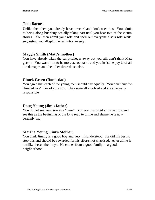# **Tom Barnes**

Unlike the others you already have a record and don't need this. You admit to being along but deny actually taking part until you hear two of the victim stories. You then admit your role and spell out everyone else's role while suggesting you all split the restitution evenly.

## **Maggie Smith (Matt's mother)**

You have already taken the car privileges away but you still don't think Matt gets it. You want him to be more accountable and you insist he pay ¼ of all the damages and the other three do so also.

# **Chuck Green (Ron's dad)**

You agree that each of the young men should pay equally. You don't buy the "limited role" idea of your son. They were all involved and are all equally responsible.

# **Doug Young (Jim's father)**

You do not see your son as a "hero". You are disgusted at his actions and see this as the beginning of the long road to crime and shame he is now certainly on.

## **Martha Young (Jim's Mother)**

You think Jimmy is a good boy and very misunderstood. He did his best to stop this and should be rewarded for his efforts not chastised. After all he is not like these other boys. He comes from a good family in a good neighborhood.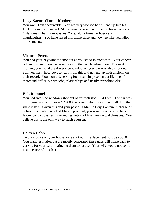# **Lucy Barnes (Tom's Mother)**

You want Tom accountable. You are very worried he will end up like his DAD. Tom never knew DAD because he was sent to prison for 45 years (in Oklahoma) when Tom was just 2 yrs. old. (Armed robbery and manslaughter) You have raised him alone since and now feel like you failed him somehow.

# **Victoria Peters**

You had your bay window shot out as you stood in front of it. Your cancerridden husband, now deceased was on the couch behind you. The next morning you found the driver side window on your car was also shot out. Still you want these boys to learn from this and not end up with a felony on their record. Your son did, serving four years in prison and a lifetime of regret and difficulty with jobs, relationships and nearly everything else.

# **Bob Rommel**

You had two side windows shot out of your classic 1954 Ford. The car was *all* original and worth over \$20,000 because of that. New glass will drop the value in half**.** Given this and your past as a Marine Corp Captain in charge of enlisted men who breached Marine protocol, you want these boys to have felony convictions, jail time and restitution of five times actual damages. You believe this is the only way to teach a lesson.

# **Darren Cobb**

Two windows on your house were shot out. Replacement cost was \$850. You want restitution but are mostly concerned these guys will come back to get you for your part in bringing them to justice. Your wife would not come just because of this fear.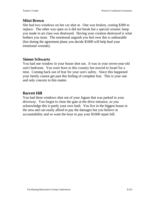# **Mitzi Brown**

She had two windows on her car shot at. One was broken, costing \$300 to replace. The other was open so it did not break but a special ceramic lamp you made in art class was destroyed. Having your creation destroyed is what bothers you most. The emotional anguish you feel over this is unbearable (but during the agreement phase you decide \$1000 will help heal your emotional wounds).

## **Simon Schwartz**

You had one window in your house shot out. It was in your seven-year-old son's bedroom. You were born in this country but moved to Israel for a time. Coming back out of fear for your son's safety. Since this happened your family cannot get past this feeling of complete fear. This is your one and only concern in this matter.

## **Barrett Hill**

You had three windows shot out of your Jaguar that was parked in your driveway. You forgot to close the gate at the drive entrance, so you acknowledge this is partly your own fault. You live in the biggest house in the area and can easily afford to pay the damages but you believe in accountability and so want the boys to pay your \$1600 repair bill.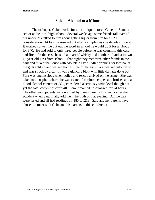# **Sale of Alcohol to a Minor**

The offender, Gabe, works for a local liquor store. Gabe is 18 and a senior at the local high school. Several weeks ago some friends (all over 18 but under 21) talked to him about getting liquor from him for a \$20 consideration. At first he resisted but after a couple days he decides to do it. It worked so well he put out the word in school he would do it for anybody for \$40. He had sold to only three people before he was caught in this case and fired. In this case he sold a quart of whisky and another of vodka to two 15-year-old girls from school. That night they met three other friends in the park and mixed the liquor with Mountain Dew. After drinking for two hours the girls split up and walked home. One of the girls, Sara, walked into traffic and was struck by a car. It was a glancing blow with little damage done but Sara was unconscious when police and rescue arrived on the scene. She was taken to a hospital where she was treated for minor scrapes and bruises and a blood alcohol content of .324, considered a seriously toxic level though not yet the fatal content of over .40. Sara remained hospitalized for 24 hours. The other girls' parents were notified by Sara's parents four hours after the accident when Sara finally told them the truth of that evening. All the girls were tested and all had readings of .185 to .213. Sara and her parents have chosen to meet with Gabe and his parents in this conference.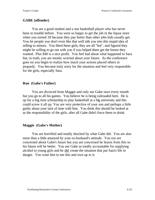#### **GABE (offender)**

You are a good student and a star basketball player who has never been in trouble before. You were so happy to get the job in the liquor store when you turned 18 because they pay better than other jobs kids usually get. You let people you don't even like that well talk you into this stupid idea of selling to minors. You liked these girls, they are all "hot", and figured they might be willing to go out with you if you helped them get the booze they wanted. Plus \$40 is a nice profit. You feel bad about what happened to Sara but, in truth, you are mostly worried about your future. As the conference goes on you begin to realize how much your actions placed others in jeopardy. You become truly sorry for the situation and feel very responsible for the girls, especially Sara.

#### **Ron (Gabe's Father)**

You are divorced from Maggie and only see Gabe once every month but you go to all his games. You believe he is being railroaded here. He is up for a big time scholarship to play basketball at a big university and this could screw it all up. You are very protective of your son and perhaps a little guilty about your lack of time with him. You think this should be looked at as the responsibility of the girls, after all Gabe didn't force them to drink.

#### **Maggie (Gabe's Mother)**

You are horrified and totally shocked by what Gabe did. You are also more than a little annoyed by your ex-husband's attitude. You too are concerned about Gabe's future but you are concerned he learns from this so his future will be better. You see Gabe as totally accountable for supplying alcohol to young girls and he did create the situation that put Sara's life in danger. You want him to see this and own up to it.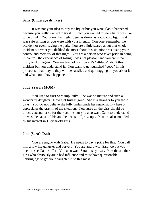#### **Sara (Underage drinker)**

It was not your idea to buy the liquor but you were glad it happened because you really wanted to try it. In fact you wanted to see what it was like to be drunk. You drank that night to get as drunk as you could, figuring it was safe as long as you were with your friends. You don't remember the accident or even leaving the park. You are a little scared about that whole incident but what you disliked the most about this situation was losing your control and memory of that night. You are a person who takes pride in being in control, the experience of losing it was not pleasant and you are in no hurry to do it again. You are tired of your parent's "attitude" about this incident but you understand it. You want to get punished "good" in this process so that maybe they will be satisfied and quit ragging on you about it and what could have happened.

#### **Judy (Sara's MOM)**

You used to trust Sara implicitly. She was so mature and such a wonderful daughter. Now that trust is gone. She is a stranger to you these days. You do not believe she fully understands her responsibility here or appreciates the gravity of the situation. You agree all the girls should be directly accountable for their actions but you also want Gabe to understand he was the cause of this and he needs to "grow up". You are also troubled by his interest in 15-year-old girls.

#### **Jim (Sara's Dad)**

You are **angry** with Gabe. He needs to pay a price for this. You call him a low life gangster and pervert. You are angry with Sara too but you need to see Gabe suffer. You also want Sara to stay away from those other girls who obviously are a bad influence and must have questionable upbringings to get your daughter in to this mess.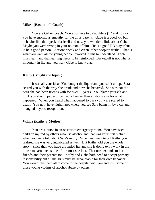#### **Mike (Basketball Coach)**

You are Gabe's coach. You also have two daughters (12 and 10) so you have enormous empathy for the girl's parents. Gabe is a good kid but behavior like this speaks for itself and now you wonder a little about Gabe. Maybe you were wrong in your opinion of him. He is a good BB player but is he a good person? Actions speak and create other people's truths. That is what you want all the young people involved in this to understand. Each must learn and that learning needs to be reinforced. Basketball is not what is important in life and you want Gabe to know that.

#### **Kathy (Bought the liquor)**

It was all your idea. You bought the liquor and you set it all up. Sara scared you with the way she drank and how she behaved. She was not the Sara she had been friends with for over 10 years. You blame yourself and think you should pay a price that is heavier than anybody else for what happened. When you heard what happened to Sara you were scared to death. You now have nightmares where you see Sara being hit by a car and mangled beyond recognition.

#### **Wilma (Kathy's Mother)**

You are a nurse in an obstetrics emergency room. You have seen children injured by others who use alcohol and that was your first picture when you were told about Sara's injury. When you went to tell Kathy you realized she was very intoxicated as well. But Kathy told you the whole story. Since then you have grounded her and she is doing extra work in the house to earn back some of the trust she lost. That trust extends to her friends and their parents too. Kathy and Gabe both need to accept primary responsibility but all the girls must be accountable for their own behavior. You would like them all to come to the hospital with you and visit some of those young victims of alcohol abuse by others.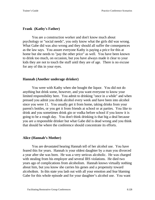#### **Frank (Kathy's Father)**

You are a construction worker and don't know much about psychology or "social needs", you only know what the girls did was wrong. What Gabe did was also wrong and they should all suffer the consequences as the law says. You assure everyone Kathy is paying a price for this at home but she needs to "pay the other price" as well. You have been known to drink too much, on occasion, but you have always made it clear to your kids they are not to touch the stuff until they are of age. There is no excuse for any of this in your eyes.

#### **Hannah (Another underage drinker)**

You were with Kathy when she bought the liquor. You did not do anything but drink some, however, and you want everyone to know your limited responsibility here. You admit to drinking "once in a while" and when pressed you admit you drink alcohol every week and have been into alcohol since you were 11. You usually get it from home, taking drinks from your parent's bottles, or you get it from friends at school or at parties. You like to drink and you sometimes drink gin or vodka before school if you know it is going to be a rough day. You don't think drinking is that big a deal because you are a responsible drinker but what Gabe did is dead wrong and you think that should be where the conference should concentrate its efforts.

#### **Alice (Hannah's Mother)**

You are devastated hearing Hannah tell of her alcohol use. You have feared this for years. Hannah is your oldest daughter by a man you divorced a year after she was born. He was a very serious alcoholic. He was charged with stealing from his employer and several IRS violations. He died two years ago of complications from alcoholism. Hannah knows virtually nothing about him, but you know she carries his genes and a propensity toward alcoholism. In this state you lash out with all your emotion and fear blaming Gabe for this whole episode and for your daughter's alcohol use. You want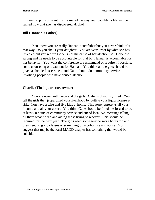him sent to jail, you want his life ruined the way your daughter's life will be ruined now that she has discovered alcohol.

#### **Bill (Hannah's Father)**

You know you are really Hannah's stepfather but you never think of it that way---to you she is your daughter. You are very upset by what she has revealed but you realize Gabe is not the cause of her alcohol use. Gabe did wrong and he needs to be accountable for that but Hannah is accountable for her behavior. You want the conference to recommend or require, if possible, some counseling or treatment for Hannah. You think all the girls should be given a chemical assessment and Gabe should do community service involving people who have abused alcohol.

#### **Charlie (The liquor store owner)**

You are upset with Gabe and the girls. Gabe is obviously fired. You tell the girls they jeopardized your livelihood by putting your liquor license at risk. You have a wife and five kids at home. This store represents all your income and all your assets. You think Gabe should be fined, be forced to do at least 50 hours of community service and attend local AA meetings telling all there what he did and aiding those trying to recover. This should be required for the next year. The girls need some service work hours too and they need to go to classes or something on alcohol use and abuse. You suggest that maybe the local MADD chapter has something that would be suitable.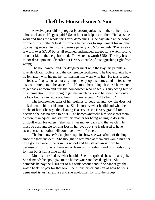# **Theft by Housecleaner's Son**

A twelve-year-old boy regularly accompanies his mother to her job as a house cleaner. He gets paid 6.50 an hour to help his mother. He hates the work and finds the whole thing very demeaning. One day while at the home of one of his mother's best customers he decides to supplement his income by stealing several items of expensive jewelry and \$200 in cash. The jewelry is worth over \$7000 but is all returned undamaged except for a watch sold to an older kid in the neighborhood. The watch is worth \$250. The boy has a minor developmental disorder but is very capable of distinguishing right from wrong.

The homeowner and her daughter meet with the boy, his parents, a juvenile officer (police) and the conference facilitator. The boy explains how he felt angry with his mother for making him work with her. He tells of how he feels self conscious about cleaning other people's homes and he feels like a second rate person because of it. He took these things because he wanted to get back at mom and hurt the homeowner who he feels is subjecting him to this humiliation. He is trying to get the watch back and he spent the money he took but he can replace it from his bank account, "if he has to".

The homeowner talks of her feelings of betrayal and how she does not look down on him or his mother. She is hurt by what he did and what he thinks of her. She says the cleaning is a service she is very grateful for because she has no time to do it. The homeowner tells him she views them as more than equals and admires his mother for being willing to do such difficult work for others. She wants her money back and the watch. He must be accountable for that loss in her eyes but she is pleased to have assurances his mother will continue to work for her.

The homeowner's daughter explains how she was afraid of the boy since the theft incident. She thought he was mad at them and would hurt her if he got a chance. She is in his school and has stayed away from him because of this. She is dismayed to learn of his feelings and now feels sorry for him but is still a little afraid.

Mom is horrified by what he did. She is surprised she still has a job. She demands he apologize to the homeowner and her daughter. She demands he pay the \$200 out of his bank account and if he cannot get the watch back, he pay for that too. She thinks his discussion of how he feels demeaned is just an excuse and she apologizes for it to the group.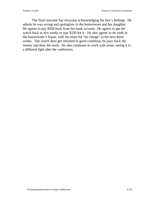The final outcome has everyone acknowledging the boy's feelings. He admits he was wrong and apologizes to the homeowner and her daughter. He agrees to pay \$200 back from his bank account. He agrees to get the watch back in two weeks or pay \$250 for it. He also agrees to do work in the homeowner's house, with his mom for "no charge" in the next three weeks. The watch does get returned in good condition, he pays back the money and does the work. He also continues to work with mom, seeing it in a different light after the conference.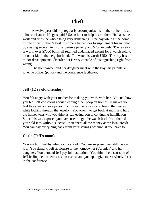# **Theft**

A twelve-year-old boy regularly accompanies his mother to her job as a house cleaner. He gets paid 6.50 an hour to help his mother. He hates the work and finds the whole thing very demeaning. One day while at the home of one of his mother's best customers he decides to supplement his income by stealing several items of expensive jewelry and \$200 in cash. The jewelry is worth over \$7000 but is all returned undamaged except for a watch sold to an older kid in the neighborhood. The watch is worth \$250. The boy has a minor developmental disorder but is very capable of distinguishing right from wrong.

The homeowner and her daughter meet with the boy, his parents, a juvenile officer (police) and the conference facilitator.

# **Jeff (12 yr old offender)**

You felt angry with your mother for making you work with her. You tell how you feel self conscious about cleaning other people's homes. It makes you feel like a second rate person. You saw the jewelry and found the money while looking through the jewelry. You took it to get back at mom and hurt the homeowner who you think is subjecting you to continuing humiliation. Since this was exposed you have tried to get the watch back from the kid you sold it to without success. You spent all the money at the local arcade. You can pay everything back from your savings account "if you have to".

# **Carla (Jeff's mom)**

You are horrified by what your son did. You are surprised you still have a job. You demand Jeff apologize to the homeowner (Veronica) and her daughter. You demand Jeff pay full restitution. You think the discussion of Jeff feeling demeaned is just an excuse and you apologize to everybody for it in the conference.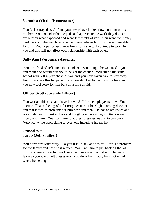# **Veronica (Victim/Homeowner)**

You feel betrayed by Jeff and you never have looked down on him or his mother. You consider them equals and appreciate the work they do. You are hurt by what happened and what Jeff thinks of you. You want the money paid back and the watch returned and you believe Jeff must be accountable for this. You hope for assurance from Carla she will continue to work for you and this will not affect your relationship with each other.

# **Sally Ann (Veronica's daughter)**

You are afraid of Jeff since this incident. You thought he was mad at you and mom and would hurt you if he got the chance. You attend the same school with Jeff a year ahead of you and you have taken care to stay away from him since this happened. You are shocked to hear how he feels and you now feel sorry for him but still a little afraid.

# **Officer Scott (Juvenile Officer)**

You worked this case and have known Jeff for a couple years now. You know Jeff has a feeling of inferiority because of his slight learning disorder and that it creates problems for him now and then. He has anger issues and is very defiant of most authority although you have always gotten on very nicely with him. You want him to address these issues and to pay back Veronica, while apologizing to everyone including his mother.

## Optional role: **Jacob (Jeff's father)**

You don't buy Jeff's story. To you it is "black and white". Jeff is a problem for the family and now he is a thief. You want him to pay back all the loss plus do some substantial work service, like a road gang does. He needs to learn so you want theft classes too. You think he is lucky he is not in jail where he belongs.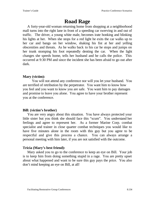# **Road Rage**

A forty-year-old woman returning home from shopping at a neighborhood mall turns into the right lane in front of a speeding car swerving in and out of traffic. The driver, a young white male, becomes irate honking and blinking his lights at her. When she stops for a red light he exits the car walks up to her car and bangs on her window, shaking his fist at her and yelling obscenities and threats. As he walks back to his car he stops and jumps on her trunk stomping his foot repeatedly denting the car. When the light changes she speeds home, tells her husband and he calls the police. This occurred at 9:30 PM and since the incident she has been afraid to go out after dark.

## **Mary (victim):**

You will not attend any conference nor will you let your husband. You are terrified of retribution by the perpetrator. You want him to know how you feel and you want to know you are safe. You want him to pay damages and promise to leave you alone. You agree to have your brother represent you at the conference.

## **Bill: (victim's brother)**

You are very angry about this situation. You have always protected your little sister but you think she should face this "scum". You understand her feelings and agree to represent her. As a former Marine Corp. combat specialist and trainer in close quarter combat techniques you would like to have five minutes alone in the room with this guy but you agree to be respectful and give this process a chance. You can always arrange a personal meeting with him later, if you are not satisfied with the outcome.

## **Tricia (Mary's best friend):**

Mary asked you to go to the conference to keep an eye on Bill. Your job is to keep him from doing something stupid in a rage. You are pretty upset about what happened and want to be sure this guy pays the price. You also don't mind keeping an eye on Bill, at all!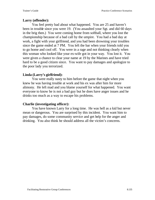## **Larry (offender):**

You feel pretty bad about what happened. You are 25 and haven't been in trouble since you were 19. (You assaulted your Sgt. and did 60 days in the brig then.) You were coming home from softball, where you lost the championship because of a bad call by the umpire. You had a bad day at work, a fight with your girlfriend, and you had been drowning your troubles since the game ended at 7 PM. You left the bar when your friends told you to go home and cool off. You were in a rage and not thinking clearly when this woman who looked like your ex-wife got in your way. You lost it. You were given a chance to clear your name at 19 by the Marines and have tried hard to be a good citizen since. You want to pay damages and apologize to the poor lady you terrorized.

## **Linda (Larry's girlfriend):**

You were really nasty to him before the game that night when you knew he was having trouble at work and his ex was after him for more alimony. He left mad and you blame yourself for what happened. You want everyone to know he is not a bad guy but he does have anger issues and he drinks too much as a way to escape his problems.

## **Charlie (investigating officer):**

You have known Larry for a long time. He was hell as a kid but never mean or dangerous. You are surprised by this incident. You want him to pay damages, do some community service and get help for the anger and drinking. You also think he should address all the victim's concerns.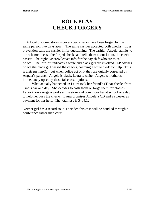# **ROLE PLAY CHECK FORGERY**

A local discount store discovers two checks have been forged by the same person two days apart. The same cashier accepted both checks. Loss prevention calls the cashier in for questioning. The cashier, Angela, admits to the scheme to cash the forged checks and tells them about Laura, the check passer. The night LP crew leaves info for the day shift who are to call police. The info left indicates a white and black girl are involved. LP advises police the black girl passed the checks, coercing a white clerk for help. This is their *assumption* but when police act on it they are quickly corrected by Angela's parents. Angela is black, Laura is white. Angela's mother is immediately upset by these false assumptions.

What actually happened is: Laura took her friend's (Tina) checks from Tina's car one day. She decides to cash them or forge them for clothes. Laura knows Angela works at the store and convinces her at school one day to help her pass the checks. Laura promises Angela a CD and a sweater as payment for her help. The total loss is \$404.12.

Neither girl has a record so it is decided this case will be handled through a conference rather than court.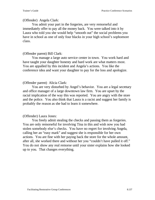#### (Offender) Angela Clark:

You admit your part in the forgeries, are very remorseful and immediately offer to pay all the money back. You were talked into it by Laura who told you she would help "smooth out" the social problems you have in school as one of only four blacks in your high school's sophomore class.

### (Offender parent) Bill Clark:

You manage a large auto service center in town. You work hard and have taught your daughter honesty and hard work are what matters most. You are appalled by this incident and Angela's actions. You like the conference idea and want your daughter to pay for the loss and apologize.

### (Offender parent) Alicia Clark:

You are very disturbed by Angel's behavior. You are a legal secretary and office manager of a large downtown law firm. You are upset by the racial implication of the way this was reported. You are angry with the store and the police. You also think that Laura is a racist and suggest her family is probably the reason as she had to learn it somewhere.

## (Offender) Laura Jones:

You freely admit stealing the checks and passing them as forgeries. You are only remorseful for involving Tina in this and wish now you had stolen somebody else's checks. You have no regret for involving Angela, calling her an "easy mark" and suggest she is responsible for her own actions. You are fine with her paying back the store for the whole amount, after all, she worked there and without her you "couldn't have pulled it off." You do not show any real remorse until your sister explains how she looked up to you. That changes everything.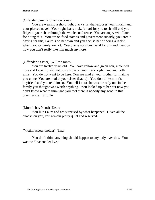(Offender parent) Shannon Jones:

You are wearing a short, tight black shirt that exposes your midriff and your pierced navel. Your tight jeans make it hard for you to sit still and you fidget in your chair through the whole conference. You are angry with Laura for doing this. You are on food stamps and government subsidy, you aren't paying for this, Laura's on her own and you accuse her of being a racist, which you certainly are not. You blame your boyfriend for this and mention how you don't really like him much anymore.

#### (Offender's Sister) Willow Jones:

You are twelve years old. You have yellow and green hair, a pierced nose and lower lip with tattoos visible on your neck, right hand and both arms. You do not want to be here. You are mad at your mother for making you come. You are mad at your sister (Laura). You don't like mom's boyfriend and you tell him so. You tell Laura she was the only one in the family you thought was worth anything. You looked up to her but now you don't know what to think and you feel there is nobody any good in this bunch and all is futile.

#### (Mom's boyfriend) Dean:

You like Laura and are surprised by what happened. Given all the attacks on you, you remain pretty quiet and reserved.

(Victim accountholder) Tina:

You don't think anything should happen to anybody over this. You want to "live and let live."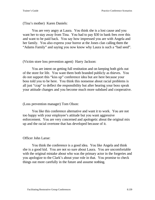#### (Tina's mother) Karen Daniels:

You are very angry at Laura. You think she is a lost cause and you want her to stay away from Tina. You had to pay \$30 in bank fees over this and want to be paid back. You say how impressed you are with Angela and her family. You also express your horror at the Jones clan calling them the "Adams Family" and saying you now know why Laura is such a "bad seed".

#### (Victim store loss prevention agent) Harry Jackson:

You are intent on getting full restitution and on keeping both girls out of the store for life. You want them both branded publicly as thieves. You do not support this "kiss up" conference idea but are here because your boss told you to be here. You think this nonsense about racial problems is all just "crap" to deflect the responsibility but after hearing your boss speak your attitude changes and you become much more subdued and cooperative.

#### (Loss prevention manager) Tom Olson:

You like this conference alternative and want it to work. You are not too happy with your employee's attitude but you want aggressive enforcement. You are very concerned and apologetic about the original mix up and the racial overtone that has developed because of it.

#### Officer John Larue:

You think the conference is a good idea. You like Angela and think she is a good kid. You are not so sure about Laura. You are uncomfortable with the original mistake about who was the primary actor in the forgeries and you apologize to the Clark's about your role in that. You promise to check things out more carefully in the future and assume nothing.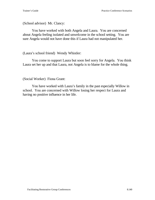#### (School advisor) Mr. Clancy:

You have worked with both Angela and Laura. You are concerned about Angela feeling isolated and unwelcome in the school setting. You are sure Angela would not have done this if Laura had not manipulated her.

### (Laura's school friend) Wendy Whistler:

You come to support Laura but soon feel sorry for Angela. You think Laura set her up and that Laura, not Angela is to blame for the whole thing.

### (Social Worker) Fiona Grant:

You have worked with Laura's family in the past especially Willow in school. You are concerned with Willow losing her respect for Laura and having no positive influence in her life.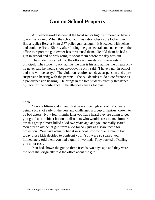# **Gun on School Property**

A fifteen-year-old student at the local senior high is rumored to have a gun in his locker. When the school administration checks the locker they find a replica Beretta 9mm .177 pellet gun handgun. It is loaded with pellets and could be fired. Shortly after finding the gun several students come to the office to report the gun owner has threatened them. He told them he had a gun in school and he was going to shoot them before the day was out.

The student is called into the office and meets with the assistant principal. The student, Jack, admits the gun is his and admits the threats only he never said he would shoot anybody, he only said, "I have a gun in school and you will be sorry." The violation requires ten days suspension and a presuspension hearing with the parents. The AP decides to do a conference as a pre-suspension hearing. He brings in the two students directly threatened by Jack for the conference. The attendees are as follows:

#### **Jack**

You are fifteen and in your first year at the high school. You were being a big shot early in the year and challenged a group of seniors known to be bad actors. Now four months later you have heard they are going to get you good as an object lesson to all others who would cross them. Rumors are this group almost killed a kid two years ago and you are really scared. You buy an old pellet gun from a kid for \$17 just as a scare tactic for protection. You have actually had it in school now for over a month but today those kids decided to confront you. You were so scared you immediately told them you had a gun. It worked. They backed off calling you a nut case.

You had shown the gun to three friends two days ago and they were the ones that originally told the office about the gun.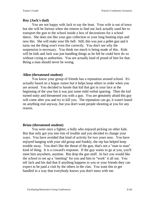## **Roy (Jack's dad)**

You are not happy with Jack to say the least. Your wife is out of town but she will be furious when she returns to find out Jack actually used her to transport the gun to the school inside a box of decorations for a school dance. She does not like your gun collection or your long hunting trips and now this. She will make your life hell. Still, this was just a pellet gun and it turns out the thing won't even fire correctly. You don't see why the suspension is necessary. You think too much is being made of this. Kids will be kids and Jack was just handling things as he felt he could best do so without crying to authorities. You are actually kind of proud of him for that. Being a man should never be wrong.

## **Allen (threatened student)**

You know your group of friends has a reputation around school. It's actually based on a bogus rumor but it helps keep others in order when you are around. You decided to hassle that kid that got in your face at the beginning of the year but it was just some mild verbal sparring. Then the kid turned nutty and threatened you with a gun. You are genuinely afraid this guy will come after you and try to kill you. The reputation can go, it wasn't based on anything real anyway, but you don't want people shooting at you for any reason.

## **Brian (threatened student)**

You were once a fighter, a bully who enjoyed picking on other kids. But that only got you into lots of trouble and you decided to change your ways. You have avoided that kind of activity for two years now. You have enjoyed hanging with your old group and frankly, the rep has helped keep trouble away. You don't like the threat of the gun, that's not a "man to man" kind of thing. It is a coward's response. If the guy wants to go at you, you'll meet him anywhere, anytime. But drop the gun stuff. In fact you would like the school to set up a "meeting" for you and him to "work" it all out. You tell Jack and his dad that if anything happens to you or your friends they can expect to be paid a visit by the others in the clan. You want this to get handled in a way that everybody knows you don't mess with me.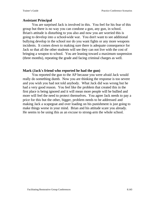#### **Assistant Principal**

You are surprised Jack is involved in this. You feel for his fear of this group but there is no way you can condone a gun, any gun, in school. Brian's attitude is disturbing to you also and now you are worried this is going to develop into a school-wide war. You don't want to see additional bullying develop in the school nor do you want fights or any more weapons incidents. It comes down to making sure there is adequate consequence for Jack so that all the other students will see they can not live with the cost of bringing a weapon to school. You are leaning toward a maximum suspension (three months), repeating the grade and facing criminal charges as well.

#### **Mark (Jack's friend who reported he had the gun)**

You reported the gun to the AP because you were afraid Jack would really do something dumb. Now you are thinking the response is too severe and you wish you had not told anybody. What Jack did was wrong but he had a very good reason. You feel like the problem that created this in the first place is being ignored and it will mean more people will be bullied and more will feel the need to protect themselves. You agree Jack needs to pay a price for this but the other, bigger, problem needs to be addressed and making Jack a scapegoat and over loading on his punishment is just going to make things worse in your mind. Brian and his attitude scare you already. He seems to be using this as an excuse to strong-arm the whole school.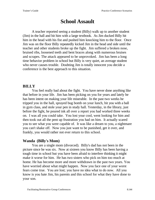# **School Assault**

A teacher reported seeing a student (Billy) walk up to another student (Jim) in the hall and hit him with a large textbook. As Jim ducked Billy hit him in the head with his fist and pushed him knocking him to the floor. Once Jim was on the floor Billy repeatedly kicked Jim in the head and side until the teacher and other students broke up the fight. Jim suffered a broken nose, bruised ribs, loosened teeth and bent braces along with numerous bruises and scrapes. The attack appeared to be unprovoked. Jim has been a long time behavior problem in school but Billy is very quiet, an average student who never causes trouble. Doubting Jim is totally innocent you decide a conference is the best approach to this situation.

# **BILLY**

You feel really bad about the fight. You have never done anything like that before in your life. Jim has been picking on you for years and lately he has been intent on making your life miserable. In the past two weeks he tripped you in the hall, sprayed bug bomb on your lunch, hit you with a ball in gym class, and stole your pen in study hall. Yesterday, in the library, just before the fight, he poured ink all over a report you had worked three weeks on. I was all you could take. You lost your cool, went looking for him and then took out all the pent up frustration you had on him. It actually scared you to see what you were capable of. It was like a dream to you, a nightmare you can't shake off. Now you just want to be punished, get it over, and frankly, you would rather not ever return to this school.

# **Wanda (Billy's Mom)**

You are a single mom (divorced). Billy's dad has not been in the picture since he was six. Now at sixteen you know Billy has been having a tough time in school but you have been afraid to interfere thinking it might make it worse for him. He has two sisters who pick on him too much at home. He has become more and more withdrawn in the past two years. You have worried about what might happen. Now you face one of your worst fears come true. You are lost; you have no idea what to do now. All you know is you hate Jim, his parents and this school for what they have done to your son.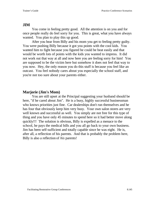# **JIM**

You come in feeling pretty good. All the attention is on you and for once people really do feel sorry for you. This is great, what you have always wanted. You plan to play this up good.

After you hear from Billy and his mom you get to feeling pretty guilty. You were pushing Billy because it got you points with the cool kids. You wanted him to fight because you figured he could be beat easily and that would be worth lots of points with the kids you wanted to impress. It did not work out that way at all and now here you are feeling sorry for him! You are supposed to be the victim here but somehow it does not feel that way to you now. Hey, the only reason you do this stuff is because you feel like an outcast. You feel nobody cares about you especially the school staff, and you're not too sure about your parents either.

# **Marjorie (Jim's Mom)**

You are still upset at the Principal suggesting your husband should be here, "if he cared about Jim". He is a busy, highly successful businessman who knows priorities just fine. Car dealerships don't run themselves and he has four that obviously keep him very busy. Your own salon stores are very well known and successful as well. You simply are not free for this type of thing and you have only 45 minutes to spend here so it had better move along quickly!!! The solution is obvious, Billy is expelled as a menace to the school, he pays the medical bills and you all go back to your own business. Jim has been self-sufficient and totally capable since he was eight. He is, after all, a reflection of his parents. And that is probably the problem here, Billy is also a reflection of *his* parents!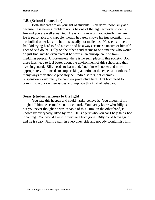# **J.B. (School Counselor)**

Both students are on your list of students. You don't know Billy at all because he is never a problem nor is he one of the high achiever students. Jim and you are well aquainted. He is a nuisance but you actually like him. He is personable and capable, though he rarely shows his true potential. Jim has bullied other kids too but it is usually not malicious. He seems to be a frail kid trying hard to find a niche and he always seems so unsure of himself. Lots of self-doubt. Billy on the other hand seems to be someone who would do just fine, maybe even excel if he were in an atmosphere free from meddling people. Unfortunately, there is no such place in this society. Both these kids need to feel better about the environment of this school and their lives in general. Billy needs to learn to defend himself sooner and more appropriately, Jim needs to stop seeking attention at the expense of others. In many ways they should probably be kindred spirits, not enemies. Suspension would really be counter- productive here. But both need to commit to work on their issues and improve this kind of behavior.

### **Sean (student witness to the fight)**

You saw this happen and could hardly believe it. You thought Billy might kill him he seemed so out of control. You barely know who Billy is but you never thought he was capable of this. Jim, on the other hand, is known by everybody, liked by few. He is a jerk who you can't help think had it coming. You would like it if they were both gone. Billy could blow again and he is scary, Jim is a pain in everyone's side and nobody would miss him.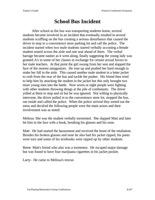# **School Bus Incident**

After school as the bus was transporting students home, several students became involved in an incident that eventually resulted in several students scuffling on the bus creating a serious disturbance that caused the driver to stop in a convenience store parking lot and call the police. The incident started when two male students started verbally accosting a female student seated across the aisle and one seat ahead of them. The verbal barrage became nastier as it went along, finally suggesting the young lady was granted A's in some of her classes in exchange for certain sexual favors to her male teachers. At that point the girl swung from her seat and slapped the face of the nearest antagonizer. He rose up and pushed her hard enough to make her fall in the aisle. This caused another male student in a letter jacket to rush from the rear of the bus and tackle the pusher. His friend then tried to help him by attacking the student in the jacket but this only brought two more young men into the battle. Now seven or eight people were fighting with other students throwing things at the pile of combatants. The driver yelled at them to stop and sit but he was ignored. Not willing to physically intervene, the driver pulled in to the convenience store lot, stopped the bus, ran inside and called the police. When the police arrived they sorted out the mess and decided the following people were the main actors and their involvement was as noted:

Melissa- She was the student verbally tormented. She slapped Matt and later hit him in the face with a book, breaking his glasses and his nose.

Matt- He had started the harassment and received the brunt of the retaliation. Besides his broken glasses and nose he also had his jacket ripped, his pants were torn and some of his textbooks were ripped up by other students.

Brent- Matt's friend who also was a tormentor. He escaped major damage but was found to have four marijuana cigarettes in his jacket pocket.

Larry- He came to Melissa's rescue.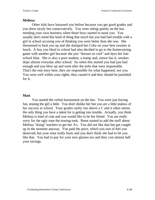#### **Melissa**

Other kids have harassed you before because you get good grades and you dress nicely but conservatively. You were sitting quietly on the bus minding your own business when those boys started to taunt you. You usually don't mind this kind of thing that much but you had had trouble with a girl in school accusing you of thinking you were better than she was. She threatened to beat you up and she dumped her Coke on your best sweater at lunch. A boy you liked in school had also decided to go to the homecoming game with another girl because she just "dresses so cool" and dyes her hair school blue. She is also a poor student, a tramp and, rumor has it, smokes dope almost everyday after school. So when this started you had just had enough and you blew up and went after the jerks that were responsible. That's the real story here, they are responsible for what happened, not you. You were well within your rights, they caused it and they should be punished for it.

#### **Matt**

You started the verbal harassment on the bus. You were just having fun, teasing the girl a little. You don't dislike her but you are a little jealous of her success in school. Your grades rarely rise above a C and it often seems the only thing you have a talent for is getting into trouble. Actually, you think Melissa is kind of cute and you would like to be her friend. You are really sorry for the ugly tone the teasing took. Brent started to add the stuff about Melissa "doing" teachers to get her A's. You did not like that but got caught up in the moment anyway. You paid the price, which you sort of feel you deserved, but your nose really hurts and you don't think she had to hit you like that. You had to pay for your new glasses too and they cost almost half your savings.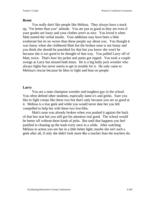#### **Brent**

You really don't like people like Melissa. They always have a stuck up, "I'm better than you" attitude. You are just as good as they are even if your grades are lousy and your clothes aren't as nice. You loved it when Matt started the verbal insults. Your additions may have been a little exuberant but its no worse than these people say about you. You thought it was funny when she clobbered Matt but the broken nose is not funny and you think she should be punished for that but you know she won't be because she is too good to be thought of that way. You pulled Larry off of Matt, twice. That's how his jacket and pants got ripped. You took a couple swings at Larry but missed both times. He is a big bully jock wrestler who always fights but never seems to get in trouble for it. He only came to Melissa's rescue because he likes to fight and beat on people.

#### **Larry**

You are a state champion wrestler and toughest guy in the school. You often defend other students, especially lame-o's and geeks. Sure you like to fight creeps like these two but that's only because you are so good at it. Melissa is a true geek and while you would never date her you felt compelled to help her with these two low-lifes.

Matt's nose was already broken when you pushed it against the back of that bus seat but you still got his attention real good. The school would be better off without these kinds of jerks. But until that happens you feel justified in cleaning up the trash every once in a while. After watching Melissa in action you see her in a little better light; maybe she isn't such a geek after all, if only she didn't look more like a teacher than the teachers do.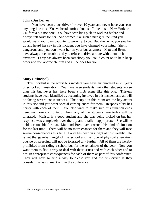## **John (Bus Driver)**

You have been a bus driver for over 10 years and never have you seen anything like this. You've heard stories about stuff like this in New York or California but not here. You have seen kids pick on Melissa before and always felt sorry for her. She seemed like such a nice girl, the kind you would want your own daughter to grow up to be. But after what you saw her do and heard her say in this incident you have changed your mind. She is dangerous and you don't want her on your bus anymore. Matt and Brent have always been trouble and you refuse to drive a route with them on it anymore. Larry has always been somebody you could count on to help keep order and you appreciate him and all he does for you.

# **Mary (Principal)**

This incident is the worst bus incident you have encountered in 26 years of school administration. You have seen students hurt other students worse than this but never has there been a mob scene like this one. Thirteen students have been identified as becoming involved in this incident and all will be facing severe consequences. The people in this room are the key actors in this riot and you want special consequences for them. Responsibility lies heavy with each of them. You also want to make sure this situation ends here, no more confrontation from any of the students here today will be tolerated. Melissa is a good student and she was being picked on but her response was completely over the top and totally inappropriate. She will be held accountable for that. Matt and Brent have created this kind of situation for the last time. There will be no more chances for them and they will face severe consequences this time. Larry has been in a fight almost weekly. He is not the guardian angel of this school and his love of physical altercation outside of wrestling will not be tolerated any further. All of them are hereby prohibited from riding a school bus for the remainder of the year. Now you want them to find a way to deal with their issues and with each other and to design appropriate consequences for each of them as part of this conference. They will have to find a way to please you and the bus driver as they consider this assignment within the conference.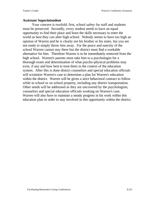#### **Assistant Superintendent**

Your concern is twofold; first, school safety for staff and students must be preserved. Secondly, every student needs to have an equal opportunity to find their place and learn the skills necessary to enter the world as best they can after high school. Nobody seems to have too high an opinion of Warren and he is clearly not his brother or his sister, but you are not ready to simply throw him away. For the peace and sanctity of the school Warren cannot stay there but the district must find a workable alternative for him. Therefore Warren is to be immediately removed from the high school. Warren's parents must take him to a psychologist for a thorough exam and determination of what psycho-physical problems may exist, if any and how best to treat them in the context of the education system. After this is done district counselors and special education officials will scrutinize Warren's case to determine a plan for Warren's education within the district. Warren will be given a strict behavioral contract to follow while in school or on school property, including any district transportation. Other needs will be addressed as they are uncovered by the psychologists, counselors and special education officials working on Warren's case. Warren will also have to maintain a steady progress in his work within this education plan in order to stay involved in this opportunity within the district.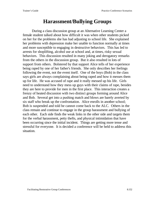# **Harassment/Bullying Groups**

During a class discussion group at an Alternative Learning Center a female student talked about how difficult it was when other students picked on her for the problems she has had adjusting to school life. She explained her problems with depression make her unable to function normally at times and more susceptible to engaging in destructive behaviors. This has led to arrests for shoplifting, alcohol use at school and, at times, risky sexual behaviors. This discussion resulted in many joking and derogatory remarks from the others in the discussion group. But it also resulted in lots of support from others. Bolstered by that support Alice tells of her experience being raped by one of her father's friends. She only describes her feelings following the event, not the event itself. One of the boys (Bob) in the class says girls are always complaining about being raped and how it messes them up for life. He was accused of rape and it really messed up his life. Girls need to understand how they mess up guys with their claims of rape, besides they are here to provide for men in the first place. This interaction creates a frenzy of heated discussion with two distinct groups forming around Alice and Bob. Several get into a pushing match and blows are barely averted by six staff who break up the confrontation. Alice enrolls in another school; Bob is suspended and told he cannot come back to the ALC. Others in the class remain and continue to engage in the group harassment and bullying of each other. Each side finds the weak links in the other side and targets them for the verbal harassment, petty thefts, and physical intimidation that have been occurring since the initial incident. Things are getting more tense and stressful for everyone. It is decided a conference will be held to address this situation.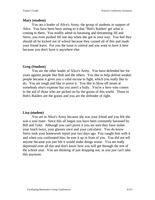### **Mary (student)**

You are a leader of Alice's Army, the group of students in support of Alice. You have been busy seeing to it that "Bob's Raiders' get what is coming to them. You readily admit to harassing and threatening Jill and Steve, you even pushed Jill one day when she got in your way. You feel they should all be kicked out of school because they caused all of this and made your friend leave. For you the issue is control and you want to have it here because you don't have it anywhere else.

# **Greg (Student)**

You are the other leader of Alice's Army. You have defended her for years against people like Bob and the others. You like to help defend weaker people because it gives you a valid excuse to fight, which you really like to do. You are tough and like to prove it. You like to blow off steam at somebody else's expense but you aren't a bully. You're a hero who comes to the aid of those who are picked on by the goons of this world. Those in Bob's Raiders are the goons and you are the defender of right.

### **Lisa (student)**

You are in Alice's Army because she was your friend and you felt she was a soul mate. Since this all began you have been constantly harassed by Bill and Tyler. Although you can't prove it you are sure they have stolen your lunch twice, your glasses once and your calculator. You do know Steve took your homework report just two days ago. You caught him with it and when you confronted him, he tore it up in front of you. You did not tell anyone because you just felt it would make things worse. You are really depressed over all this and don't know how you will get through the rest of the school year. You are thinking of just dropping out, as you just can't take this anymore.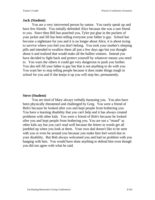#### **Jack (Student)**

You are a very introverted person by nature. You rarely speak up and have few friends. You initially defended Alice because she was a rare friend to you. Since then Bill has punched you, Tyler put glue in the pockets of your jacket and Jill has been telling everyone your father is gay. School has become a nightmare for you and it is no longer about Alice, it is about trying to survive where you feel you don't belong. You took your mother's sleeping pills and intended to swallow them all just a few days ago but you thought about it and realized that would make all the bullies winners. Instead you have decided to fight back and protect yourself by whatever means you need to. You warn the others it could get very dangerous to push you further. You also tell Jill your father is gay but that is not anything to do with you. You want her to stop telling people because it does make things tough in school for you and if she keeps it up you will stop her, permanently.

#### **Steve (Student)**

You are tired of Mary always verbally harassing you. You also have been physically threatened and challenged by Greg. You were a friend of Bob's because he looked after you and kept people from bothering you. You have a learning disability that you can't help and it has always created problems with other kids. You were a friend of Bob's because he looked after you and kept people from bothering you. You are not a "retard" as other kids say but you can't read well because the letters in words get all jumbled up when you look at them. Your own dad doesn't like to be seen with you or even be around you because you make him feel weird due to your disability. But Bob always welcomed you and had no problem with you hanging with him. You would have done anything to defend him even though you did not agree with what he said.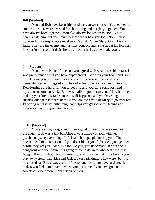#### **Bill (Student)**

You and Bob have been friends since you were three. You learned to smoke together, were arrested for shoplifting and burglary together. You have always been together. You also always looked up to Bob. Your parents hate him, but you think they probably hate you too. Now Bob is gone and those responsible must pay.You don't like Mary, Greg, Lisa or Jack. They are the enemy and just like your old man says about his foreman, its your job to see to it their life is as much a hell as they made yours.

#### **Jill (Student)**

You never disliked Alice and you agreed with what she said, in fact, it was pretty much what you have experienced. Bob was your boyfriend, sort of. He took you out sometimes and even if he was a little rough and demanded certain things of you, he did at least pay some attention to you. Relationships are hard for you to get into and you can't stand loss and rejection so somebody like Bob was really important to you. Mary has been making your life miserable since this all happened and you have begun striking out against others because you are too afraid of Mary to go after her. Its wrong but it is the only thing that helps you get rid of the feelings of inferiority this has generated in you.

#### **Tyler (Student)**

You are always angry and it feels good to you to have a direction for the anger. Bob was a jerk but Alice always made you sick with her psychoanalyzing everything. Life is all about people hurting you. There doesn't need to be a reason. If you don't like it you fight back, you get them before they get you. Mary is a lot like you, you understand her but she is dangerous and you figure it is going to come down to who gets who first. Greg will nail anybody for any reason and you are no match for him so you stay away from him. Lisa and Jack are easy pickings. They were "born to be abused" as Bob always said. It's easy and it's fun to have at them. It makes you feel better overall when you get home if you have gotten to somebody else before mom sets in on you.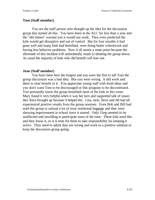#### **Tom (Staff member)**

You are the staff person who thought up the idea for the discussion group that started all this. You have been at the ALC for less than a year and the "old-timers" warned you it would not work. They even predicted the kids would get disruptive and out of control. But for four months it had gone well and many kids had benefited, were doing better schoolwork and having less behavior problems. Now it all seems a mute point because the aftermath of this incident will undoubtedly result in shutting the group down. As usual the majority of kids who did benefit will lose out.

#### **Jean (Staff member)**

You have been here the longest and you were the first to tell Tom the group discussion was a bad idea. But you were wrong. It did work and there is clear benefit to it. You appreciate young staff with fresh ideas and you don't want Tom to be discouraged or this program to be discontinued. You personally know the group benefited most of the kids in this room. Mary found it very helpful when it was her turn and supported talk of issues like Alice brought up because it helped her. Lisa, Jack, Steve and Jill had all experienced positive results from the group sessions. Even Bob and Bill had used the group to unload a lot of toxic emotional baggage and they were showing improvement in school since it started. Only Greg seemed to be unaffected and unwilling to participate most of the time. These kids need this and they know it, so it is time for them to take responsibility for keeping it active. They need to admit they are wrong and work to a positive solution to keep the discussion group going.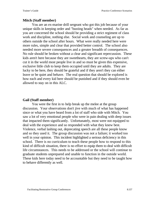#### **Mitch (Staff member)**

You are an ex-marine drill sergeant who got this job because of your unique skills in keeping order and "busting heads" when needed. As far as you are concerned the school should be providing a strict regiment of class work and discipline, nothing else. Social work and counseling are up to others outside the school after hours. What were really needed here were more rules, simple and clear that provided better control. The school also needed more severe consequences and a greater breadth of consequences. No rule should be broken without a clear and significant repercussion. These kids aren't here because they are sweethearts, they are screw-ups who can't cut it in the world most people live in and so must be given this expensive, exclusive little club to keep them occupied until they are adults. They are lucky to be here, they should be grateful and if they aren't they can either leave or be quiet and behave. The real question that should be explored is how each and every kid here should be punished and if they should even be allowed to stay on in this ALC.

#### **Gail (Staff member)**

You were the first in to help break up the melee at the group discussion. Your observations don't jive with much of what has happened since or what you have heard from a lot of staff who side with Mitch. You saw a lot of very emotional people who were in pain dealing with deep issues that impacted them significantly. Unfortunately, most were not equipped to deal with the experience and so responded with what they knew best. Violence, verbal lashing out, deprecating speech are all these people know and so they used it. The group discussion was not a failure; it worked too well in your opinion. This incident highlighted a serious deficiency in this school. There is no curriculum to teach these people how to respond to this kind of difficult situation, there is no effort to equip them to deal with difficult life circumstances. This needs to be addressed or the school will continue to graduate students unprepared and unable to function in the outside world. These kids here today need to be accountable but they need to be taught how to behave differently as well.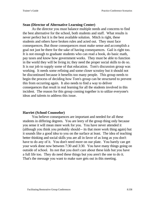#### **Sean (Director of Alternative Learning Center)**

As the director you must balance multiple needs and concerns to find the best alternative for the school, both students and staff. What results is never perfect but it is the best available solution. Mitch is right, these students and others have broken rules and acted out. They must face consequences. But those consequences must make sense and accomplish a goal not just be there for the sake of having consequences. Gail is right too. It is not enough to graduate students who can read a book, do basic math, pay taxes and know how government works. They must be able to function in the world they will be living in; they need the proper social skills to do so. It is our job to supply some of that education. Tom's discussion group was working. It needs some refining and some closer scrutiny but it should not be discontinued because it benefits too many people. This group needs to begin the process of deciding how Tom's group can be structured to prevent this from occurring again. It also needs to find a way to deliver consequences that result in real learning for all the students involved in this incident. The reason for this group coming together is to utilize everyone's ideas and talents to address this issue.

#### **Harriet (School Counselor)**

You believe consequences are important and needed for all these students in differing degrees. You are leery of the group thing only because you sense it will mean more work for you. You have never attended it (although you think you probably should-- its that more work thing again) but it sounds like a good idea to you on the surface at least. The idea of teaching better thinking and social skills you are all in favor of as long as you don't have to do any of it. You don't need more on our plate. You barely can get your work done now between 7:30 and 3:30. You have many things going on outside of school. Its not that you don't care about these kids but you have a full life too. They do need these things but you aren't the one to do it. That's the message you want to make sure gets out in this meeting.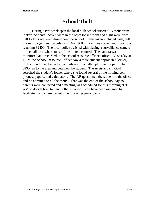# **School Theft**

During a two week span the local high school suffered 15 thefts from locker incidents. Seven were in the boy's locker room and eight were from hall lockers scattered throughout the school. Items taken included cash, cell phones, pagers, and calculators. Over \$600 in cash was taken with total loss reaching \$2400. The local police assisted with placing a surveillance camera in the hall area where most of the thefts occurred. The camera was monitored and recorded in the school resource officer's office. Yesterday at 1 PM the School Resource Officer saw a male student approach a locker, look around, then begin to manipulate it in an attempt to get it open. The SRO ran to the area and detained the student. The Assistant Principal searched the student's locker where she found several of the missing cell phones, pagers, and calculators. The AP questioned the student in the office and he admitted to all the thefts. That was the end of the school day so parents were contacted and a meeting was scheduled for this morning at 9 AM to decide how to handle the situation. You have been assigned to facilitate this conference with the following participants: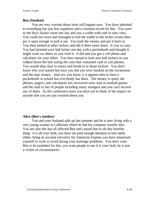#### **Ben (Student)**

You are very worried about what will happen now. You have admitted to everything but you fear expulsion and a criminal record for this. You were in the boy's locker room one day and saw a wallet with cash in easy view. You could not resist and managed to fish the wallet to the locker screen then pry it open enough to pull it out. You took the money and put it back in. You then looked at other lockers and did it three more times. It was so easy. You had jimmied your hall locker one-day with a pocketknife and thought it might work on others so you tried it. It did and you got a cell phone and calculator for your effort. You then started to look into hall lockers as you walked down the hall noting the ones that contained cash or cell phones. You would skip class to return and break in to those lockers. You don't know why you started but once you did you were hooked on the excitement and the easy money. And yes, you know it is against rules to have a pocketknife in school but everybody has them. The money is spent, the phones, pagers, and calculators not recovered were sold at football games and the mall to lots of people including many strangers and you can't recover any of them. As the conference starts you have yet to think of the impact on anyone else you are just worried about you.

#### **Alice (Ben's mother)**

You and your husband split up last summer and he is now living with a very young woman in California where he had his company transfer him. You are sure this has all affected Ben and caused him to do this horrible thing. It is all your fault, you have not paid enough attention to him lately either, being an account executive for American Express you have immersed yourself in work to avoid facing your marriage problems. You don't want Ben to be punished for this, you want people to see it is your fault, he is just a victim of circumstances.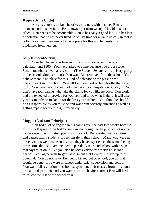### **Roger (Ben's Uncle)**

Alice is your sister, but she drives you nuts with this idea Ben is innocent and it is her fault. Ben knows right from wrong. He did this not Alice. Ben needs to be accountable. Ben is basically a good kid. He has lots of potential that he has never lived up to. Its time for a wake up call, in fact it is long overdue. Ben needs to pay a price for this and he needs strict guidelines from here on.

# **Sally (Student/Victim)**

Your hall locker was broken into and you lost a cell phone, a calculator and \$100. You were asked to come because you are a Student Senate member as well as a victim. (The Student Senate is an advisory group to the school administration.) You want Ben removed from the school. You believe there is no place for this kind of behavior or the person who perpetrates it in the school. You tell Ben you worked hard for the things he took. You have two jobs and volunteer at a local hospital on Sundays. You don't have rich parents who take the blame for you like he does. You work and are expected to provide for yourself and to do what is right. It will take you six months to make up for the loss you suffered. You think he should be as responsible as you must be and want him severely punished as well as getting repaid for your loss, immediately.

#### **Maggie (Assistant Principal)**

You had a lot of angry parents calling you the past two weeks because of this theft spree. You had to come in late at night to help police set up the camera equipment. It disrupted your life a lot. Ben created many victims and caused many students to feel unsafe in their school. Many who were not direct victims were made so insecure they have experienced the same feeling the victims did. You are inclined to parade Ben around school with a sign that says thief on it. But you also believe everybody deserves a second chance. You agree with Roger's assessment that Ben fails to live up to his potential. You do not favor Ben being kicked out of school, you think it would be better if he were in school under strict supervision and control. You want full restitution, in school suspension, theft classes from the county probation department and you want a strict behavior contract Ben will have to follow the rest of the school year.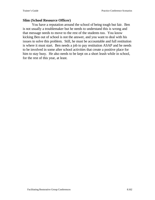#### **Slim (School Resource Officer)**

You have a reputation around the school of being tough but fair. Ben is not usually a troublemaker but he needs to understand this is wrong and that message needs to move to the rest of the students too. You know kicking Ben out of school is not the answer, and you want to deal with his issues to solve this problem. Still, he must be accountable and full restitution is where it must start. Ben needs a job to pay restitution ASAP and he needs to be involved in some after school activities that create a positive place for him to stay busy. He also needs to be kept on a short leash while in school, for the rest of this year, at least.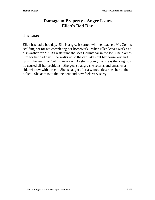# **Damage to Property - Anger Issues Ellen's Bad Day**

#### **The case:**

Ellen has had a bad day. She is angry. It started with her teacher, Mr. Collins scolding her for not completing her homework. When Ellen leaves work as a dishwasher for Mr. B's restaurant she sees Collins' car in the lot. She blames him for her bad day. She walks up to the car, takes out her house key and runs it the length of Collins' new car. As she is doing this she is thinking how he caused all her problems. She gets so angry she returns and smashes a side window with a rock. She is caught after a witness describes her to the police. She admits to the incident and now feels very sorry.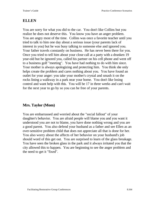# **ELLEN**

You are sorry for what you did to the car. You don't like Collins but you realize he does not deserve this. You know you have an anger problem. You are angry most of the time. Collins was once a favorite teacher until you tried to talk to him one day about a serious issue (your parents lack of interest in you) but he was busy talking to someone else and ignored you. Your father travels constantly on business. He has never been there for you. Once you tried to tell him about your close call at a party with a drunken 19 year-old but he ignored you, called his partner on his cell phone and went off to a business golf "meeting". You have had nothing to do with him since. Your mother is always apologizing and protecting him. You think she only helps create the problem and cares nothing about you. You have found an outlet for your anger: you take your mother's crystal and smash it on the rocks lining a walkway in a park near your home. You don't like losing control and want help with this. You will be 17 in three weeks and can't wait for the next year to go by so you can be free of your parents.

# **Mrs. Taylor (Mom)**

You are embarrassed and worried about the "social fallout" of your daughter's behavior. You are afraid people will blame you and you want it understood you are not to blame, you have done nothing wrong and you are a good parent. You also defend your husband as a father and see Ellen as an over-sensitive problem child that does not appreciate all that is done for her. You also worry about the affects of her behavior on your husband's job should word of this get out. You are surprised to learn of the glass breakage. You have seen the broken glass in the park and it always irritated you that the city allowed this to happen. You are beginning to see the anger problem and the need to get it "fixed".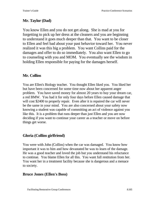# **Mr. Taylor (Dad)**

You know Ellen and you do not get along. She is mad at you for forgetting to pick up her dress at the cleaners and you are beginning to understand it goes much deeper than that. You want to be closer to Ellen and feel bad about your past behavior toward her. You never realized it was this big a problem. You want Collins paid for the damages and offer to do so immediately. You also want Ellen to go to counseling with you and MOM. You eventually see the wisdom in holding Ellen responsible for paying for the damages herself.

# **Mr. Collins**

You are Ellen's Biology teacher. You thought Ellen liked you. You liked her but have been concerned for some time now about her apparent anger problem. You have saved money for almost 20 years to buy your dream car, a red BMW. You had it for only four days before Ellen caused damage that will cost \$2400 to properly repair. Even after it is repaired the car will never be the same in your mind. You are also concerned about your safety now knowing a student was capable of committing an act of violence against you like this. It is a problem that runs deeper than just Ellen and you are now deciding if you want to continue your career as a teacher or move on before things get worse.

# **Gloria (Collins girlfriend)**

You were with John (Collins) when the car was damaged. You know how important it was to him and how devastated he was to learn of the damage. He was a good teacher and loved the job but you understand his reluctance to continue. You blame Ellen for all this. You want full restitution from her. You want her in a treatment facility because she is dangerous and a menace to society.

# **Bruce Jones (Ellen's Boss)**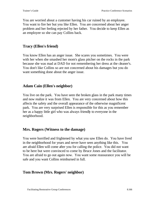You are worried about a customer having his car ruined by an employee. You want to fire her but you like Ellen. You are concerned about her anger problem and her feeling rejected by her father. You decide to keep Ellen as an employee so she can pay Collins back.

# **Tracy (Ellen's friend)**

You know Ellen has an anger issue. She scares you sometimes. You were with her when she smashed her mom's glass pitcher on the rocks in the park because she was mad at DAD for not remembering her dress at the cleaner's. You don't like Collins so are not concerned about his damages but you do want something done about the anger issue.

# **Adam Cain (Ellen's neighbor)**

You live on the park. You have seen the broken glass in the park many times and now realize it was from Ellen. You are very concerned about how this affects the safety and the overall appearance of the otherwise magnificent park. You are very surprised Ellen is responsible for this as you remember her as a happy little girl who was always friendly to everyone in the neighborhood.

# **Mrs. Rogers (Witness to the damage)**

You were horrified and frightened by what you saw Ellen do. You have lived in the neighborhood for years and never have seen anything like this. You are afraid Ellen will come after you for calling the police. You did not want to be here but were convinced to come by Bruce Jones and the facilitator. You are afraid to go out again now. You want some reassurance you will be safe and you want Collins reimbursed in full.

# **Tom Brown (Mrs. Rogers' neighbor)**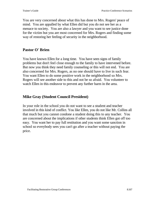You are very concerned about what this has done to Mrs. Rogers' peace of mind. You are appalled by what Ellen did but you do not see her as a menace to society. You are also a lawyer and you want to see justice done for the victim but you are most concerned for Mrs. Rogers and finding some way of restoring her feeling of security in the neighborhood.

# **Pastor O' Brien**

You have known Ellen for a long time. You have seen signs of family problems but don't feel close enough to the family to have intervened before. But now you think they need family counseling or this will not end. You are also concerned for Mrs. Rogers, as no one should have to live in such fear. You want Ellen to do some positive work in the neighborhood so Mrs. Rogers will see another side to this and not be so afraid. You volunteer to watch Ellen in this endeavor to prevent any further harm in the area.

# **Mike Gray (Student Council President)**

In your role in the school you do not want to see a student and teacher involved in this kind of conflict. You like Ellen, you do not like Mr. Collins all that much but you cannot condone a student doing this to any teacher. You are concerned about the implications if other students think Ellen got off too easy. You want her to pay full restitution and you want some sanction in school so everybody sees you can't go after a teacher without paying the price.